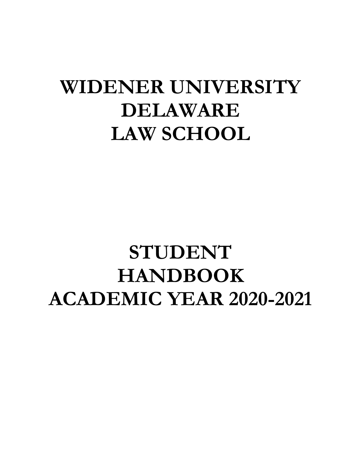# **WIDENER UNIVERSITY DELAWARE LAW SCHOOL**

# **STUDENT HANDBOOK ACADEMIC YEAR 2020-2021**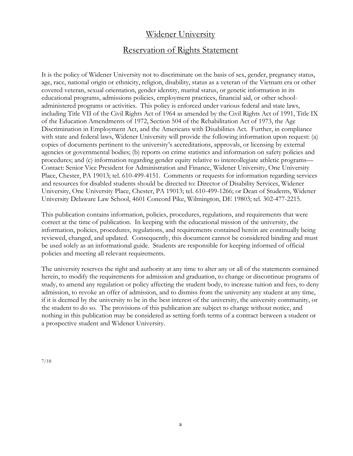# Widener University

# Reservation of Rights Statement

It is the policy of Widener University not to discriminate on the basis of sex, gender, pregnancy status, age, race, national origin or ethnicity, religion, disability, status as a veteran of the Vietnam era or other covered veteran, sexual orientation, gender identity, marital status, or genetic information in its educational programs, admissions policies, employment practices, financial aid, or other schooladministered programs or activities. This policy is enforced under various federal and state laws, including Title VII of the Civil Rights Act of 1964 as amended by the Civil Rights Act of 1991, Title IX of the Education Amendments of 1972, Section 504 of the Rehabilitation Act of 1973, the Age Discrimination in Employment Act, and the Americans with Disabilities Act. Further, in compliance with state and federal laws, Widener University will provide the following information upon request: (a) copies of documents pertinent to the university's accreditations, approvals, or licensing by external agencies or governmental bodies; (b) reports on crime statistics and information on safety policies and procedures; and (c) information regarding gender equity relative to intercollegiate athletic programs— Contact: Senior Vice President for Administration and Finance, Widener University, One University Place, Chester, PA 19013; tel. 610-499-4151. Comments or requests for information regarding services and resources for disabled students should be directed to: Director of Disability Services, Widener University, One University Place, Chester, PA 19013; tel. 610-499-1266; or Dean of Students, Widener University Delaware Law School, 4601 Concord Pike, Wilmington, DE 19803; tel. 302-477-2215.

This publication contains information, policies, procedures, regulations, and requirements that were correct at the time of publication. In keeping with the educational mission of the university, the information, policies, procedures, regulations, and requirements contained herein are continually being reviewed, changed, and updated. Consequently, this document cannot be considered binding and must be used solely as an informational guide. Students are responsible for keeping informed of official policies and meeting all relevant requirements.

The university reserves the right and authority at any time to alter any or all of the statements contained herein, to modify the requirements for admission and graduation, to change or discontinue programs of study, to amend any regulation or policy affecting the student body, to increase tuition and fees, to deny admission, to revoke an offer of admission, and to dismiss from the university any student at any time, if it is deemed by the university to be in the best interest of the university, the university community, or the student to do so. The provisions of this publication are subject to change without notice, and nothing in this publication may be considered as setting forth terms of a contract between a student or a prospective student and Widener University.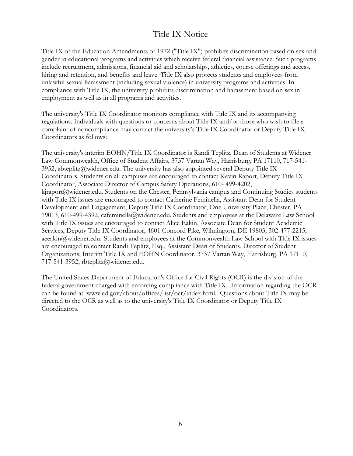# Title IX Notice

Title IX of the Education Amendments of 1972 ("Title IX") prohibits discrimination based on sex and gender in educational programs and activities which receive federal financial assistance. Such programs include recruitment, admissions, financial aid and scholarships, athletics, course offerings and access, hiring and retention, and benefits and leave. Title IX also protects students and employees from unlawful sexual harassment (including sexual violence) in university programs and activities. In compliance with Title IX, the university prohibits discrimination and harassment based on sex in employment as well as in all programs and activities.

The university's Title IX Coordinator monitors compliance with Title IX and its accompanying regulations. Individuals with questions or concerns about Title IX and/or those who wish to file a complaint of noncompliance may contact the university's Title IX Coordinator or Deputy Title IX Coordinators as follows:

The university's interim EOHN/Title IX Coordinator is Randi Teplitz, Dean of Students at Widener Law Commonwealth, Office of Student Affairs, 3737 Vartan Way, Harrisburg, PA 17110, 717-541- 3952, abteplitz@widener.edu. The university has also appointed several Deputy Title IX Coordinators. Students on all campuses are encouraged to contact Kevin Raport, Deputy Title IX Coordinator, Associate Director of Campus Safety Operations, 610- 499-4202, kjraport@widener.edu. Students on the Chester, Pennsylvania campus and Continuing Studies students with Title IX issues are encouraged to contact Catherine Feminella, Assistant Dean for Student Development and Engagement, Deputy Title IX Coordinator, One University Place, Chester, PA 19013, 610-499-4392, cafeminella@widener.edu. Students and employees at the Delaware Law School with Title IX issues are encouraged to contact Alice Eakin, Associate Dean for Student Academic Services, Deputy Title IX Coordinator, 4601 Concord Pike, Wilmington, DE 19803, 302-477-2215, aeeakin@widener.edu. Students and employees at the Commonwealth Law School with Title IX issues are encouraged to contact Randi Teplitz, Esq., Assistant Dean of Students, Director of Student Organizations, Interim Title IX and EOHN Coordinator, 3737 Vartan Way, Harrisburg, PA 17110, 717-541-3952, rbteplitz@widener.edu.

The United States Department of Education's Office for Civil Rights (OCR) is the division of the federal government charged with enforcing compliance with Title IX. Information regarding the OCR can be found at: www.ed.gov/about/offices/list/ocr/index.html. Questions about Title IX may be directed to the OCR as well as to the university's Title IX Coordinator or Deputy Title IX Coordinators.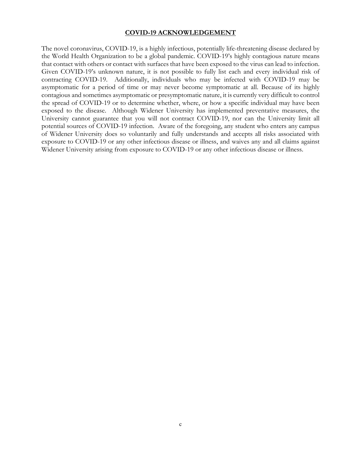#### **COVID-19 ACKNOWLEDGEMENT**

The novel coronavirus, COVID-19, is a highly infectious, potentially life-threatening disease declared by the World Health Organization to be a global pandemic. COVID-19's highly contagious nature means that contact with others or contact with surfaces that have been exposed to the virus can lead to infection. Given COVID-19's unknown nature, it is not possible to fully list each and every individual risk of contracting COVID-19. Additionally, individuals who may be infected with COVID-19 may be asymptomatic for a period of time or may never become symptomatic at all. Because of its highly contagious and sometimes asymptomatic or presymptomatic nature, it is currently very difficult to control the spread of COVID-19 or to determine whether, where, or how a specific individual may have been exposed to the disease. Although Widener University has implemented preventative measures, the University cannot guarantee that you will not contract COVID-19, nor can the University limit all potential sources of COVID-19 infection. Aware of the foregoing, any student who enters any campus of Widener University does so voluntarily and fully understands and accepts all risks associated with exposure to COVID-19 or any other infectious disease or illness, and waives any and all claims against Widener University arising from exposure to COVID-19 or any other infectious disease or illness.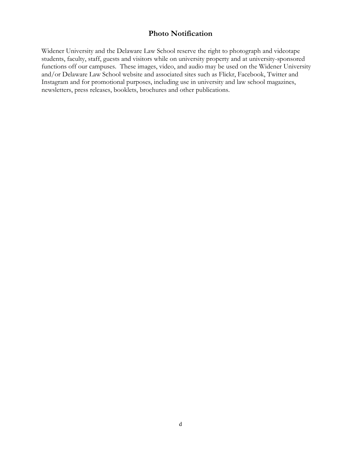# **Photo Notification**

Widener University and the Delaware Law School reserve the right to photograph and videotape students, faculty, staff, guests and visitors while on university property and at university-sponsored functions off our campuses. These images, video, and audio may be used on the Widener University and/or Delaware Law School website and associated sites such as Flickr, Facebook, Twitter and Instagram and for promotional purposes, including use in university and law school magazines, newsletters, press releases, booklets, brochures and other publications.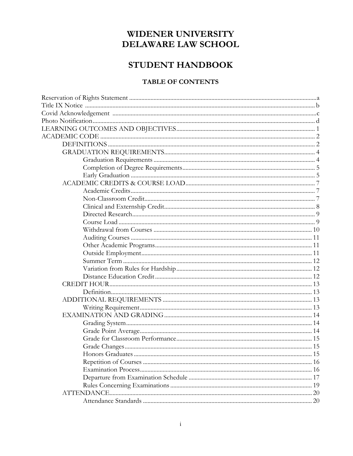# WIDENER UNIVERSITY **DELAWARE LAW SCHOOL**

# STUDENT HANDBOOK

# **TABLE OF CONTENTS**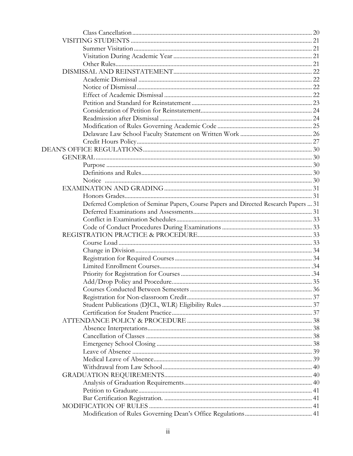| Deferred Completion of Seminar Papers, Course Papers and Directed Research Papers  31 |  |
|---------------------------------------------------------------------------------------|--|
|                                                                                       |  |
|                                                                                       |  |
|                                                                                       |  |
|                                                                                       |  |
|                                                                                       |  |
|                                                                                       |  |
|                                                                                       |  |
|                                                                                       |  |
|                                                                                       |  |
|                                                                                       |  |
|                                                                                       |  |
|                                                                                       |  |
|                                                                                       |  |
|                                                                                       |  |
|                                                                                       |  |
|                                                                                       |  |
|                                                                                       |  |
|                                                                                       |  |
|                                                                                       |  |
|                                                                                       |  |
|                                                                                       |  |
|                                                                                       |  |
|                                                                                       |  |
|                                                                                       |  |
|                                                                                       |  |
|                                                                                       |  |
|                                                                                       |  |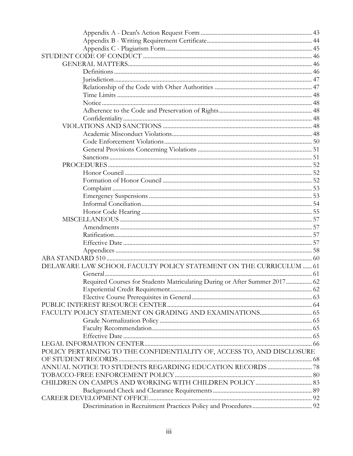| DELAWARE LAW SCHOOL FACULTY POLICY STATEMENT ON THE CURRICULUM  61         |  |
|----------------------------------------------------------------------------|--|
|                                                                            |  |
| Required Courses for Students Matriculating During or After Summer 2017 62 |  |
|                                                                            |  |
|                                                                            |  |
|                                                                            |  |
|                                                                            |  |
|                                                                            |  |
|                                                                            |  |
|                                                                            |  |
|                                                                            |  |
| POLICY PERTAINING TO THE CONFIDENTIALITY OF, ACCESS TO, AND DISCLOSURE     |  |
|                                                                            |  |
|                                                                            |  |
|                                                                            |  |
|                                                                            |  |
|                                                                            |  |
|                                                                            |  |
|                                                                            |  |
|                                                                            |  |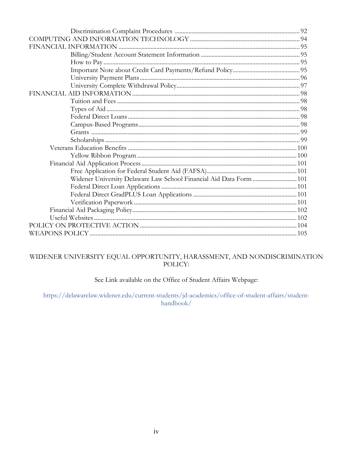| Widener University Delaware Law School Financial Aid Data Form  101 |  |
|---------------------------------------------------------------------|--|
|                                                                     |  |
|                                                                     |  |
|                                                                     |  |
|                                                                     |  |
|                                                                     |  |
|                                                                     |  |
|                                                                     |  |

# WIDENER UNIVERSITY EQUAL OPPORTUNITY, HARASSMENT, AND NONDISCRIMINATION POLICY:

# See Link available on the Office of Student Affairs Webpage:

https://delawarelaw.widener.edu/current-students/jd-academics/office-of-student-affairs/studenthandbook/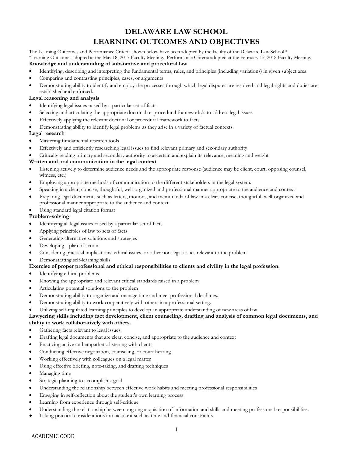# **DELAWARE LAW SCHOOL LEARNING OUTCOMES AND OBJECTIVES**

The Learning Outcomes and Performance Criteria shown below have been adopted by the faculty of the Delaware Law School.\* \*Learning Outcomes adopted at the May 18, 2017 Faculty Meeting. Performance Criteria adopted at the February 15, 2018 Faculty Meeting. **Knowledge and understanding of substantive and procedural law**

- Identifying, describing and interpreting the fundamental terms, rules, and principles (including variations) in given subject area
- Comparing and contrasting principles, cases, or arguments
- Demonstrating ability to identify and employ the processes through which legal disputes are resolved and legal rights and duties are established and enforced.

#### **Legal reasoning and analysis**

- Identifying legal issues raised by a particular set of facts
- Selecting and articulating the appropriate doctrinal or procedural framework/s to address legal issues
- Effectively applying the relevant doctrinal or procedural framework to facts
- Demonstrating ability to identify legal problems as they arise in a variety of factual contexts.

#### **Legal research**

- Mastering fundamental research tools
- Effectively and efficiently researching legal issues to find relevant primary and secondary authority
- Critically reading primary and secondary authority to ascertain and explain its relevance, meaning and weight

#### **Written and oral communication in the legal context**

- Listening actively to determine audience needs and the appropriate response (audience may be client, court, opposing counsel, witness, etc.)
- Employing appropriate methods of communication to the different stakeholders in the legal system.
- Speaking in a clear, concise, thoughtful, well-organized and professional manner appropriate to the audience and context
- Preparing legal documents such as letters, motions, and memoranda of law in a clear, concise, thoughtful, well-organized and professional manner appropriate to the audience and context
- Using standard legal citation format

#### **Problem-solving**

- Identifying all legal issues raised by a particular set of facts
- Applying principles of law to sets of facts
- Generating alternative solutions and strategies
- Developing a plan of action
- Considering practical implications, ethical issues, or other non-legal issues relevant to the problem
- Demonstrating self-learning skills

#### **Exercise of proper professional and ethical responsibilities to clients and civility in the legal profession.**

- Identifying ethical problems
- Knowing the appropriate and relevant ethical standards raised in a problem
- Articulating potential solutions to the problem
- Demonstrating ability to organize and manage time and meet professional deadlines.
- Demonstrating ability to work cooperatively with others in a professional setting.
- Utilizing self-regulated learning principles to develop an appropriate understanding of new areas of law.

#### **Lawyering skills including fact development, client counseling, drafting and analysis of common legal documents, and ability to work collaboratively with others.**

- Gathering facts relevant to legal issues
- Drafting legal documents that are clear, concise, and appropriate to the audience and context
- Practicing active and empathetic listening with clients
- Conducting effective negotiation, counseling, or court hearing
- Working effectively with colleagues on a legal matter
- Using effective briefing, note-taking, and drafting techniques
- Managing time
- Strategic planning to accomplish a goal
- Understanding the relationship between effective work habits and meeting professional responsibilities
- Engaging in self-reflection about the student's own learning process
- Learning from experience through self-critique
- Understanding the relationship between ongoing acquisition of information and skills and meeting professional responsibilities.
- Taking practical considerations into account such as time and financial constraints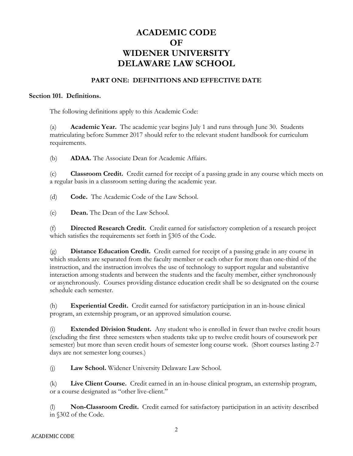# **ACADEMIC CODE OF WIDENER UNIVERSITY DELAWARE LAW SCHOOL**

# **PART ONE: DEFINITIONS AND EFFECTIVE DATE**

#### **Section 101. Definitions.**

The following definitions apply to this Academic Code:

(a) **Academic Year.** The academic year begins July 1 and runs through June 30. Students matriculating before Summer 2017 should refer to the relevant student handbook for curriculum requirements.

(b) **ADAA.** The Associate Dean for Academic Affairs.

(c) **Classroom Credit.** Credit earned for receipt of a passing grade in any course which meets on a regular basis in a classroom setting during the academic year.

(d) **Code.** The Academic Code of the Law School.

(e) **Dean.** The Dean of the Law School.

(f) **Directed Research Credit.** Credit earned for satisfactory completion of a research project which satisfies the requirements set forth in §305 of the Code.

(g) **Distance Education Credit.** Credit earned for receipt of a passing grade in any course in which students are separated from the faculty member or each other for more than one-third of the instruction, and the instruction involves the use of technology to support regular and substantive interaction among students and between the students and the faculty member, either synchronously or asynchronously. Courses providing distance education credit shall be so designated on the course schedule each semester.

(h) **Experiential Credit.** Credit earned for satisfactory participation in an in-house clinical program, an externship program, or an approved simulation course.

(i) **Extended Division Student.** Any student who is enrolled in fewer than twelve credit hours (excluding the first three semesters when students take up to twelve credit hours of coursework per semester) but more than seven credit hours of semester long course work. (Short courses lasting 2-7 days are not semester long courses.)

(j) **Law School.** Widener University Delaware Law School.

(k) **Live Client Course.** Credit earned in an in-house clinical program, an externship program, or a course designated as "other live-client."

(l) **Non-Classroom Credit.** Credit earned for satisfactory participation in an activity described in §302 of the Code.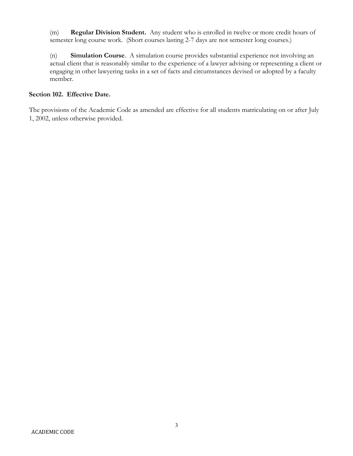(m) **Regular Division Student.** Any student who is enrolled in twelve or more credit hours of semester long course work. (Short courses lasting 2-7 days are not semester long courses.)

(n) **Simulation Course**. A simulation course provides substantial experience not involving an actual client that is reasonably similar to the experience of a lawyer advising or representing a client or engaging in other lawyering tasks in a set of facts and circumstances devised or adopted by a faculty member.

# **Section 102. Effective Date.**

The provisions of the Academic Code as amended are effective for all students matriculating on or after July 1, 2002, unless otherwise provided.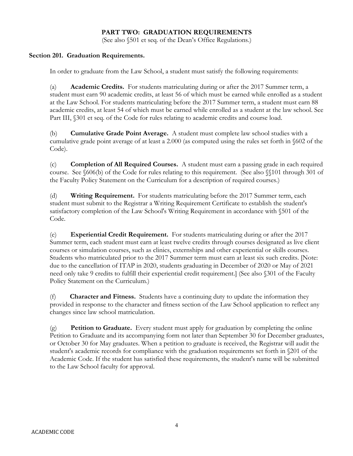# **PART TWO: GRADUATION REQUIREMENTS**

(See also §501 et seq. of the Dean's Office Regulations.)

#### **Section 201. Graduation Requirements.**

In order to graduate from the Law School, a student must satisfy the following requirements:

(a) **Academic Credits.** For students matriculating during or after the 2017 Summer term, a student must earn 90 academic credits, at least 56 of which must be earned while enrolled as a student at the Law School. For students matriculating before the 2017 Summer term, a student must earn 88 academic credits, at least 54 of which must be earned while enrolled as a student at the law school. See Part III, §301 et seq. of the Code for rules relating to academic credits and course load.

(b) **Cumulative Grade Point Average.** A student must complete law school studies with a cumulative grade point average of at least a 2.000 (as computed using the rules set forth in §602 of the Code).

(c) **Completion of All Required Courses.** A student must earn a passing grade in each required course. See §606(b) of the Code for rules relating to this requirement. (See also §§101 through 301 of the Faculty Policy Statement on the Curriculum for a description of required courses.)

(d) **Writing Requirement.** For students matriculating before the 2017 Summer term, each student must submit to the Registrar a Writing Requirement Certificate to establish the student's satisfactory completion of the Law School's Writing Requirement in accordance with §501 of the Code.

(e) **Experiential Credit Requirement.** For students matriculating during or after the 2017 Summer term, each student must earn at least twelve credits through courses designated as live client courses or simulation courses, such as clinics, externships and other experiential or skills courses. Students who matriculated prior to the 2017 Summer term must earn at least six such credits. [Note: due to the cancellation of ITAP in 2020, students graduating in December of 2020 or May of 2021 need only take 9 credits to fulfill their experiential credit requirement.] (See also §301 of the Faculty Policy Statement on the Curriculum.)

(f) **Character and Fitness.** Students have a continuing duty to update the information they provided in response to the character and fitness section of the Law School application to reflect any changes since law school matriculation.

(g) **Petition to Graduate.** Every student must apply for graduation by completing the online Petition to Graduate and its accompanying form not later than September 30 for December graduates, or October 30 for May graduates. When a petition to graduate is received, the Registrar will audit the student's academic records for compliance with the graduation requirements set forth in §201 of the Academic Code. If the student has satisfied these requirements, the student's name will be submitted to the Law School faculty for approval.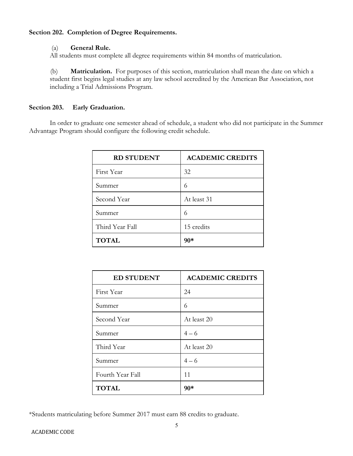# **Section 202. Completion of Degree Requirements.**

# (a) **General Rule.**

All students must complete all degree requirements within 84 months of matriculation.

(b) **Matriculation.** For purposes of this section, matriculation shall mean the date on which a student first begins legal studies at any law school accredited by the American Bar Association, not including a Trial Admissions Program.

# **Section 203. Early Graduation.**

In order to graduate one semester ahead of schedule, a student who did not participate in the Summer Advantage Program should configure the following credit schedule.

| <b>RD STUDENT</b> | <b>ACADEMIC CREDITS</b> |
|-------------------|-------------------------|
| First Year        | 32                      |
| Summer            | 6                       |
| Second Year       | At least 31             |
| Summer            | 6                       |
| Third Year Fall   | 15 credits              |
| <b>TOTAL</b>      | 90*                     |

| <b>ED STUDENT</b> | <b>ACADEMIC CREDITS</b> |
|-------------------|-------------------------|
| First Year        | 24                      |
| Summer            | 6                       |
| Second Year       | At least 20             |
| Summer            | $4 - 6$                 |
| Third Year        | At least 20             |
| Summer            | $4 - 6$                 |
| Fourth Year Fall  | 11                      |
| <b>TOTAL</b>      | $90*$                   |

\*Students matriculating before Summer 2017 must earn 88 credits to graduate.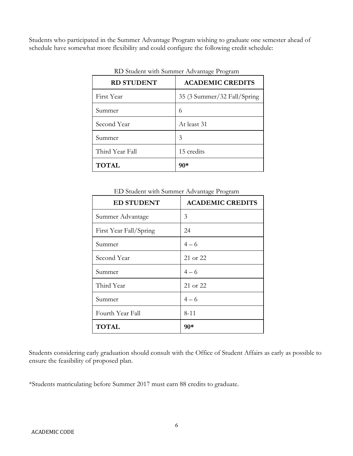Students who participated in the Summer Advantage Program wishing to graduate one semester ahead of schedule have somewhat more flexibility and could configure the following credit schedule:

| <b>RD STUDENT</b> | <b>ACADEMIC CREDITS</b>     |  |  |
|-------------------|-----------------------------|--|--|
| First Year        | 35 (3 Summer/32 Fall/Spring |  |  |
| Summer            | 6                           |  |  |
| Second Year       | At least 31                 |  |  |
| Summer            | 3                           |  |  |
| Third Year Fall   | 15 credits                  |  |  |
| <b>TOTAL</b>      | 90*                         |  |  |

RD Student with Summer Advantage Program

ED Student with Summer Advantage Program

| <b>ED STUDENT</b>      | <b>ACADEMIC CREDITS</b> |
|------------------------|-------------------------|
| Summer Advantage       | 3                       |
| First Year Fall/Spring | 24                      |
| Summer                 | $4 - 6$                 |
| Second Year            | 21 or 22                |
| Summer                 | $4 - 6$                 |
| Third Year             | 21 or 22                |
| Summer                 | $4 - 6$                 |
| Fourth Year Fall       | $8 - 11$                |
| <b>TOTAL</b>           | 90*                     |

Students considering early graduation should consult with the Office of Student Affairs as early as possible to ensure the feasibility of proposed plan.

\*Students matriculating before Summer 2017 must earn 88 credits to graduate.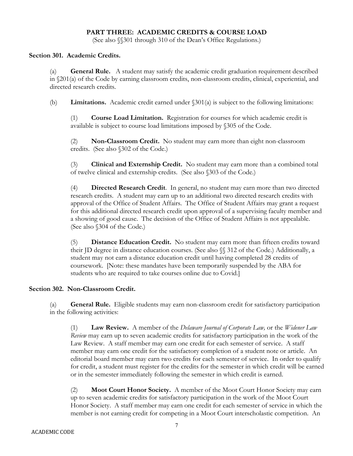# **PART THREE: ACADEMIC CREDITS & COURSE LOAD**

(See also §§301 through 310 of the Dean's Office Regulations.)

#### **Section 301. Academic Credits.**

(a) **General Rule.** A student may satisfy the academic credit graduation requirement described in §201(a) of the Code by earning classroom credits, non-classroom credits, clinical, experiential, and directed research credits.

(b) **Limitations.** Academic credit earned under §301(a) is subject to the following limitations:

(1) **Course Load Limitation.** Registration for courses for which academic credit is available is subject to course load limitations imposed by §305 of the Code.

(2) **Non-Classroom Credit.** No student may earn more than eight non-classroom credits. (See also §302 of the Code.)

(3) **Clinical and Externship Credit.** No student may earn more than a combined total of twelve clinical and externship credits. (See also §303 of the Code.)

(4) **Directed Research Credit**. In general, no student may earn more than two directed research credits. A student may earn up to an additional two directed research credits with approval of the Office of Student Affairs. The Office of Student Affairs may grant a request for this additional directed research credit upon approval of a supervising faculty member and a showing of good cause. The decision of the Office of Student Affairs is not appealable. (See also §304 of the Code.)

(5) **Distance Education Credit.** No student may earn more than fifteen credits toward their JD degree in distance education courses. (See also §§ 312 of the Code.) Additionally, a student may not earn a distance education credit until having completed 28 credits of coursework. [Note: these mandates have been temporarily suspended by the ABA for students who are required to take courses online due to Covid.]

#### **Section 302. Non-Classroom Credit.**

(a) **General Rule.** Eligible students may earn non-classroom credit for satisfactory participation in the following activities:

(1) **Law Review.** A member of the *Delaware Journal of Corporate Law,* or the *Widener Law Review* may earn up to seven academic credits for satisfactory participation in the work of the Law Review. A staff member may earn one credit for each semester of service. A staff member may earn one credit for the satisfactory completion of a student note or article. An editorial board member may earn two credits for each semester of service. In order to qualify for credit, a student must register for the credits for the semester in which credit will be earned or in the semester immediately following the semester in which credit is earned.

(2) **Moot Court Honor Society.** A member of the Moot Court Honor Society may earn up to seven academic credits for satisfactory participation in the work of the Moot Court Honor Society. A staff member may earn one credit for each semester of service in which the member is not earning credit for competing in a Moot Court interscholastic competition. An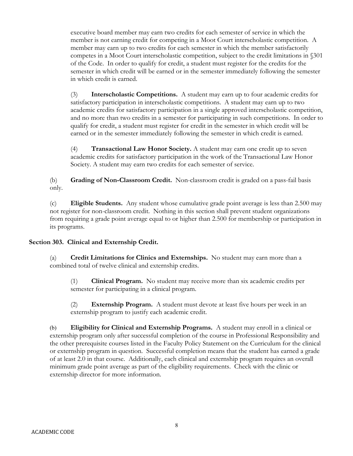executive board member may earn two credits for each semester of service in which the member is not earning credit for competing in a Moot Court interscholastic competition. A member may earn up to two credits for each semester in which the member satisfactorily competes in a Moot Court interscholastic competition, subject to the credit limitations in §301 of the Code. In order to qualify for credit, a student must register for the credits for the semester in which credit will be earned or in the semester immediately following the semester in which credit is earned.

(3) **Interscholastic Competitions.** A student may earn up to four academic credits for satisfactory participation in interscholastic competitions. A student may earn up to two academic credits for satisfactory participation in a single approved interscholastic competition, and no more than two credits in a semester for participating in such competitions. In order to qualify for credit, a student must register for credit in the semester in which credit will be earned or in the semester immediately following the semester in which credit is earned.

(4) **Transactional Law Honor Society.** A student may earn one credit up to seven academic credits for satisfactory participation in the work of the Transactional Law Honor Society. A student may earn two credits for each semester of service.

(b) **Grading of Non-Classroom Credit.** Non-classroom credit is graded on a pass-fail basis only.

(c) **Eligible Students.** Any student whose cumulative grade point average is less than 2.500 may not register for non-classroom credit. Nothing in this section shall prevent student organizations from requiring a grade point average equal to or higher than 2.500 for membership or participation in its programs.

# **Section 303. Clinical and Externship Credit.**

(a) **Credit Limitations for Clinics and Externships.** No student may earn more than a combined total of twelve clinical and externship credits.

(1) **Clinical Program.** No student may receive more than six academic credits per semester for participating in a clinical program.

(2) **Externship Program.** A student must devote at least five hours per week in an externship program to justify each academic credit.

(b) **Eligibility for Clinical and Externship Programs.** A student may enroll in a clinical or externship program only after successful completion of the course in Professional Responsibility and the other prerequisite courses listed in the Faculty Policy Statement on the Curriculum for the clinical or externship program in question. Successful completion means that the student has earned a grade of at least 2.0 in that course. Additionally, each clinical and externship program requires an overall minimum grade point average as part of the eligibility requirements. Check with the clinic or externship director for more information.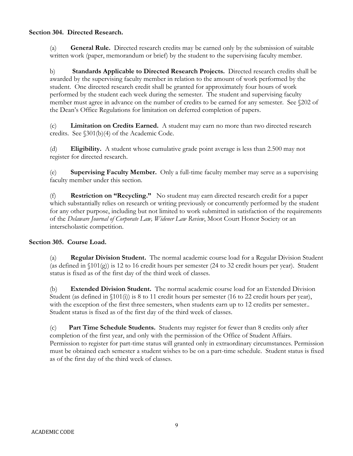# **Section 304. Directed Research.**

(a) **General Rule.** Directed research credits may be earned only by the submission of suitable written work (paper, memorandum or brief) by the student to the supervising faculty member.

b) **Standards Applicable to Directed Research Projects.** Directed research credits shall be awarded by the supervising faculty member in relation to the amount of work performed by the student. One directed research credit shall be granted for approximately four hours of work performed by the student each week during the semester. The student and supervising faculty member must agree in advance on the number of credits to be earned for any semester. See §202 of the Dean's Office Regulations for limitation on deferred completion of papers.

(c) **Limitation on Credits Earned.** A student may earn no more than two directed research credits. See §301(b)(4) of the Academic Code.

(d) **Eligibility.** A student whose cumulative grade point average is less than 2.500 may not register for directed research.

(e) **Supervising Faculty Member.** Only a full-time faculty member may serve as a supervising faculty member under this section.

(f) **Restriction on "Recycling."** No student may earn directed research credit for a paper which substantially relies on research or writing previously or concurrently performed by the student for any other purpose, including but not limited to work submitted in satisfaction of the requirements of the *Delaware Journal of Corporate Law, Widener Law Review*, Moot Court Honor Society or an interscholastic competition.

# **Section 305. Course Load.**

(a) **Regular Division Student.** The normal academic course load for a Regular Division Student (as defined in §101(g)) is 12 to 16 credit hours per semester (24 to 32 credit hours per year). Student status is fixed as of the first day of the third week of classes.

(b) **Extended Division Student.** The normal academic course load for an Extended Division Student (as defined in  $(101(i))$  is 8 to 11 credit hours per semester (16 to 22 credit hours per year), with the exception of the first three semesters, when students earn up to 12 credits per semester.. Student status is fixed as of the first day of the third week of classes.

(c) **Part Time Schedule Students.** Students may register for fewer than 8 credits only after completion of the first year, and only with the permission of the Office of Student Affairs. Permission to register for part-time status will granted only in extraordinary circumstances. Permission must be obtained each semester a student wishes to be on a part-time schedule. Student status is fixed as of the first day of the third week of classes.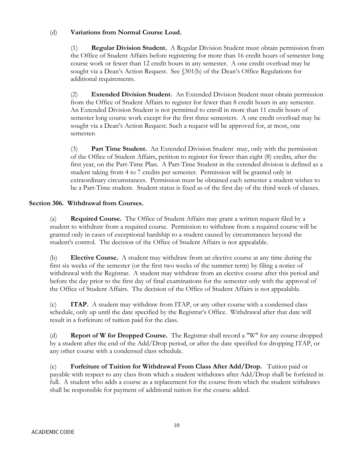# (d) **Variations from Normal Course Load.**

(1) **Regular Division Student.** A Regular Division Student must obtain permission from the Office of Student Affairs before registering for more than 16 credit hours of semester long course work or fewer than 12 credit hours in any semester. A one credit overload may be sought via a Dean's Action Request. See  $(301(b)$  of the Dean's Office Regulations for additional requirements.

(2) **Extended Division Student.** An Extended Division Student must obtain permission from the Office of Student Affairs to register for fewer than 8 credit hours in any semester. An Extended Division Student is not permitted to enroll in more than 11 credit hours of semester long course work except for the first three semesters. A one credit overload may be sought via a Dean's Action Request. Such a request will be approved for, at most, one semester.

(3) **Part Time Student.** An Extended Division Student may, only with the permission of the Office of Student Affairs, petition to register for fewer than eight (8) credits, after the first year, on the Part-Time Plan. A Part-Time Student in the extended division is defined as a student taking from 4 to 7 credits per semester. Permission will be granted only in extraordinary circumstances. Permission must be obtained each semester a student wishes to be a Part-Time student. Student status is fixed as of the first day of the third week of classes.

# **Section 306. Withdrawal from Courses.**

(a) **Required Course.** The Office of Student Affairs may grant a written request filed by a student to withdraw from a required course. Permission to withdraw from a required course will be granted only in cases of exceptional hardship to a student caused by circumstances beyond the student's control. The decision of the Office of Student Affairs is not appealable.

(b) **Elective Course.** A student may withdraw from an elective course at any time during the first six weeks of the semester (or the first two weeks of the summer term) by filing a notice of withdrawal with the Registrar. A student may withdraw from an elective course after this period and before the day prior to the first day of final examinations for the semester only with the approval of the Office of Student Affairs. The decision of the Office of Student Affairs is not appealable.

(c) **ITAP.** A student may withdraw from ITAP, or any other course with a condensed class schedule, only up until the date specified by the Registrar's Office. Withdrawal after that date will result in a forfeiture of tuition paid for the class.

(d) **Report of W for Dropped Course.** The Registrar shall record a "W" for any course dropped by a student after the end of the Add/Drop period, or after the date specified for dropping ITAP, or any other course with a condensed class schedule.

(e) **Forfeiture of Tuition for Withdrawal From Class After Add/Drop.** Tuition paid or payable with respect to any class from which a student withdraws after Add/Drop shall be forfeited in full. A student who adds a course as a replacement for the course from which the student withdraws shall be responsible for payment of additional tuition for the course added.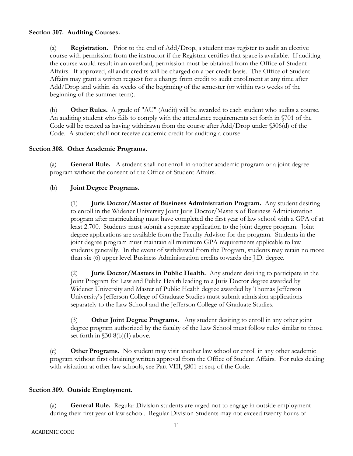# **Section 307. Auditing Courses.**

(a) **Registration.** Prior to the end of Add/Drop, a student may register to audit an elective course with permission from the instructor if the Registrar certifies that space is available. If auditing the course would result in an overload, permission must be obtained from the Office of Student Affairs. If approved, all audit credits will be charged on a per credit basis. The Office of Student Affairs may grant a written request for a change from credit to audit enrollment at any time after Add/Drop and within six weeks of the beginning of the semester (or within two weeks of the beginning of the summer term).

(b) **Other Rules.** A grade of "AU" (Audit) will be awarded to each student who audits a course. An auditing student who fails to comply with the attendance requirements set forth in §701 of the Code will be treated as having withdrawn from the course after Add/Drop under §306(d) of the Code. A student shall not receive academic credit for auditing a course.

# **Section 308. Other Academic Programs.**

(a) **General Rule.** A student shall not enroll in another academic program or a joint degree program without the consent of the Office of Student Affairs.

# (b) **Joint Degree Programs.**

(1) **Juris Doctor/Master of Business Administration Program.** Any student desiring to enroll in the Widener University Joint Juris Doctor/Masters of Business Administration program after matriculating must have completed the first year of law school with a GPA of at least 2.700. Students must submit a separate application to the joint degree program. Joint degree applications are available from the Faculty Advisor for the program. Students in the joint degree program must maintain all minimum GPA requirements applicable to law students generally. In the event of withdrawal from the Program, students may retain no more than six (6) upper level Business Administration credits towards the J.D. degree.

(2) **Juris Doctor/Masters in Public Health.** Any student desiring to participate in the Joint Program for Law and Public Health leading to a Juris Doctor degree awarded by Widener University and Master of Public Health degree awarded by Thomas Jefferson University's Jefferson College of Graduate Studies must submit admission applications separately to the Law School and the Jefferson College of Graduate Studies.

(3) **Other Joint Degree Programs.** Any student desiring to enroll in any other joint degree program authorized by the faculty of the Law School must follow rules similar to those set forth in §30 8(b)(1) above.

(c) **Other Programs.** No student may visit another law school or enroll in any other academic program without first obtaining written approval from the Office of Student Affairs. For rules dealing with visitation at other law schools, see Part VIII, §801 et seq. of the Code.

# **Section 309. Outside Employment.**

(a) **General Rule.** Regular Division students are urged not to engage in outside employment during their first year of law school. Regular Division Students may not exceed twenty hours of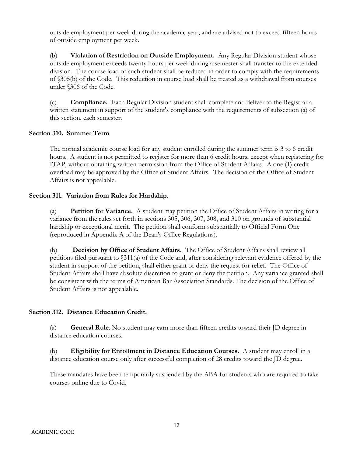outside employment per week during the academic year, and are advised not to exceed fifteen hours of outside employment per week.

(b) **Violation of Restriction on Outside Employment.** Any Regular Division student whose outside employment exceeds twenty hours per week during a semester shall transfer to the extended division. The course load of such student shall be reduced in order to comply with the requirements of §305(b) of the Code. This reduction in course load shall be treated as a withdrawal from courses under §306 of the Code.

(c) **Compliance.** Each Regular Division student shall complete and deliver to the Registrar a written statement in support of the student's compliance with the requirements of subsection (a) of this section, each semester.

# **Section 310. Summer Term**

The normal academic course load for any student enrolled during the summer term is 3 to 6 credit hours. A student is not permitted to register for more than 6 credit hours, except when registering for ITAP, without obtaining written permission from the Office of Student Affairs. A one (1) credit overload may be approved by the Office of Student Affairs. The decision of the Office of Student Affairs is not appealable.

# **Section 311. Variation from Rules for Hardship.**

(a) **Petition for Variance.** A student may petition the Office of Student Affairs in writing for a variance from the rules set forth in sections 305, 306, 307, 308, and 310 on grounds of substantial hardship or exceptional merit. The petition shall conform substantially to Official Form One (reproduced in Appendix A of the Dean's Office Regulations).

(b) **Decision by Office of Student Affairs.** The Office of Student Affairs shall review all petitions filed pursuant to §311(a) of the Code and, after considering relevant evidence offered by the student in support of the petition, shall either grant or deny the request for relief. The Office of Student Affairs shall have absolute discretion to grant or deny the petition. Any variance granted shall be consistent with the terms of American Bar Association Standards. The decision of the Office of Student Affairs is not appealable.

# **Section 312. Distance Education Credit.**

(a) **General Rule**. No student may earn more than fifteen credits toward their JD degree in distance education courses.

(b) **Eligibility for Enrollment in Distance Education Courses.** A student may enroll in a distance education course only after successful completion of 28 credits toward the JD degree.

These mandates have been temporarily suspended by the ABA for students who are required to take courses online due to Covid.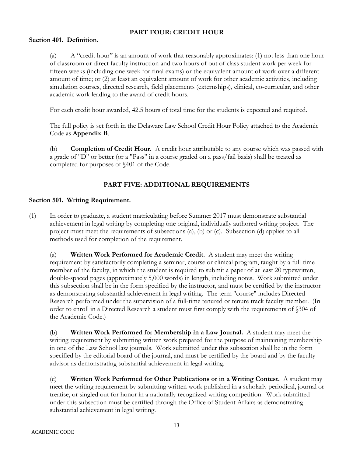# **PART FOUR: CREDIT HOUR**

# **Section 401. Definition.**

(a) A "credit hour" is an amount of work that reasonably approximates: (1) not less than one hour of classroom or direct faculty instruction and two hours of out of class student work per week for fifteen weeks (including one week for final exams) or the equivalent amount of work over a different amount of time; or (2) at least an equivalent amount of work for other academic activities, including simulation courses, directed research, field placements (externships), clinical, co-curricular, and other academic work leading to the award of credit hours.

For each credit hour awarded, 42.5 hours of total time for the students is expected and required.

The full policy is set forth in the Delaware Law School Credit Hour Policy attached to the Academic Code as **Appendix B**.

(b) **Completion of Credit Hour.** A credit hour attributable to any course which was passed with a grade of "D" or better (or a "Pass" in a course graded on a pass/fail basis) shall be treated as completed for purposes of §401 of the Code.

# **PART FIVE: ADDITIONAL REQUIREMENTS**

# **Section 501. Writing Requirement.**

(1) In order to graduate, a student matriculating before Summer 2017 must demonstrate substantial achievement in legal writing by completing one original, individually authored writing project. The project must meet the requirements of subsections (a), (b) or (c). Subsection (d) applies to all methods used for completion of the requirement.

(a) **Written Work Performed for Academic Credit.** A student may meet the writing requirement by satisfactorily completing a seminar, course or clinical program, taught by a full-time member of the faculty, in which the student is required to submit a paper of at least 20 typewritten, double-spaced pages (approximately 5,000 words) in length, including notes. Work submitted under this subsection shall be in the form specified by the instructor, and must be certified by the instructor as demonstrating substantial achievement in legal writing. The term "course" includes Directed Research performed under the supervision of a full-time tenured or tenure track faculty member. (In order to enroll in a Directed Research a student must first comply with the requirements of §304 of the Academic Code.)

(b) **Written Work Performed for Membership in a Law Journal.** A student may meet the writing requirement by submitting written work prepared for the purpose of maintaining membership in one of the Law School law journals. Work submitted under this subsection shall be in the form specified by the editorial board of the journal, and must be certified by the board and by the faculty advisor as demonstrating substantial achievement in legal writing.

(c) **Written Work Performed for Other Publications or in a Writing Contest.** A student may meet the writing requirement by submitting written work published in a scholarly periodical, journal or treatise, or singled out for honor in a nationally recognized writing competition. Work submitted under this subsection must be certified through the Office of Student Affairs as demonstrating substantial achievement in legal writing.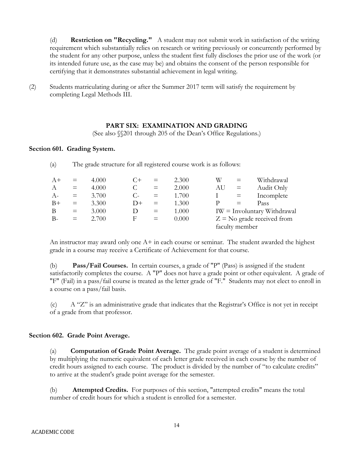(d) **Restriction on "Recycling."** A student may not submit work in satisfaction of the writing requirement which substantially relies on research or writing previously or concurrently performed by the student for any other purpose, unless the student first fully discloses the prior use of the work (or its intended future use, as the case may be) and obtains the consent of the person responsible for certifying that it demonstrates substantial achievement in legal writing.

(2) Students matriculating during or after the Summer 2017 term will satisfy the requirement by completing Legal Methods III.

(a) The grade structure for all registered course work is as follows:

# **PART SIX: EXAMINATION AND GRADING**

(See also §§201 through 205 of the Dean's Office Regulations.)

#### **Section 601. Grading System.**

| $A+$             | $=$          | 4.000 | $($ + | $=$ | 2.300 | W  | $=$            | Withdrawal                       |
|------------------|--------------|-------|-------|-----|-------|----|----------------|----------------------------------|
| $\boldsymbol{A}$ | $=$          | 4.000 |       | $=$ | 2.000 | AU | $=$            | Audit Only                       |
| $A-$             | $\alpha = 1$ | 3.700 | $C$ - | $=$ | 1.700 |    | $=$            | Incomplete                       |
| $B+$             | $\equiv$     | 3.300 | $D+$  | $=$ | 1.300 |    |                | Pass                             |
| B                | $=$          | 3.000 | Ð     | $=$ | 1.000 |    |                | $IW = Involutary Without a wall$ |
| $B -$            | $\equiv$     | 2.700 | F     | $=$ | 0.000 |    |                | $Z = No$ grade received from     |
|                  |              |       |       |     |       |    | faculty member |                                  |

An instructor may award only one  $A+$  in each course or seminar. The student awarded the highest grade in a course may receive a Certificate of Achievement for that course.

(b) **Pass/Fail Courses.** In certain courses, a grade of "P" (Pass) is assigned if the student satisfactorily completes the course. A "P" does not have a grade point or other equivalent. A grade of "F" (Fail) in a pass/fail course is treated as the letter grade of "F." Students may not elect to enroll in a course on a pass/fail basis.

(c) A "Z" is an administrative grade that indicates that the Registrar's Office is not yet in receipt of a grade from that professor.

# **Section 602. Grade Point Average.**

(a) **Computation of Grade Point Average.** The grade point average of a student is determined by multiplying the numeric equivalent of each letter grade received in each course by the number of credit hours assigned to each course. The product is divided by the number of "to calculate credits" to arrive at the student's grade point average for the semester.

(b) **Attempted Credits.** For purposes of this section, "attempted credits" means the total number of credit hours for which a student is enrolled for a semester.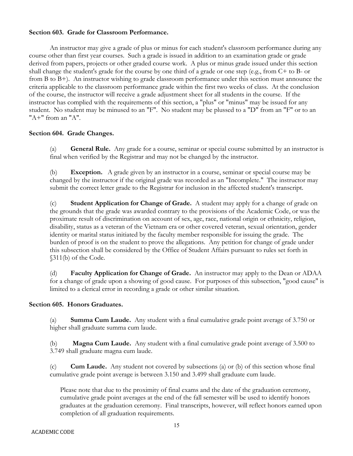# **Section 603. Grade for Classroom Performance.**

An instructor may give a grade of plus or minus for each student's classroom performance during any course other than first year courses. Such a grade is issued in addition to an examination grade or grade derived from papers, projects or other graded course work. A plus or minus grade issued under this section shall change the student's grade for the course by one third of a grade or one step (e.g., from C+ to B- or from B to B+). An instructor wishing to grade classroom performance under this section must announce the criteria applicable to the classroom performance grade within the first two weeks of class. At the conclusion of the course, the instructor will receive a grade adjustment sheet for all students in the course. If the instructor has complied with the requirements of this section, a "plus" or "minus" may be issued for any student. No student may be minused to an "F". No student may be plussed to a "D" from an "F" or to an "A+" from an "A".

# **Section 604. Grade Changes.**

(a) **General Rule.** Any grade for a course, seminar or special course submitted by an instructor is final when verified by the Registrar and may not be changed by the instructor.

(b) **Exception.** A grade given by an instructor in a course, seminar or special course may be changed by the instructor if the original grade was recorded as an "Incomplete." The instructor may submit the correct letter grade to the Registrar for inclusion in the affected student's transcript.

(c) **Student Application for Change of Grade.** A student may apply for a change of grade on the grounds that the grade was awarded contrary to the provisions of the Academic Code, or was the proximate result of discrimination on account of sex, age, race, national origin or ethnicity, religion, disability, status as a veteran of the Vietnam era or other covered veteran, sexual orientation, gender identity or marital status initiated by the faculty member responsible for issuing the grade. The burden of proof is on the student to prove the allegations. Any petition for change of grade under this subsection shall be considered by the Office of Student Affairs pursuant to rules set forth in §311(b) of the Code.

(d) **Faculty Application for Change of Grade.** An instructor may apply to the Dean or ADAA for a change of grade upon a showing of good cause. For purposes of this subsection, "good cause" is limited to a clerical error in recording a grade or other similar situation.

# **Section 605. Honors Graduates.**

(a) **Summa Cum Laude.** Any student with a final cumulative grade point average of 3.750 or higher shall graduate summa cum laude.

(b) **Magna Cum Laude.** Any student with a final cumulative grade point average of 3.500 to 3.749 shall graduate magna cum laude.

(c) **Cum Laude.** Any student not covered by subsections (a) or (b) of this section whose final cumulative grade point average is between 3.150 and 3.499 shall graduate cum laude.

Please note that due to the proximity of final exams and the date of the graduation ceremony, cumulative grade point averages at the end of the fall semester will be used to identify honors graduates at the graduation ceremony. Final transcripts, however, will reflect honors earned upon completion of all graduation requirements.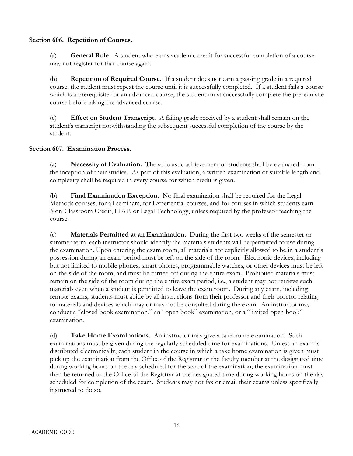# **Section 606. Repetition of Courses.**

(a) **General Rule.** A student who earns academic credit for successful completion of a course may not register for that course again.

(b) **Repetition of Required Course.** If a student does not earn a passing grade in a required course, the student must repeat the course until it is successfully completed. If a student fails a course which is a prerequisite for an advanced course, the student must successfully complete the prerequisite course before taking the advanced course.

(c) **Effect on Student Transcript.** A failing grade received by a student shall remain on the student's transcript notwithstanding the subsequent successful completion of the course by the student.

# **Section 607. Examination Process.**

(a) **Necessity of Evaluation.** The scholastic achievement of students shall be evaluated from the inception of their studies. As part of this evaluation, a written examination of suitable length and complexity shall be required in every course for which credit is given.

(b) **Final Examination Exception.** No final examination shall be required for the Legal Methods courses, for all seminars, for Experiential courses, and for courses in which students earn Non-Classroom Credit, ITAP, or Legal Technology, unless required by the professor teaching the course.

(c) **Materials Permitted at an Examination.** During the first two weeks of the semester or summer term, each instructor should identify the materials students will be permitted to use during the examination. Upon entering the exam room, all materials not explicitly allowed to be in a student's possession during an exam period must be left on the side of the room. Electronic devices, including but not limited to mobile phones, smart phones, programmable watches, or other devices must be left on the side of the room, and must be turned off during the entire exam. Prohibited materials must remain on the side of the room during the entire exam period, i.e., a student may not retrieve such materials even when a student is permitted to leave the exam room. During any exam, including remote exams, students must abide by all instructions from their professor and their proctor relating to materials and devices which may or may not be consulted during the exam. An instructor may conduct a "closed book examination," an "open book" examination, or a "limited open book" examination.

(d) **Take Home Examinations.** An instructor may give a take home examination. Such examinations must be given during the regularly scheduled time for examinations. Unless an exam is distributed electronically, each student in the course in which a take home examination is given must pick up the examination from the Office of the Registrar or the faculty member at the designated time during working hours on the day scheduled for the start of the examination; the examination must then be returned to the Office of the Registrar at the designated time during working hours on the day scheduled for completion of the exam. Students may not fax or email their exams unless specifically instructed to do so.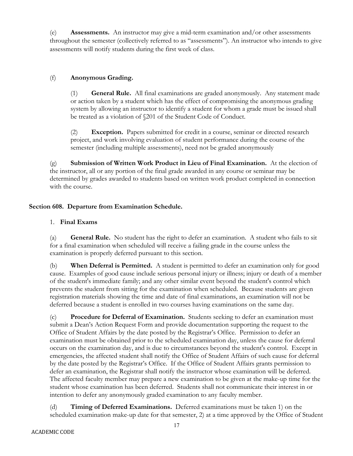(e) **Assessments.** An instructor may give a mid-term examination and/or other assessments throughout the semester (collectively referred to as "assessments"). An instructor who intends to give assessments will notify students during the first week of class.

# (f) **Anonymous Grading.**

(1) **General Rule.** All final examinations are graded anonymously. Any statement made or action taken by a student which has the effect of compromising the anonymous grading system by allowing an instructor to identify a student for whom a grade must be issued shall be treated as a violation of §201 of the Student Code of Conduct.

(2) **Exception.** Papers submitted for credit in a course, seminar or directed research project, and work involving evaluation of student performance during the course of the semester (including multiple assessments), need not be graded anonymously

(g) **Submission of Written Work Product in Lieu of Final Examination.** At the election of the instructor, all or any portion of the final grade awarded in any course or seminar may be determined by grades awarded to students based on written work product completed in connection with the course.

# **Section 608. Departure from Examination Schedule.**

# 1. **Final Exams**

(a) **General Rule.** No student has the right to defer an examination. A student who fails to sit for a final examination when scheduled will receive a failing grade in the course unless the examination is properly deferred pursuant to this section.

(b) **When Deferral is Permitted.** A student is permitted to defer an examination only for good cause. Examples of good cause include serious personal injury or illness; injury or death of a member of the student's immediate family; and any other similar event beyond the student's control which prevents the student from sitting for the examination when scheduled. Because students are given registration materials showing the time and date of final examinations, an examination will not be deferred because a student is enrolled in two courses having examinations on the same day.

(c) **Procedure for Deferral of Examination.** Students seeking to defer an examination must submit a Dean's Action Request Form and provide documentation supporting the request to the Office of Student Affairs by the date posted by the Registrar's Office. Permission to defer an examination must be obtained prior to the scheduled examination day, unless the cause for deferral occurs on the examination day, and is due to circumstances beyond the student's control. Except in emergencies, the affected student shall notify the Office of Student Affairs of such cause for deferral by the date posted by the Registrar's Office. If the Office of Student Affairs grants permission to defer an examination, the Registrar shall notify the instructor whose examination will be deferred. The affected faculty member may prepare a new examination to be given at the make-up time for the student whose examination has been deferred. Students shall not communicate their interest in or intention to defer any anonymously graded examination to any faculty member.

(d) **Timing of Deferred Examinations.** Deferred examinations must be taken 1) on the scheduled examination make-up date for that semester, 2) at a time approved by the Office of Student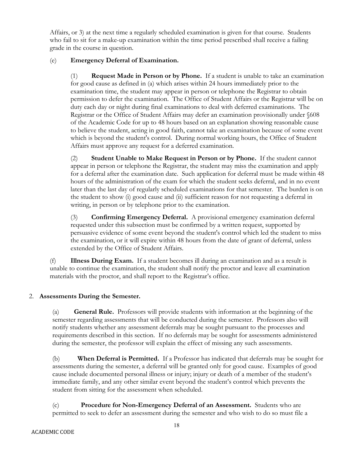Affairs, or 3) at the next time a regularly scheduled examination is given for that course. Students who fail to sit for a make-up examination within the time period prescribed shall receive a failing grade in the course in question.

# (e) **Emergency Deferral of Examination.**

(1) **Request Made in Person or by Phone.** If a student is unable to take an examination for good cause as defined in (a) which arises within 24 hours immediately prior to the examination time, the student may appear in person or telephone the Registrar to obtain permission to defer the examination. The Office of Student Affairs or the Registrar will be on duty each day or night during final examinations to deal with deferred examinations. The Registrar or the Office of Student Affairs may defer an examination provisionally under §608 of the Academic Code for up to 48 hours based on an explanation showing reasonable cause to believe the student, acting in good faith, cannot take an examination because of some event which is beyond the student's control. During normal working hours, the Office of Student Affairs must approve any request for a deferred examination.

(2) **Student Unable to Make Request in Person or by Phone.** If the student cannot appear in person or telephone the Registrar, the student may miss the examination and apply for a deferral after the examination date. Such application for deferral must be made within 48 hours of the administration of the exam for which the student seeks deferral, and in no event later than the last day of regularly scheduled examinations for that semester. The burden is on the student to show (i) good cause and (ii) sufficient reason for not requesting a deferral in writing, in person or by telephone prior to the examination.

(3) **Confirming Emergency Deferral.** A provisional emergency examination deferral requested under this subsection must be confirmed by a written request, supported by persuasive evidence of some event beyond the student's control which led the student to miss the examination, or it will expire within 48 hours from the date of grant of deferral, unless extended by the Office of Student Affairs.

(f) **Illness During Exam.** If a student becomes ill during an examination and as a result is unable to continue the examination, the student shall notify the proctor and leave all examination materials with the proctor, and shall report to the Registrar's office.

# 2. **Assessments During the Semester.**

(a) **General Rule.** Professors will provide students with information at the beginning of the semester regarding assessments that will be conducted during the semester. Professors also will notify students whether any assessment deferrals may be sought pursuant to the processes and requirements described in this section. If no deferrals may be sought for assessments administered during the semester, the professor will explain the effect of missing any such assessments.

(b) **When Deferral is Permitted.** If a Professor has indicated that deferrals may be sought for assessments during the semester, a deferral will be granted only for good cause. Examples of good cause include documented personal illness or injury; injury or death of a member of the student's immediate family, and any other similar event beyond the student's control which prevents the student from sitting for the assessment when scheduled.

(c) **Procedure for Non-Emergency Deferral of an Assessment.** Students who are permitted to seek to defer an assessment during the semester and who wish to do so must file a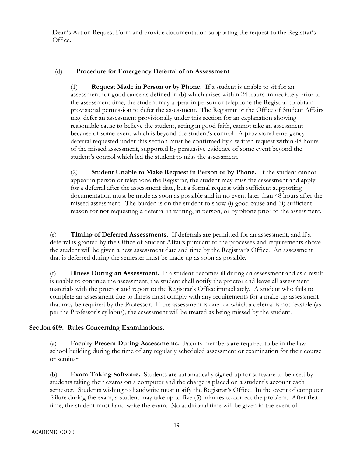Dean's Action Request Form and provide documentation supporting the request to the Registrar's Office.

# (d) **Procedure for Emergency Deferral of an Assessment**.

(1) **Request Made in Person or by Phone.** If a student is unable to sit for an assessment for good cause as defined in (b) which arises within 24 hours immediately prior to the assessment time, the student may appear in person or telephone the Registrar to obtain provisional permission to defer the assessment. The Registrar or the Office of Student Affairs may defer an assessment provisionally under this section for an explanation showing reasonable cause to believe the student, acting in good faith, cannot take an assessment because of some event which is beyond the student's control. A provisional emergency deferral requested under this section must be confirmed by a written request within 48 hours of the missed assessment, supported by persuasive evidence of some event beyond the student's control which led the student to miss the assessment.

(2) **Student Unable to Make Request in Person or by Phone.** If the student cannot appear in person or telephone the Registrar, the student may miss the assessment and apply for a deferral after the assessment date, but a formal request with sufficient supporting documentation must be made as soon as possible and in no event later than 48 hours after the missed assessment. The burden is on the student to show (i) good cause and (ii) sufficient reason for not requesting a deferral in writing, in person, or by phone prior to the assessment.

(e) **Timing of Deferred Assessments.** If deferrals are permitted for an assessment, and if a deferral is granted by the Office of Student Affairs pursuant to the processes and requirements above, the student will be given a new assessment date and time by the Registrar's Office. An assessment that is deferred during the semester must be made up as soon as possible.

(f) **Illness During an Assessment.** If a student becomes ill during an assessment and as a result is unable to continue the assessment, the student shall notify the proctor and leave all assessment materials with the proctor and report to the Registrar's Office immediately. A student who fails to complete an assessment due to illness must comply with any requirements for a make-up assessment that may be required by the Professor. If the assessment is one for which a deferral is not feasible (as per the Professor's syllabus), the assessment will be treated as being missed by the student.

# **Section 609. Rules Concerning Examinations.**

(a) **Faculty Present During Assessments.** Faculty members are required to be in the law school building during the time of any regularly scheduled assessment or examination for their course or seminar.

(b) **Exam-Taking Software.** Students are automatically signed up for software to be used by students taking their exams on a computer and the charge is placed on a student's account each semester. Students wishing to handwrite must notify the Registrar's Office. In the event of computer failure during the exam, a student may take up to five (5) minutes to correct the problem. After that time, the student must hand write the exam. No additional time will be given in the event of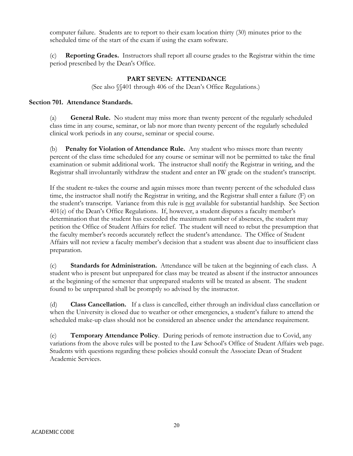computer failure. Students are to report to their exam location thirty (30) minutes prior to the scheduled time of the start of the exam if using the exam software.

(c) **Reporting Grades.** Instructors shall report all course grades to the Registrar within the time period prescribed by the Dean's Office.

# **PART SEVEN: ATTENDANCE**

(See also §§401 through 406 of the Dean's Office Regulations.)

# **Section 701. Attendance Standards.**

(a) **General Rule.** No student may miss more than twenty percent of the regularly scheduled class time in any course, seminar, or lab nor more than twenty percent of the regularly scheduled clinical work periods in any course, seminar or special course.

(b) **Penalty for Violation of Attendance Rule.** Any student who misses more than twenty percent of the class time scheduled for any course or seminar will not be permitted to take the final examination or submit additional work. The instructor shall notify the Registrar in writing, and the Registrar shall involuntarily withdraw the student and enter an IW grade on the student's transcript.

If the student re-takes the course and again misses more than twenty percent of the scheduled class time, the instructor shall notify the Registrar in writing, and the Registrar shall enter a failure (F) on the student's transcript. Variance from this rule is not available for substantial hardship. See Section 401(e) of the Dean's Office Regulations. If, however, a student disputes a faculty member's determination that the student has exceeded the maximum number of absences, the student may petition the Office of Student Affairs for relief. The student will need to rebut the presumption that the faculty member's records accurately reflect the student's attendance. The Office of Student Affairs will not review a faculty member's decision that a student was absent due to insufficient class preparation.

(c) **Standards for Administration.** Attendance will be taken at the beginning of each class. A student who is present but unprepared for class may be treated as absent if the instructor announces at the beginning of the semester that unprepared students will be treated as absent. The student found to be unprepared shall be promptly so advised by the instructor.

(d) **Class Cancellation.** If a class is cancelled, either through an individual class cancellation or when the University is closed due to weather or other emergencies, a student's failure to attend the scheduled make-up class should not be considered an absence under the attendance requirement.

(e) **Temporary Attendance Policy**. During periods of remote instruction due to Covid, any variations from the above rules will be posted to the Law School's Office of Student Affairs web page. Students with questions regarding these policies should consult the Associate Dean of Student Academic Services.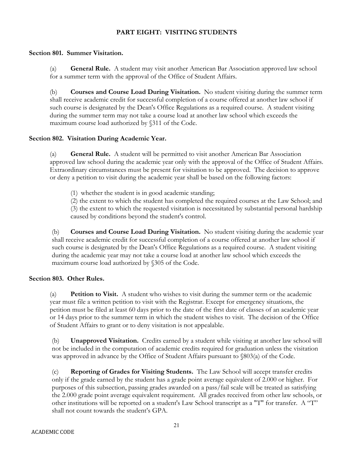# **PART EIGHT: VISITING STUDENTS**

# **Section 801. Summer Visitation.**

(a) **General Rule.** A student may visit another American Bar Association approved law school for a summer term with the approval of the Office of Student Affairs.

(b) **Courses and Course Load During Visitation.** No student visiting during the summer term shall receive academic credit for successful completion of a course offered at another law school if such course is designated by the Dean's Office Regulations as a required course. A student visiting during the summer term may not take a course load at another law school which exceeds the maximum course load authorized by §311 of the Code.

# **Section 802. Visitation During Academic Year.**

(a) **General Rule.** A student will be permitted to visit another American Bar Association approved law school during the academic year only with the approval of the Office of Student Affairs. Extraordinary circumstances must be present for visitation to be approved. The decision to approve or deny a petition to visit during the academic year shall be based on the following factors:

(1) whether the student is in good academic standing;

(2) the extent to which the student has completed the required courses at the Law School; and (3) the extent to which the requested visitation is necessitated by substantial personal hardship caused by conditions beyond the student's control.

(b) **Courses and Course Load During Visitation.** No student visiting during the academic year shall receive academic credit for successful completion of a course offered at another law school if such course is designated by the Dean's Office Regulations as a required course. A student visiting during the academic year may not take a course load at another law school which exceeds the maximum course load authorized by §305 of the Code.

# **Section 803. Other Rules.**

(a) **Petition to Visit.** A student who wishes to visit during the summer term or the academic year must file a written petition to visit with the Registrar. Except for emergency situations, the petition must be filed at least 60 days prior to the date of the first date of classes of an academic year or 14 days prior to the summer term in which the student wishes to visit. The decision of the Office of Student Affairs to grant or to deny visitation is not appealable.

(b) **Unapproved Visitation.** Credits earned by a student while visiting at another law school will not be included in the computation of academic credits required for graduation unless the visitation was approved in advance by the Office of Student Affairs pursuant to §803(a) of the Code.

(c) **Reporting of Grades for Visiting Students.** The Law School will accept transfer credits only if the grade earned by the student has a grade point average equivalent of 2.000 or higher. For purposes of this subsection, passing grades awarded on a pass/fail scale will be treated as satisfying the 2.000 grade point average equivalent requirement. All grades received from other law schools, or other institutions will be reported on a student's Law School transcript as a "T" for transfer. A "T" shall not count towards the student's GPA.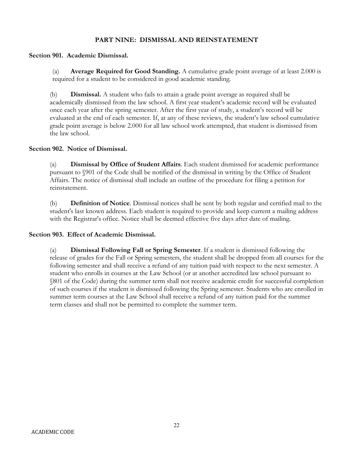# **PART NINE: DISMISSAL AND REINSTATEMENT**

# **Section 901. Academic Dismissal.**

(a) **Average Required for Good Standing.** A cumulative grade point average of at least 2.000 is required for a student to be considered in good academic standing.

(b) **Dismissal.** A student who fails to attain a grade point average as required shall be academically dismissed from the law school. A first year student's academic record will be evaluated once each year after the spring semester. After the first year of study, a student's record will be evaluated at the end of each semester. If, at any of these reviews, the student's law school cumulative grade point average is below 2.000 for all law school work attempted, that student is dismissed from the law school.

# **Section 902. Notice of Dismissal.**

(a) **Dismissal by Office of Student Affairs**. Each student dismissed for academic performance pursuant to §901 of the Code shall be notified of the dismissal in writing by the Office of Student Affairs. The notice of dismissal shall include an outline of the procedure for filing a petition for reinstatement.

(b) **Definition of Notice**. Dismissal notices shall be sent by both regular and certified mail to the student's last known address. Each student is required to provide and keep current a mailing address with the Registrar's office. Notice shall be deemed effective five days after date of mailing.

# **Section 903. Effect of Academic Dismissal.**

(a) **Dismissal Following Fall or Spring Semester**. If a student is dismissed following the release of grades for the Fall or Spring semesters, the student shall be dropped from all courses for the following semester and shall receive a refund of any tuition paid with respect to the next semester. A student who enrolls in courses at the Law School (or at another accredited law school pursuant to §801 of the Code) during the summer term shall not receive academic credit for successful completion of such courses if the student is dismissed following the Spring semester. Students who are enrolled in summer term courses at the Law School shall receive a refund of any tuition paid for the summer term classes and shall not be permitted to complete the summer term.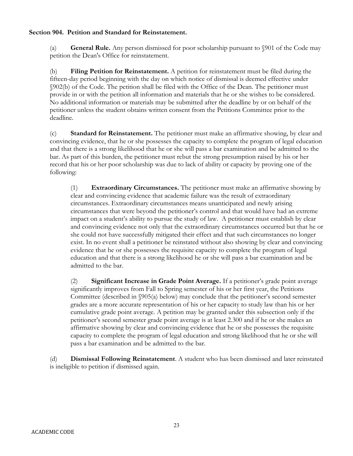# **Section 904. Petition and Standard for Reinstatement.**

(a) **General Rule.** Any person dismissed for poor scholarship pursuant to §901 of the Code may petition the Dean's Office for reinstatement.

(b) **Filing Petition for Reinstatement.** A petition for reinstatement must be filed during the fifteen-day period beginning with the day on which notice of dismissal is deemed effective under §902(b) of the Code. The petition shall be filed with the Office of the Dean. The petitioner must provide in or with the petition all information and materials that he or she wishes to be considered. No additional information or materials may be submitted after the deadline by or on behalf of the petitioner unless the student obtains written consent from the Petitions Committee prior to the deadline.

(c) **Standard for Reinstatement.** The petitioner must make an affirmative showing, by clear and convincing evidence, that he or she possesses the capacity to complete the program of legal education and that there is a strong likelihood that he or she will pass a bar examination and be admitted to the bar. As part of this burden, the petitioner must rebut the strong presumption raised by his or her record that his or her poor scholarship was due to lack of ability or capacity by proving one of the following:

(1) **Extraordinary Circumstances.** The petitioner must make an affirmative showing by clear and convincing evidence that academic failure was the result of extraordinary circumstances. Extraordinary circumstances means unanticipated and newly arising circumstances that were beyond the petitioner's control and that would have had an extreme impact on a student's ability to pursue the study of law. A petitioner must establish by clear and convincing evidence not only that the extraordinary circumstances occurred but that he or she could not have successfully mitigated their effect and that such circumstances no longer exist. In no event shall a petitioner be reinstated without also showing by clear and convincing evidence that he or she possesses the requisite capacity to complete the program of legal education and that there is a strong likelihood he or she will pass a bar examination and be admitted to the bar.

(2) **Significant Increase in Grade Point Average.** If a petitioner's grade point average significantly improves from Fall to Spring semester of his or her first year, the Petitions Committee (described in §905(a) below) may conclude that the petitioner's second semester grades are a more accurate representation of his or her capacity to study law than his or her cumulative grade point average. A petition may be granted under this subsection only if the petitioner's second semester grade point average is at least 2.300 and if he or she makes an affirmative showing by clear and convincing evidence that he or she possesses the requisite capacity to complete the program of legal education and strong likelihood that he or she will pass a bar examination and be admitted to the bar.

(d) **Dismissal Following Reinstatement**. A student who has been dismissed and later reinstated is ineligible to petition if dismissed again.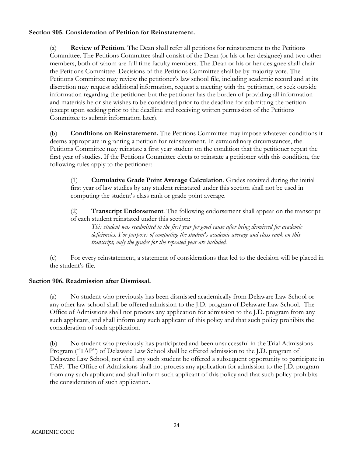# **Section 905. Consideration of Petition for Reinstatement.**

(a) **Review of Petition**. The Dean shall refer all petitions for reinstatement to the Petitions Committee. The Petitions Committee shall consist of the Dean (or his or her designee) and two other members, both of whom are full time faculty members. The Dean or his or her designee shall chair the Petitions Committee. Decisions of the Petitions Committee shall be by majority vote. The Petitions Committee may review the petitioner's law school file, including academic record and at its discretion may request additional information, request a meeting with the petitioner, or seek outside information regarding the petitioner but the petitioner has the burden of providing all information and materials he or she wishes to be considered prior to the deadline for submitting the petition (except upon seeking prior to the deadline and receiving written permission of the Petitions Committee to submit information later).

(b) **Conditions on Reinstatement.** The Petitions Committee may impose whatever conditions it deems appropriate in granting a petition for reinstatement. In extraordinary circumstances, the Petitions Committee may reinstate a first year student on the condition that the petitioner repeat the first year of studies. If the Petitions Committee elects to reinstate a petitioner with this condition, the following rules apply to the petitioner:

(1) **Cumulative Grade Point Average Calculation**. Grades received during the initial first year of law studies by any student reinstated under this section shall not be used in computing the student's class rank or grade point average.

(2) **Transcript Endorsement**. The following endorsement shall appear on the transcript of each student reinstated under this section:

*This student was readmitted to the first year for good cause after being dismissed for academic deficiencies. For purposes of computing the student's academic average and class rank on this transcript, only the grades for the repeated year are included.* 

(c) For every reinstatement, a statement of considerations that led to the decision will be placed in the student's file.

# **Section 906. Readmission after Dismissal.**

(a) No student who previously has been dismissed academically from Delaware Law School or any other law school shall be offered admission to the J.D. program of Delaware Law School. The Office of Admissions shall not process any application for admission to the J.D. program from any such applicant, and shall inform any such applicant of this policy and that such policy prohibits the consideration of such application.

(b) No student who previously has participated and been unsuccessful in the Trial Admissions Program ("TAP") of Delaware Law School shall be offered admission to the J.D. program of Delaware Law School, nor shall any such student be offered a subsequent opportunity to participate in TAP. The Office of Admissions shall not process any application for admission to the J.D. program from any such applicant and shall inform such applicant of this policy and that such policy prohibits the consideration of such application.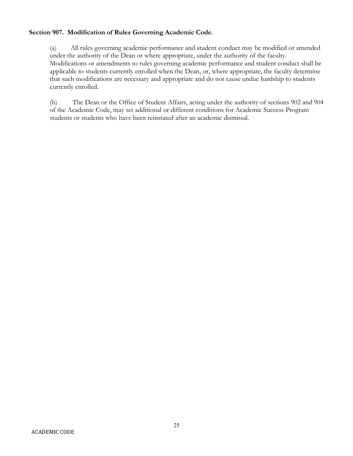# **Section 907. Modification of Rules Governing Academic Code.**

(a) All rules governing academic performance and student conduct may be modified or amended under the authority of the Dean or where appropriate, under the authority of the faculty. Modifications or amendments to rules governing academic performance and student conduct shall be applicable to students currently enrolled when the Dean, or, where appropriate, the faculty determine that such modifications are necessary and appropriate and do not cause undue hardship to students currently enrolled.

(b) The Dean or the Office of Student Affairs, acting under the authority of sections 902 and 904 of the Academic Code, may set additional or different conditions for Academic Success Program students or students who have been reinstated after an academic dismissal.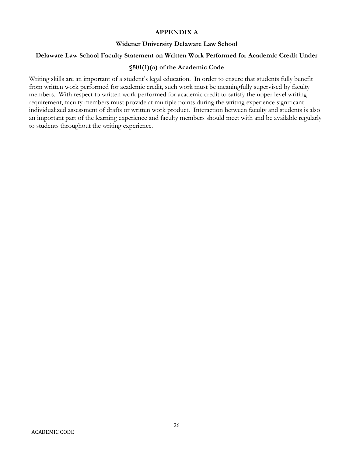# **APPENDIX A**

# **Widener University Delaware Law School**

#### **Delaware Law School Faculty Statement on Written Work Performed for Academic Credit Under**

# **§501(1)(a) of the Academic Code**

Writing skills are an important of a student's legal education. In order to ensure that students fully benefit from written work performed for academic credit, such work must be meaningfully supervised by faculty members. With respect to written work performed for academic credit to satisfy the upper level writing requirement, faculty members must provide at multiple points during the writing experience significant individualized assessment of drafts or written work product. Interaction between faculty and students is also an important part of the learning experience and faculty members should meet with and be available regularly to students throughout the writing experience.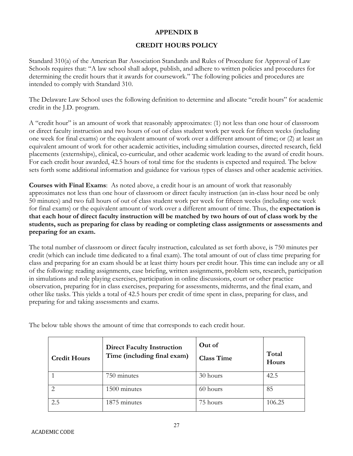# **APPENDIX B**

# **CREDIT HOURS POLICY**

Standard 310(a) of the American Bar Association Standards and Rules of Procedure for Approval of Law Schools requires that: "A law school shall adopt, publish, and adhere to written policies and procedures for determining the credit hours that it awards for coursework." The following policies and procedures are intended to comply with Standard 310.

The Delaware Law School uses the following definition to determine and allocate "credit hours" for academic credit in the J.D. program.

A "credit hour" is an amount of work that reasonably approximates: (1) not less than one hour of classroom or direct faculty instruction and two hours of out of class student work per week for fifteen weeks (including one week for final exams) or the equivalent amount of work over a different amount of time; or (2) at least an equivalent amount of work for other academic activities, including simulation courses, directed research, field placements (externships), clinical, co-curricular, and other academic work leading to the award of credit hours. For each credit hour awarded, 42.5 hours of total time for the students is expected and required. The below sets forth some additional information and guidance for various types of classes and other academic activities.

**Courses with Final Exams**: As noted above, a credit hour is an amount of work that reasonably approximates not less than one hour of classroom or direct faculty instruction (an in-class hour need be only 50 minutes) and two full hours of out of class student work per week for fifteen weeks (including one week for final exams) or the equivalent amount of work over a different amount of time. Thus, the **expectation is that each hour of direct faculty instruction will be matched by two hours of out of class work by the students, such as preparing for class by reading or completing class assignments or assessments and preparing for an exam.** 

The total number of classroom or direct faculty instruction, calculated as set forth above, is 750 minutes per credit (which can include time dedicated to a final exam). The total amount of out of class time preparing for class and preparing for an exam should be at least thirty hours per credit hour. This time can include any or all of the following: reading assignments, case briefing, written assignments, problem sets, research, participation in simulations and role playing exercises, participation in online discussions, court or other practice observation, preparing for in class exercises, preparing for assessments, midterms, and the final exam, and other like tasks. This yields a total of 42.5 hours per credit of time spent in class, preparing for class, and preparing for and taking assessments and exams.

| <b>Credit Hours</b> | <b>Direct Faculty Instruction</b><br>Time (including final exam) | Out of<br><b>Class Time</b> | Total<br>Hours |
|---------------------|------------------------------------------------------------------|-----------------------------|----------------|
|                     | 750 minutes                                                      | 30 hours                    | 42.5           |
|                     | 1500 minutes                                                     | 60 hours                    | 85             |
| 2.5                 | 1875 minutes                                                     | 75 hours                    | 106.25         |

The below table shows the amount of time that corresponds to each credit hour.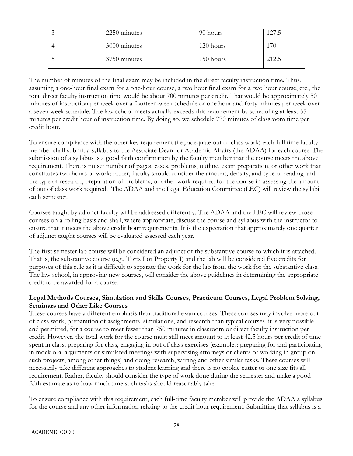| 2250 minutes | 90 hours  | 127.5 |
|--------------|-----------|-------|
| 3000 minutes | 120 hours |       |
| 3750 minutes | 150 hours | 212.5 |

The number of minutes of the final exam may be included in the direct faculty instruction time. Thus, assuming a one-hour final exam for a one-hour course, a two hour final exam for a two hour course, etc., the total direct faculty instruction time would be about 700 minutes per credit. That would be approximately 50 minutes of instruction per week over a fourteen-week schedule or one hour and forty minutes per week over a seven week schedule. The law school meets actually exceeds this requirement by scheduling at least 55 minutes per credit hour of instruction time. By doing so, we schedule 770 minutes of classroom time per credit hour.

To ensure compliance with the other key requirement (i.e., adequate out of class work) each full time faculty member shall submit a syllabus to the Associate Dean for Academic Affairs (the ADAA) for each course. The submission of a syllabus is a good faith confirmation by the faculty member that the course meets the above requirement. There is no set number of pages, cases, problems, outline, exam preparation, or other work that constitutes two hours of work; rather, faculty should consider the amount, density, and type of reading and the type of research, preparation of problems, or other work required for the course in assessing the amount of out of class work required. The ADAA and the Legal Education Committee (LEC) will review the syllabi each semester.

Courses taught by adjunct faculty will be addressed differently. The ADAA and the LEC will review those courses on a rolling basis and shall, where appropriate, discuss the course and syllabus with the instructor to ensure that it meets the above credit hour requirements. It is the expectation that approximately one quarter of adjunct taught courses will be evaluated assessed each year.

The first semester lab course will be considered an adjunct of the substantive course to which it is attached. That is, the substantive course (e.g., Torts I or Property I) and the lab will be considered five credits for purposes of this rule as it is difficult to separate the work for the lab from the work for the substantive class. The law school, in approving new courses, will consider the above guidelines in determining the appropriate credit to be awarded for a course.

## **Legal Methods Courses, Simulation and Skills Courses, Practicum Courses, Legal Problem Solving, Seminars and Other Like Courses**

These courses have a different emphasis than traditional exam courses. These courses may involve more out of class work, preparation of assignments, simulations, and research than typical courses, it is very possible, and permitted, for a course to meet fewer than 750 minutes in classroom or direct faculty instruction per credit. However, the total work for the course must still meet amount to at least 42.5 hours per credit of time spent in class, preparing for class, engaging in out of class exercises (examples: preparing for and participating in mock oral arguments or simulated meetings with supervising attorneys or clients or working in group on such projects, among other things) and doing research, writing and other similar tasks. These courses will necessarily take different approaches to student learning and there is no cookie cutter or one size fits all requirement. Rather, faculty should consider the type of work done during the semester and make a good faith estimate as to how much time such tasks should reasonably take.

To ensure compliance with this requirement, each full-time faculty member will provide the ADAA a syllabus for the course and any other information relating to the credit hour requirement. Submitting that syllabus is a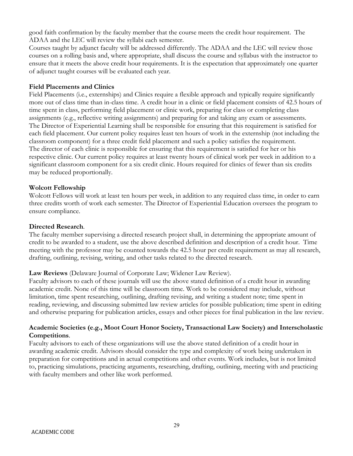good faith confirmation by the faculty member that the course meets the credit hour requirement. The ADAA and the LEC will review the syllabi each semester.

Courses taught by adjunct faculty will be addressed differently. The ADAA and the LEC will review those courses on a rolling basis and, where appropriate, shall discuss the course and syllabus with the instructor to ensure that it meets the above credit hour requirements. It is the expectation that approximately one quarter of adjunct taught courses will be evaluated each year.

### **Field Placements and Clinics**

Field Placements (i.e., externships) and Clinics require a flexible approach and typically require significantly more out of class time than in-class time. A credit hour in a clinic or field placement consists of 42.5 hours of time spent in class, performing field placement or clinic work, preparing for class or completing class assignments (e.g., reflective writing assignments) and preparing for and taking any exam or assessments. The Director of Experiential Learning shall be responsible for ensuring that this requirement is satisfied for each field placement. Our current policy requires least ten hours of work in the externship (not including the classroom component) for a three credit field placement and such a policy satisfies the requirement. The director of each clinic is responsible for ensuring that this requirement is satisfied for her or his respective clinic. Our current policy requires at least twenty hours of clinical work per week in addition to a significant classroom component for a six credit clinic. Hours required for clinics of fewer than six credits may be reduced proportionally.

### **Wolcott Fellowship**

Wolcott Fellows will work at least ten hours per week, in addition to any required class time, in order to earn three credits worth of work each semester. The Director of Experiential Education oversees the program to ensure compliance.

### **Directed Research**.

The faculty member supervising a directed research project shall, in determining the appropriate amount of credit to be awarded to a student, use the above described definition and description of a credit hour. Time meeting with the professor may be counted towards the 42.5 hour per credit requirement as may all research, drafting, outlining, revising, writing, and other tasks related to the directed research.

## **Law Reviews** (Delaware Journal of Corporate Law; Widener Law Review).

Faculty advisors to each of these journals will use the above stated definition of a credit hour in awarding academic credit. None of this time will be classroom time. Work to be considered may include, without limitation, time spent researching, outlining, drafting revising, and writing a student note; time spent in reading, reviewing, and discussing submitted law review articles for possible publication; time spent in editing and otherwise preparing for publication articles, essays and other pieces for final publication in the law review.

## **Academic Societies (e.g., Moot Court Honor Society, Transactional Law Society) and Interscholastic Competitions**.

Faculty advisors to each of these organizations will use the above stated definition of a credit hour in awarding academic credit. Advisors should consider the type and complexity of work being undertaken in preparation for competitions and in actual competitions and other events. Work includes, but is not limited to, practicing simulations, practicing arguments, researching, drafting, outlining, meeting with and practicing with faculty members and other like work performed.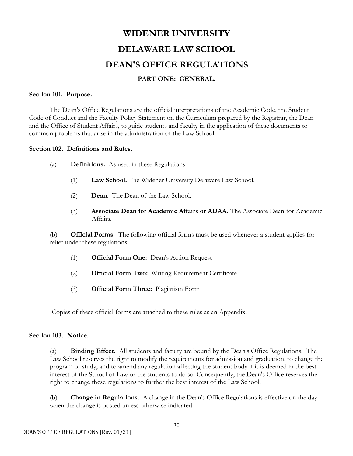# **WIDENER UNIVERSITY DELAWARE LAW SCHOOL DEAN'S OFFICE REGULATIONS**

## **PART ONE: GENERAL.**

### **Section 101. Purpose.**

The Dean's Office Regulations are the official interpretations of the Academic Code, the Student Code of Conduct and the Faculty Policy Statement on the Curriculum prepared by the Registrar, the Dean and the Office of Student Affairs, to guide students and faculty in the application of these documents to common problems that arise in the administration of the Law School.

### **Section 102. Definitions and Rules.**

- (a) **Definitions.** As used in these Regulations:
	- (1) **Law School.** The Widener University Delaware Law School.
	- (2) **Dean**. The Dean of the Law School.
	- (3) **Associate Dean for Academic Affairs or ADAA.** The Associate Dean for Academic Affairs.

(b) **Official Forms.** The following official forms must be used whenever a student applies for relief under these regulations:

- (1) **Official Form One:** Dean's Action Request
- (2) **Official Form Two:** Writing Requirement Certificate
- (3) **Official Form Three:** Plagiarism Form

Copies of these official forms are attached to these rules as an Appendix.

## **Section 103. Notice.**

(a) **Binding Effect.** All students and faculty are bound by the Dean's Office Regulations. The Law School reserves the right to modify the requirements for admission and graduation, to change the program of study, and to amend any regulation affecting the student body if it is deemed in the best interest of the School of Law or the students to do so. Consequently, the Dean's Office reserves the right to change these regulations to further the best interest of the Law School.

(b) **Change in Regulations.** A change in the Dean's Office Regulations is effective on the day when the change is posted unless otherwise indicated.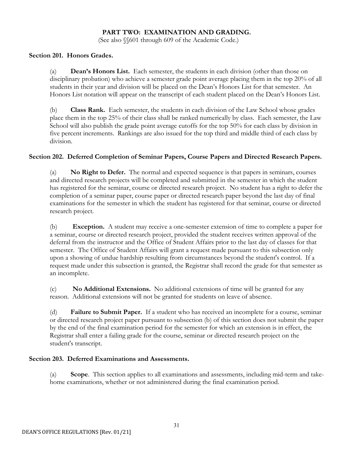## **PART TWO: EXAMINATION AND GRADING.**

(See also §§601 through 609 of the Academic Code.)

### **Section 201. Honors Grades.**

(a) **Dean's Honors List.** Each semester, the students in each division (other than those on disciplinary probation) who achieve a semester grade point average placing them in the top 20% of all students in their year and division will be placed on the Dean's Honors List for that semester. An Honors List notation will appear on the transcript of each student placed on the Dean's Honors List.

(b) **Class Rank.** Each semester, the students in each division of the Law School whose grades place them in the top 25% of their class shall be ranked numerically by class. Each semester, the Law School will also publish the grade point average cutoffs for the top 50% for each class by division in five percent increments. Rankings are also issued for the top third and middle third of each class by division.

## **Section 202. Deferred Completion of Seminar Papers, Course Papers and Directed Research Papers.**

(a) **No Right to Defer.** The normal and expected sequence is that papers in seminars, courses and directed research projects will be completed and submitted in the semester in which the student has registered for the seminar, course or directed research project. No student has a right to defer the completion of a seminar paper, course paper or directed research paper beyond the last day of final examinations for the semester in which the student has registered for that seminar, course or directed research project.

(b) **Exception.** A student may receive a one-semester extension of time to complete a paper for a seminar, course or directed research project, provided the student receives written approval of the deferral from the instructor and the Office of Student Affairs prior to the last day of classes for that semester. The Office of Student Affairs will grant a request made pursuant to this subsection only upon a showing of undue hardship resulting from circumstances beyond the student's control. If a request made under this subsection is granted, the Registrar shall record the grade for that semester as an incomplete.

(c) **No Additional Extensions.** No additional extensions of time will be granted for any reason. Additional extensions will not be granted for students on leave of absence.

(d) **Failure to Submit Paper.** If a student who has received an incomplete for a course, seminar or directed research project paper pursuant to subsection (b) of this section does not submit the paper by the end of the final examination period for the semester for which an extension is in effect, the Registrar shall enter a failing grade for the course, seminar or directed research project on the student's transcript.

## **Section 203. Deferred Examinations and Assessments.**

(a) **Scope**. This section applies to all examinations and assessments, including mid-term and takehome examinations, whether or not administered during the final examination period.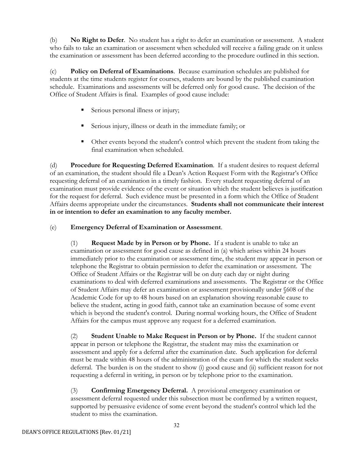(b) **No Right to Defer**. No student has a right to defer an examination or assessment. A student who fails to take an examination or assessment when scheduled will receive a failing grade on it unless the examination or assessment has been deferred according to the procedure outlined in this section.

(c) **Policy on Deferral of Examinations**. Because examination schedules are published for students at the time students register for courses, students are bound by the published examination schedule. Examinations and assessments will be deferred only for good cause. The decision of the Office of Student Affairs is final. Examples of good cause include:

- Serious personal illness or injury;
- Serious injury, illness or death in the immediate family; or
- Other events beyond the student's control which prevent the student from taking the final examination when scheduled.

(d) **Procedure for Requesting Deferred Examination**. If a student desires to request deferral of an examination, the student should file a Dean's Action Request Form with the Registrar's Office requesting deferral of an examination in a timely fashion. Every student requesting deferral of an examination must provide evidence of the event or situation which the student believes is justification for the request for deferral. Such evidence must be presented in a form which the Office of Student Affairs deems appropriate under the circumstances. **Students shall not communicate their interest in or intention to defer an examination to any faculty member.**

## (e) **Emergency Deferral of Examination or Assessment**.

(1) **Request Made by in Person or by Phone.** If a student is unable to take an examination or assessment for good cause as defined in (a) which arises within 24 hours immediately prior to the examination or assessment time, the student may appear in person or telephone the Registrar to obtain permission to defer the examination or assessment. The Office of Student Affairs or the Registrar will be on duty each day or night during examinations to deal with deferred examinations and assessments. The Registrar or the Office of Student Affairs may defer an examination or assessment provisionally under §608 of the Academic Code for up to 48 hours based on an explanation showing reasonable cause to believe the student, acting in good faith, cannot take an examination because of some event which is beyond the student's control. During normal working hours, the Office of Student Affairs for the campus must approve any request for a deferred examination.

(2) **Student Unable to Make Request in Person or by Phone.** If the student cannot appear in person or telephone the Registrar, the student may miss the examination or assessment and apply for a deferral after the examination date. Such application for deferral must be made within 48 hours of the administration of the exam for which the student seeks deferral. The burden is on the student to show (i) good cause and (ii) sufficient reason for not requesting a deferral in writing, in person or by telephone prior to the examination.

(3) **Confirming Emergency Deferral.** A provisional emergency examination or assessment deferral requested under this subsection must be confirmed by a written request, supported by persuasive evidence of some event beyond the student's control which led the student to miss the examination.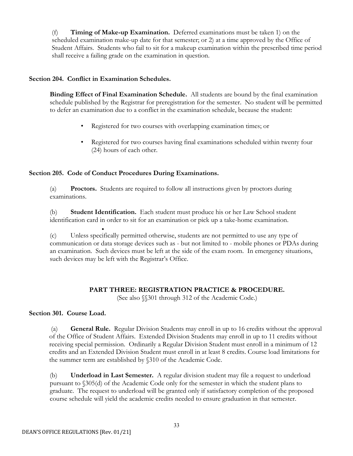(f) **Timing of Make-up Examination.** Deferred examinations must be taken 1) on the scheduled examination make-up date for that semester; or 2) at a time approved by the Office of Student Affairs. Students who fail to sit for a makeup examination within the prescribed time period shall receive a failing grade on the examination in question.

## **Section 204. Conflict in Examination Schedules.**

**Binding Effect of Final Examination Schedule.** All students are bound by the final examination schedule published by the Registrar for preregistration for the semester. No student will be permitted to defer an examination due to a conflict in the examination schedule, because the student:

- Registered for two courses with overlapping examination times; or
- Registered for two courses having final examinations scheduled within twenty four (24) hours of each other.

## **Section 205. Code of Conduct Procedures During Examinations.**

(a) **Proctors.** Students are required to follow all instructions given by proctors during examinations.

(b) **Student Identification.** Each student must produce his or her Law School student identification card in order to sit for an examination or pick up a take-home examination.

• (c) Unless specifically permitted otherwise, students are not permitted to use any type of communication or data storage devices such as - but not limited to - mobile phones or PDAs during an examination. Such devices must be left at the side of the exam room. In emergency situations, such devices may be left with the Registrar's Office.

## **PART THREE: REGISTRATION PRACTICE & PROCEDURE.**

(See also §§301 through 312 of the Academic Code.)

## **Section 301. Course Load.**

(a) **General Rule.** Regular Division Students may enroll in up to 16 credits without the approval of the Office of Student Affairs. Extended Division Students may enroll in up to 11 credits without receiving special permission. Ordinarily a Regular Division Student must enroll in a minimum of 12 credits and an Extended Division Student must enroll in at least 8 credits. Course load limitations for the summer term are established by §310 of the Academic Code.

(b) **Underload in Last Semester.** A regular division student may file a request to underload pursuant to §305(d) of the Academic Code only for the semester in which the student plans to graduate. The request to underload will be granted only if satisfactory completion of the proposed course schedule will yield the academic credits needed to ensure graduation in that semester.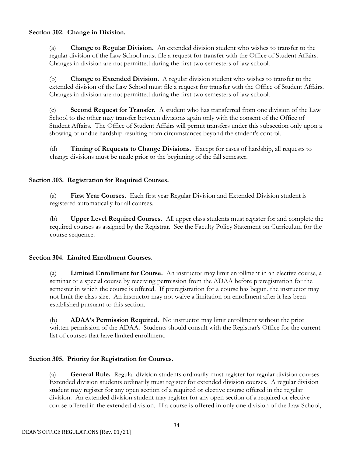## **Section 302. Change in Division.**

(a) **Change to Regular Division.** An extended division student who wishes to transfer to the regular division of the Law School must file a request for transfer with the Office of Student Affairs. Changes in division are not permitted during the first two semesters of law school.

(b) **Change to Extended Division.** A regular division student who wishes to transfer to the extended division of the Law School must file a request for transfer with the Office of Student Affairs. Changes in division are not permitted during the first two semesters of law school.

(c) **Second Request for Transfer.** A student who has transferred from one division of the Law School to the other may transfer between divisions again only with the consent of the Office of Student Affairs. The Office of Student Affairs will permit transfers under this subsection only upon a showing of undue hardship resulting from circumstances beyond the student's control.

(d) **Timing of Requests to Change Divisions.** Except for cases of hardship, all requests to change divisions must be made prior to the beginning of the fall semester.

## **Section 303. Registration for Required Courses.**

(a) **First Year Courses.** Each first year Regular Division and Extended Division student is registered automatically for all courses.

(b) **Upper Level Required Courses.** All upper class students must register for and complete the required courses as assigned by the Registrar. See the Faculty Policy Statement on Curriculum for the course sequence.

## **Section 304. Limited Enrollment Courses.**

(a) **Limited Enrollment for Course.** An instructor may limit enrollment in an elective course, a seminar or a special course by receiving permission from the ADAA before preregistration for the semester in which the course is offered. If preregistration for a course has begun, the instructor may not limit the class size. An instructor may not waive a limitation on enrollment after it has been established pursuant to this section.

(b) **ADAA's Permission Required.** No instructor may limit enrollment without the prior written permission of the ADAA. Students should consult with the Registrar's Office for the current list of courses that have limited enrollment.

### **Section 305. Priority for Registration for Courses.**

(a) **General Rule.** Regular division students ordinarily must register for regular division courses. Extended division students ordinarily must register for extended division courses. A regular division student may register for any open section of a required or elective course offered in the regular division. An extended division student may register for any open section of a required or elective course offered in the extended division. If a course is offered in only one division of the Law School,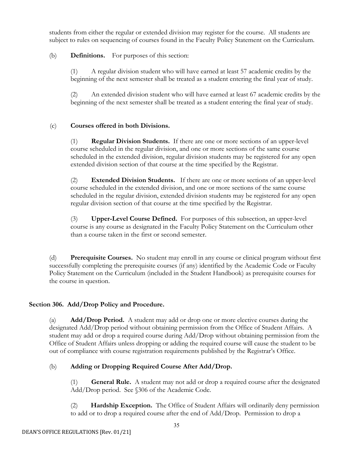students from either the regular or extended division may register for the course. All students are subject to rules on sequencing of courses found in the Faculty Policy Statement on the Curriculum.

## (b) **Definitions.** For purposes of this section:

(1) A regular division student who will have earned at least 57 academic credits by the beginning of the next semester shall be treated as a student entering the final year of study.

(2) An extended division student who will have earned at least 67 academic credits by the beginning of the next semester shall be treated as a student entering the final year of study.

## (c) **Courses offered in both Divisions.**

(1) **Regular Division Students.** If there are one or more sections of an upper-level course scheduled in the regular division, and one or more sections of the same course scheduled in the extended division, regular division students may be registered for any open extended division section of that course at the time specified by the Registrar.

(2) **Extended Division Students.** If there are one or more sections of an upper-level course scheduled in the extended division, and one or more sections of the same course scheduled in the regular division, extended division students may be registered for any open regular division section of that course at the time specified by the Registrar.

(3) **Upper-Level Course Defined.** For purposes of this subsection, an upper-level course is any course as designated in the Faculty Policy Statement on the Curriculum other than a course taken in the first or second semester.

(d) **Prerequisite Courses.** No student may enroll in any course or clinical program without first successfully completing the prerequisite courses (if any) identified by the Academic Code or Faculty Policy Statement on the Curriculum (included in the Student Handbook) as prerequisite courses for the course in question.

## **Section 306. Add/Drop Policy and Procedure.**

(a) **Add/Drop Period.** A student may add or drop one or more elective courses during the designated Add/Drop period without obtaining permission from the Office of Student Affairs. A student may add or drop a required course during Add/Drop without obtaining permission from the Office of Student Affairs unless dropping or adding the required course will cause the student to be out of compliance with course registration requirements published by the Registrar's Office.

## (b) **Adding or Dropping Required Course After Add/Drop.**

(1) **General Rule.** A student may not add or drop a required course after the designated Add/Drop period. See §306 of the Academic Code.

(2) **Hardship Exception.** The Office of Student Affairs will ordinarily deny permission to add or to drop a required course after the end of Add/Drop. Permission to drop a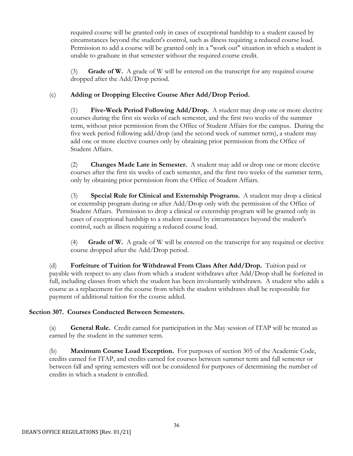required course will be granted only in cases of exceptional hardship to a student caused by circumstances beyond the student's control, such as illness requiring a reduced course load. Permission to add a course will be granted only in a "work out" situation in which a student is unable to graduate in that semester without the required course credit.

(3) **Grade of W.** A grade of W will be entered on the transcript for any required course dropped after the Add/Drop period.

## (c) **Adding or Dropping Elective Course After Add/Drop Period.**

(1) **Five-Week Period Following Add/Drop.** A student may drop one or more elective courses during the first six weeks of each semester, and the first two weeks of the summer term, without prior permission from the Office of Student Affairs for the campus. During the five week period following add/drop (and the second week of summer term), a student may add one or more elective courses only by obtaining prior permission from the Office of Student Affairs.

(2) **Changes Made Late in Semester.** A student may add or drop one or more elective courses after the first six weeks of each semester, and the first two weeks of the summer term, only by obtaining prior permission from the Office of Student Affairs.

(3) **Special Rule for Clinical and Externship Programs.** A student may drop a clinical or externship program during or after Add/Drop only with the permission of the Office of Student Affairs. Permission to drop a clinical or externship program will be granted only in cases of exceptional hardship to a student caused by circumstances beyond the student's control, such as illness requiring a reduced course load.

(4) **Grade of W.** A grade of W will be entered on the transcript for any required or elective course dropped after the Add/Drop period.

(d) **Forfeiture of Tuition for Withdrawal From Class After Add/Drop.** Tuition paid or payable with respect to any class from which a student withdraws after Add/Drop shall be forfeited in full, including classes from which the student has been involuntarily withdrawn. A student who adds a course as a replacement for the course from which the student withdraws shall be responsible for payment of additional tuition for the course added.

## **Section 307. Courses Conducted Between Semesters.**

(a) **General Rule.** Credit earned for participation in the May session of ITAP will be treated as earned by the student in the summer term.

(b) **Maximum Course Load Exception.** For purposes of section 305 of the Academic Code, credits earned for ITAP, and credits earned for courses between summer term and fall semester or between fall and spring semesters will not be considered for purposes of determining the number of credits in which a student is enrolled.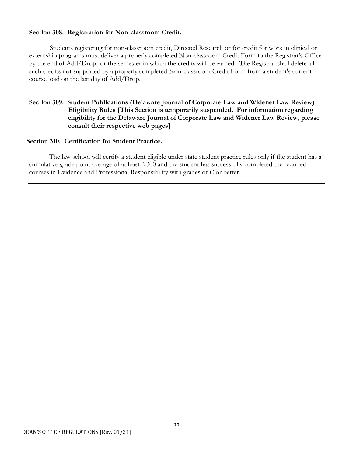## **Section 308. Registration for Non-classroom Credit.**

Students registering for non-classroom credit, Directed Research or for credit for work in clinical or externship programs must deliver a properly completed Non-classroom Credit Form to the Registrar's Office by the end of Add/Drop for the semester in which the credits will be earned. The Registrar shall delete all such credits not supported by a properly completed Non-classroom Credit Form from a student's current course load on the last day of Add/Drop.

## **Section 309. Student Publications (Delaware Journal of Corporate Law and Widener Law Review) Eligibility Rules [This Section is temporarily suspended. For information regarding eligibility for the Delaware Journal of Corporate Law and Widener Law Review, please consult their respective web pages]**

### **Section 310. Certification for Student Practice.**

The law school will certify a student eligible under state student practice rules only if the student has a cumulative grade point average of at least 2.300 and the student has successfully completed the required courses in Evidence and Professional Responsibility with grades of C or better.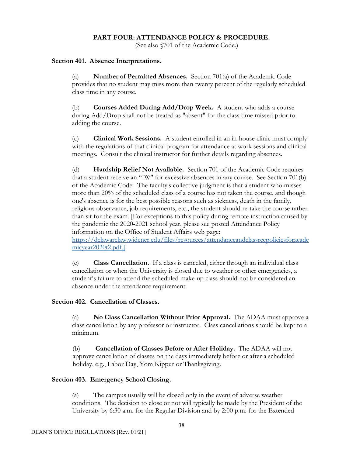### **PART FOUR: ATTENDANCE POLICY & PROCEDURE.**

(See also §701 of the Academic Code.)

### **Section 401. Absence Interpretations.**

(a) **Number of Permitted Absences.** Section 701(a) of the Academic Code provides that no student may miss more than twenty percent of the regularly scheduled class time in any course.

(b) **Courses Added During Add/Drop Week.** A student who adds a course during Add/Drop shall not be treated as "absent" for the class time missed prior to adding the course.

(c) **Clinical Work Sessions.** A student enrolled in an in-house clinic must comply with the regulations of that clinical program for attendance at work sessions and clinical meetings. Consult the clinical instructor for further details regarding absences.

(d) **Hardship Relief Not Available.** Section 701 of the Academic Code requires that a student receive an "IW" for excessive absences in any course. See Section 701(b) of the Academic Code. The faculty's collective judgment is that a student who misses more than 20% of the scheduled class of a course has not taken the course, and though one's absence is for the best possible reasons such as sickness, death in the family, religious observance, job requirements, etc., the student should re-take the course rather than sit for the exam. [For exceptions to this policy during remote instruction caused by the pandemic the 2020-2021 school year, please see posted Attendance Policy information on the Office of Student Affairs web page:

[https://delawarelaw.widener.edu/files/resources/attendanceandclassrecpoliciesforacade](https://delawarelaw.widener.edu/files/resources/attendanceandclassrecpoliciesforacademicyear2020t2.pdf.%5d) [micyear2020t2.pdf.\]](https://delawarelaw.widener.edu/files/resources/attendanceandclassrecpoliciesforacademicyear2020t2.pdf.%5d)

(e) **Class Cancellation.** If a class is canceled, either through an individual class cancellation or when the University is closed due to weather or other emergencies, a student's failure to attend the scheduled make-up class should not be considered an absence under the attendance requirement.

### **Section 402. Cancellation of Classes.**

(a) **No Class Cancellation Without Prior Approval.** The ADAA must approve a class cancellation by any professor or instructor. Class cancellations should be kept to a minimum.

(b) **Cancellation of Classes Before or After Holiday.** The ADAA will not approve cancellation of classes on the days immediately before or after a scheduled holiday, e.g., Labor Day, Yom Kippur or Thanksgiving.

### **Section 403. Emergency School Closing.**

(a) The campus usually will be closed only in the event of adverse weather conditions. The decision to close or not will typically be made by the President of the University by 6:30 a.m. for the Regular Division and by 2:00 p.m. for the Extended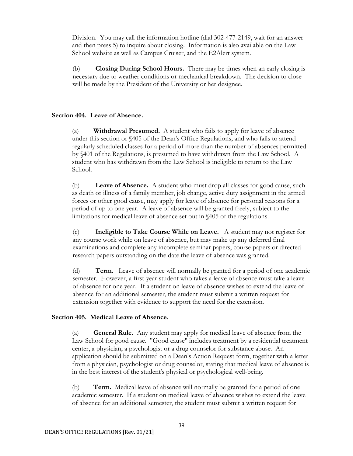Division. You may call the information hotline (dial 302-477-2149, wait for an answer and then press 5) to inquire about closing. Information is also available on the Law School website as well as Campus Cruiser, and the E2Alert system.

(b) **Closing During School Hours.** There may be times when an early closing is necessary due to weather conditions or mechanical breakdown. The decision to close will be made by the President of the University or her designee.

### **Section 404. Leave of Absence.**

(a) **Withdrawal Presumed.** A student who fails to apply for leave of absence under this section or §405 of the Dean's Office Regulations, and who fails to attend regularly scheduled classes for a period of more than the number of absences permitted by §401 of the Regulations, is presumed to have withdrawn from the Law School. A student who has withdrawn from the Law School is ineligible to return to the Law School.

(b) **Leave of Absence.** A student who must drop all classes for good cause, such as death or illness of a family member, job change, active duty assignment in the armed forces or other good cause, may apply for leave of absence for personal reasons for a period of up to one year. A leave of absence will be granted freely, subject to the limitations for medical leave of absence set out in §405 of the regulations.

(c) **Ineligible to Take Course While on Leave.** A student may not register for any course work while on leave of absence, but may make up any deferred final examinations and complete any incomplete seminar papers, course papers or directed research papers outstanding on the date the leave of absence was granted.

(d) **Term.** Leave of absence will normally be granted for a period of one academic semester. However, a first-year student who takes a leave of absence must take a leave of absence for one year. If a student on leave of absence wishes to extend the leave of absence for an additional semester, the student must submit a written request for extension together with evidence to support the need for the extension.

### **Section 405. Medical Leave of Absence.**

(a) **General Rule.** Any student may apply for medical leave of absence from the Law School for good cause. "Good cause" includes treatment by a residential treatment center, a physician, a psychologist or a drug counselor for substance abuse. An application should be submitted on a Dean's Action Request form, together with a letter from a physician, psychologist or drug counselor, stating that medical leave of absence is in the best interest of the student's physical or psychological well-being.

(b) **Term.** Medical leave of absence will normally be granted for a period of one academic semester. If a student on medical leave of absence wishes to extend the leave of absence for an additional semester, the student must submit a written request for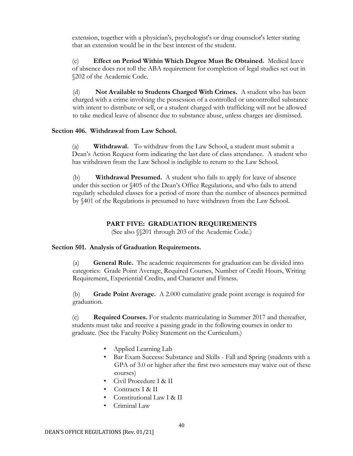extension, together with a physician's, psychologist's or drug counselor's letter stating that an extension would be in the best interest of the student.

(c) **Effect on Period Within Which Degree Must Be Obtained.** Medical leave of absence does not toll the ABA requirement for completion of legal studies set out in §202 of the Academic Code.

(d) **Not Available to Students Charged With Crimes.** A student who has been charged with a crime involving the possession of a controlled or uncontrolled substance with intent to distribute or sell, or a student charged with trafficking will not be allowed to take medical leave of absence due to substance abuse, unless charges are dismissed.

### **Section 406. Withdrawal from Law School.**

(a) **Withdrawal.** To withdraw from the Law School, a student must submit a Dean's Action Request form indicating the last date of class attendance. A student who has withdrawn from the Law School is ineligible to return to the Law School.

(b) **Withdrawal Presumed.** A student who fails to apply for leave of absence under this section or §405 of the Dean's Office Regulations, and who fails to attend regularly scheduled classes for a period of more than the number of absences permitted by §401 of the Regulations is presumed to have withdrawn from the Law School.

### **PART FIVE: GRADUATION REQUIREMENTS**

(See also §§201 through 203 of the Academic Code.)

#### **Section 501. Analysis of Graduation Requirements.**

(a) **General Rule.** The academic requirements for graduation can be divided into categories: Grade Point Average, Required Courses, Number of Credit Hours, Writing Requirement, Experiential Credits, and Character and Fitness.

(b) **Grade Point Average.** A 2.000 cumulative grade point average is required for graduation.

(c) **Required Courses.** For students matriculating in Summer 2017 and thereafter, students must take and receive a passing grade in the following courses in order to graduate. (See the Faculty Policy Statement on the Curriculum.)

- Applied Learning Lab
- Bar Exam Success: Substance and Skills Fall and Spring (students with a GPA of 3.0 or higher after the first two semesters may waive out of these courses)
- Civil Procedure I & II
- Contracts I & II
- Constitutional Law I & II
- Criminal Law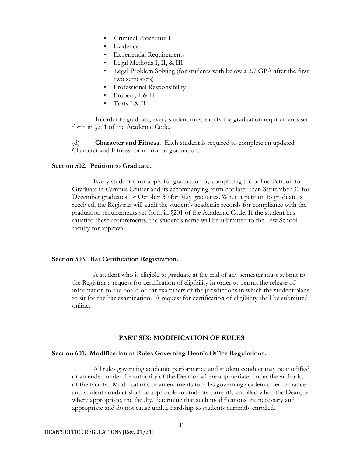- Criminal Procedure I
- Evidence
- Experiential Requirements
- Legal Methods I, II, & III
- Legal Problem Solving (for students with below a 2.7 GPA after the first two semesters)
- Professional Responsibility
- Property I & II
- Torts I & II

In order to graduate, every student must satisfy the graduation requirements set forth in §201 of the Academic Code.

(d) **Character and Fitness.** Each student is required to complete an updated Character and Fitness form prior to graduation.

#### **Section 502. Petition to Graduate.**

Every student must apply for graduation by completing the online Petition to Graduate in Campus Cruiser and its accompanying form not later than September 30 for December graduates, or October 30 for May graduates. When a petition to graduate is received, the Registrar will audit the student's academic records for compliance with the graduation requirements set forth in §201 of the Academic Code. If the student has satisfied these requirements, the student's name will be submitted to the Law School faculty for approval.

### **Section 503. Bar Certification Registration.**

A student who is eligible to graduate at the end of any semester must submit to the Registrar a request for certification of eligibility in order to permit the release of information to the board of bar examiners of the jurisdictions in which the student plans to sit for the bar examination. A request for certification of eligibility shall be submitted online.

### **PART SIX: MODIFICATION OF RULES**

#### **Section 601. Modification of Rules Governing Dean's Office Regulations.**

All rules governing academic performance and student conduct may be modified or amended under the authority of the Dean or where appropriate, under the authority of the faculty. Modifications or amendments to rules governing academic performance and student conduct shall be applicable to students currently enrolled when the Dean, or where appropriate, the faculty, determine that such modifications are necessary and appropriate and do not cause undue hardship to students currently enrolled.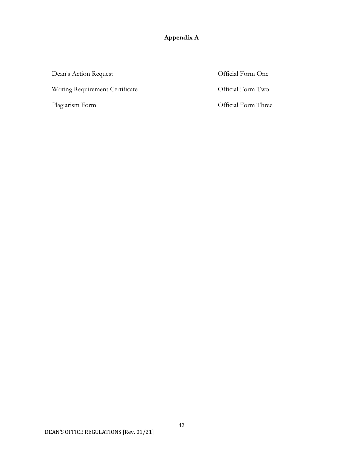## **Appendix A**

Dean's Action Request Official Form One Writing Requirement Certificate **Official Form Two** Plagiarism Form **Calculation** Control of Three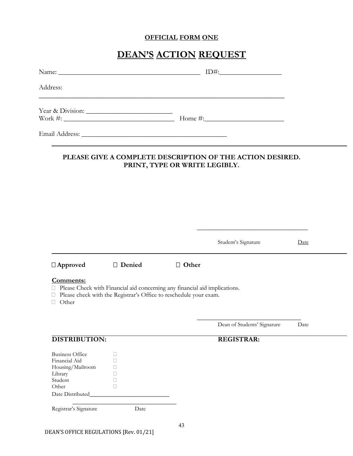## **OFFICIAL FORM ONE**

## **DEAN'S ACTION REQUEST**

| Address:                                                                                   |                                                                                                                                                   |                               |                                                           |      |
|--------------------------------------------------------------------------------------------|---------------------------------------------------------------------------------------------------------------------------------------------------|-------------------------------|-----------------------------------------------------------|------|
|                                                                                            |                                                                                                                                                   |                               | Year & Division: $\qquad \qquad \qquad$ Home #:           |      |
|                                                                                            |                                                                                                                                                   |                               |                                                           |      |
|                                                                                            |                                                                                                                                                   | PRINT, TYPE OR WRITE LEGIBLY. | PLEASE GIVE A COMPLETE DESCRIPTION OF THE ACTION DESIRED. |      |
|                                                                                            |                                                                                                                                                   |                               |                                                           |      |
|                                                                                            |                                                                                                                                                   |                               |                                                           |      |
|                                                                                            |                                                                                                                                                   |                               |                                                           |      |
|                                                                                            |                                                                                                                                                   |                               | Student's Signature                                       | Date |
| $\Box$ Approved                                                                            | □ Denied                                                                                                                                          | □ Other                       |                                                           |      |
| Comments:<br>□ Other                                                                       | □ Please Check with Financial aid concerning any financial aid implications.<br>Please check with the Registrar's Office to reschedule your exam. |                               |                                                           |      |
|                                                                                            |                                                                                                                                                   |                               | Dean of Students' Signature                               | Date |
| <b>DISTRIBUTION:</b>                                                                       |                                                                                                                                                   |                               | <b>REGISTRAR:</b>                                         |      |
|                                                                                            |                                                                                                                                                   |                               |                                                           |      |
| <b>Business Office</b><br>Financial Aid<br>Housing/Mailroom<br>Library<br>Student<br>Other | □<br>П<br>П<br>ш<br>□<br>$\Box$                                                                                                                   |                               |                                                           |      |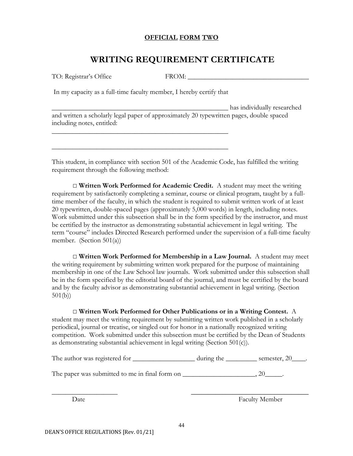## **OFFICIAL FORM TWO**

## **WRITING REQUIREMENT CERTIFICATE**

In my capacity as a full-time faculty member, I hereby certify that

\_\_\_\_\_\_\_\_\_\_\_\_\_\_\_\_\_\_\_\_\_\_\_\_\_\_\_\_\_\_\_\_\_\_\_\_\_\_\_\_\_\_\_\_\_\_\_\_\_\_\_

\_\_\_\_\_\_\_\_\_\_\_\_\_\_\_\_\_\_\_\_\_\_\_\_\_\_\_\_\_\_\_\_\_\_\_\_\_\_\_\_\_\_\_\_\_\_\_\_\_\_\_

\_\_\_\_\_\_\_\_\_\_\_\_\_\_\_\_\_\_\_\_\_\_\_\_\_\_\_\_\_\_\_\_\_\_\_\_\_\_\_\_\_\_\_\_\_\_\_\_\_\_\_ has individually researched and written a scholarly legal paper of approximately 20 typewritten pages, double spaced including notes, entitled:

This student, in compliance with section 501 of the Academic Code, has fulfilled the writing requirement through the following method:

□ **Written Work Performed for Academic Credit.** A student may meet the writing requirement by satisfactorily completing a seminar, course or clinical program, taught by a fulltime member of the faculty, in which the student is required to submit written work of at least 20 typewritten, double-spaced pages (approximately 5,000 words) in length, including notes. Work submitted under this subsection shall be in the form specified by the instructor, and must be certified by the instructor as demonstrating substantial achievement in legal writing. The term "course" includes Directed Research performed under the supervision of a full-time faculty member. (Section 501(a))

□ **Written Work Performed for Membership in a Law Journal.** A student may meet the writing requirement by submitting written work prepared for the purpose of maintaining membership in one of the Law School law journals. Work submitted under this subsection shall be in the form specified by the editorial board of the journal, and must be certified by the board and by the faculty advisor as demonstrating substantial achievement in legal writing. (Section 501(b))

□ **Written Work Performed for Other Publications or in a Writing Contest.** A

student may meet the writing requirement by submitting written work published in a scholarly periodical, journal or treatise, or singled out for honor in a nationally recognized writing competition. Work submitted under this subsection must be certified by the Dean of Students as demonstrating substantial achievement in legal writing (Section 501(c)).

| The author was registered for | during the | semester, 20 |
|-------------------------------|------------|--------------|
|                               |            |              |

The paper was submitted to me in final form on  $\qquad \qquad \qquad .20$ 

Date Faculty Member

 $\overline{\phantom{a}}$  , and the contract of the contract of the contract of the contract of the contract of the contract of the contract of the contract of the contract of the contract of the contract of the contract of the contrac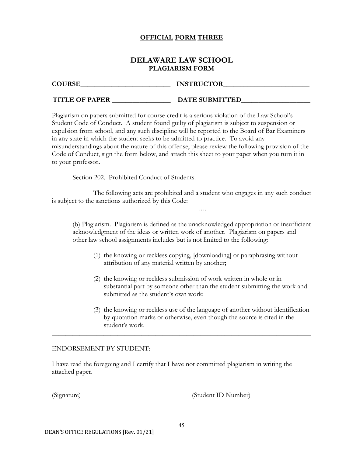## **OFFICIAL FORM THREE**

## **DELAWARE LAW SCHOOL PLAGIARISM FORM**

| <b>COURSE</b>         | <b>INSTRUCTOR</b> |
|-----------------------|-------------------|
| <b>TITLE OF PAPER</b> | DATE SUBMITTED    |

Plagiarism on papers submitted for course credit is a serious violation of the Law School's Student Code of Conduct. A student found guilty of plagiarism is subject to suspension or expulsion from school, and any such discipline will be reported to the Board of Bar Examiners in any state in which the student seeks to be admitted to practice. To avoid any misunderstandings about the nature of this offense, please review the following provision of the Code of Conduct, sign the form below, and attach this sheet to your paper when you turn it in to your professor**.**

Section 202. Prohibited Conduct of Students.

The following acts are prohibited and a student who engages in any such conduct is subject to the sanctions authorized by this Code:

(b) Plagiarism. Plagiarism is defined as the unacknowledged appropriation or insufficient acknowledgment of the ideas or written work of another. Plagiarism on papers and other law school assignments includes but is not limited to the following:

….

- (1) the knowing or reckless copying, [downloading] or paraphrasing without attribution of any material written by another;
- (2) the knowing or reckless submission of work written in whole or in substantial part by someone other than the student submitting the work and submitted as the student's own work;
- (3) the knowing or reckless use of the language of another without identification by quotation marks or otherwise, even though the source is cited in the student's work.

## ENDORSEMENT BY STUDENT:

I have read the foregoing and I certify that I have not committed plagiarism in writing the attached paper.

\_\_\_\_\_\_\_\_\_\_\_\_\_\_\_\_\_\_\_\_\_\_\_\_\_\_\_\_\_\_\_\_\_\_\_\_\_\_\_\_\_\_\_\_\_\_\_\_\_\_\_\_\_\_\_\_\_\_\_\_\_\_\_\_\_\_\_\_\_\_\_\_\_\_\_

(Signature) (Student ID Number)

\_\_\_\_\_\_\_\_\_\_\_\_\_\_\_\_\_\_\_\_\_\_\_\_\_\_\_\_\_\_\_\_\_\_\_\_\_ \_\_\_\_\_\_\_\_\_\_\_\_\_\_\_\_\_\_\_\_\_\_\_\_\_\_\_\_\_\_\_\_\_\_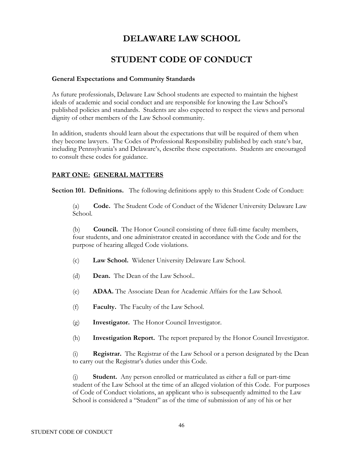## **DELAWARE LAW SCHOOL**

## **STUDENT CODE OF CONDUCT**

## **General Expectations and Community Standards**

As future professionals, Delaware Law School students are expected to maintain the highest ideals of academic and social conduct and are responsible for knowing the Law School's published policies and standards. Students are also expected to respect the views and personal dignity of other members of the Law School community.

In addition, students should learn about the expectations that will be required of them when they become lawyers. The Codes of Professional Responsibility published by each state's bar, including Pennsylvania's and Delaware's, describe these expectations. Students are encouraged to consult these codes for guidance.

## **PART ONE: GENERAL MATTERS**

**Section 101. Definitions.** The following definitions apply to this Student Code of Conduct:

(a) **Code.** The Student Code of Conduct of the Widener University Delaware Law School.

(b) **Council.** The Honor Council consisting of three full-time faculty members, four students, and one administrator created in accordance with the Code and for the purpose of hearing alleged Code violations.

- (c) **Law School.** Widener University Delaware Law School.
- (d) **Dean.** The Dean of the Law School..
- (e) **ADAA.** The Associate Dean for Academic Affairs for the Law School.
- (f) **Faculty.** The Faculty of the Law School.
- (g) **Investigator.** The Honor Council Investigator.
- (h) **Investigation Report.** The report prepared by the Honor Council Investigator.

(i) **Registrar.** The Registrar of the Law School or a person designated by the Dean to carry out the Registrar's duties under this Code.

(j) **Student.** Any person enrolled or matriculated as either a full or part-time student of the Law School at the time of an alleged violation of this Code. For purposes of Code of Conduct violations, an applicant who is subsequently admitted to the Law School is considered a "Student" as of the time of submission of any of his or her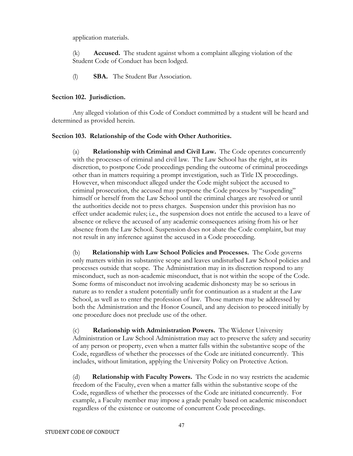application materials.

(k) **Accused.** The student against whom a complaint alleging violation of the Student Code of Conduct has been lodged.

(l) **SBA.** The Student Bar Association.

### **Section 102. Jurisdiction.**

Any alleged violation of this Code of Conduct committed by a student will be heard and determined as provided herein.

## **Section 103. Relationship of the Code with Other Authorities.**

(a) **Relationship with Criminal and Civil Law.** The Code operates concurrently with the processes of criminal and civil law. The Law School has the right, at its discretion, to postpone Code proceedings pending the outcome of criminal proceedings other than in matters requiring a prompt investigation, such as Title IX proceedings. However, when misconduct alleged under the Code might subject the accused to criminal prosecution, the accused may postpone the Code process by "suspending" himself or herself from the Law School until the criminal charges are resolved or until the authorities decide not to press charges. Suspension under this provision has no effect under academic rules; i.e., the suspension does not entitle the accused to a leave of absence or relieve the accused of any academic consequences arising from his or her absence from the Law School. Suspension does not abate the Code complaint, but may not result in any inference against the accused in a Code proceeding.

(b) **Relationship with Law School Policies and Processes.** The Code governs only matters within its substantive scope and leaves undisturbed Law School policies and processes outside that scope. The Administration may in its discretion respond to any misconduct, such as non-academic misconduct, that is not within the scope of the Code. Some forms of misconduct not involving academic dishonesty may be so serious in nature as to render a student potentially unfit for continuation as a student at the Law School, as well as to enter the profession of law. Those matters may be addressed by both the Administration and the Honor Council, and any decision to proceed initially by one procedure does not preclude use of the other.

(c) **Relationship with Administration Powers.** The Widener University Administration or Law School Administration may act to preserve the safety and security of any person or property, even when a matter falls within the substantive scope of the Code, regardless of whether the processes of the Code are initiated concurrently. This includes, without limitation, applying the University Policy on Protective Action.

(d) **Relationship with Faculty Powers.** The Code in no way restricts the academic freedom of the Faculty, even when a matter falls within the substantive scope of the Code, regardless of whether the processes of the Code are initiated concurrently. For example, a Faculty member may impose a grade penalty based on academic misconduct regardless of the existence or outcome of concurrent Code proceedings.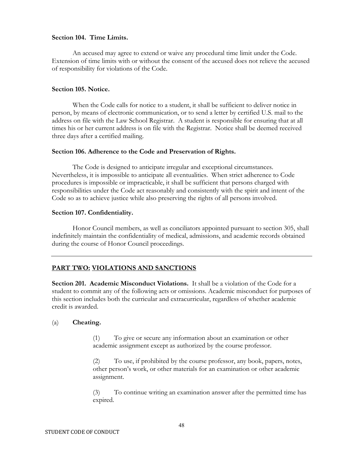### **Section 104. Time Limits.**

An accused may agree to extend or waive any procedural time limit under the Code. Extension of time limits with or without the consent of the accused does not relieve the accused of responsibility for violations of the Code.

### **Section 105. Notice.**

When the Code calls for notice to a student, it shall be sufficient to deliver notice in person, by means of electronic communication, or to send a letter by certified U.S. mail to the address on file with the Law School Registrar. A student is responsible for ensuring that at all times his or her current address is on file with the Registrar. Notice shall be deemed received three days after a certified mailing.

### **Section 106. Adherence to the Code and Preservation of Rights.**

The Code is designed to anticipate irregular and exceptional circumstances. Nevertheless, it is impossible to anticipate all eventualities. When strict adherence to Code procedures is impossible or impracticable, it shall be sufficient that persons charged with responsibilities under the Code act reasonably and consistently with the spirit and intent of the Code so as to achieve justice while also preserving the rights of all persons involved.

### **Section 107. Confidentiality.**

Honor Council members, as well as conciliators appointed pursuant to section 305, shall indefinitely maintain the confidentiality of medical, admissions, and academic records obtained during the course of Honor Council proceedings.

## **PART TWO: VIOLATIONS AND SANCTIONS**

**Section 201. Academic Misconduct Violations.** It shall be a violation of the Code for a student to commit any of the following acts or omissions. Academic misconduct for purposes of this section includes both the curricular and extracurricular, regardless of whether academic credit is awarded.

### (a) **Cheating.**

(1) To give or secure any information about an examination or other academic assignment except as authorized by the course professor.

(2) To use, if prohibited by the course professor, any book, papers, notes, other person's work, or other materials for an examination or other academic assignment.

(3) To continue writing an examination answer after the permitted time has expired.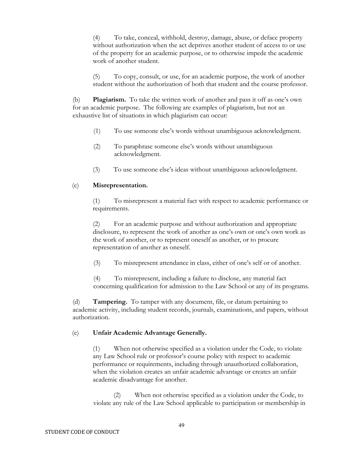(4) To take, conceal, withhold, destroy, damage, abuse, or deface property without authorization when the act deprives another student of access to or use of the property for an academic purpose, or to otherwise impede the academic work of another student.

(5) To copy, consult, or use, for an academic purpose, the work of another student without the authorization of both that student and the course professor.

(b) **Plagiarism.** To take the written work of another and pass it off as one's own for an academic purpose. The following are examples of plagiarism, but not an exhaustive list of situations in which plagiarism can occur:

- (1) To use someone else's words without unambiguous acknowledgment.
- (2) To paraphrase someone else's words without unambiguous acknowledgment.
- (3) To use someone else's ideas without unambiguous acknowledgment.

## (c) **Misrepresentation.**

(1) To misrepresent a material fact with respect to academic performance or requirements.

(2) For an academic purpose and without authorization and appropriate disclosure, to represent the work of another as one's own or one's own work as the work of another, or to represent oneself as another, or to procure representation of another as oneself.

(3) To misrepresent attendance in class, either of one's self or of another.

(4) To misrepresent, including a failure to disclose, any material fact concerning qualification for admission to the Law School or any of its programs.

(d) **Tampering.** To tamper with any document, file, or datum pertaining to academic activity, including student records, journals, examinations, and papers, without authorization.

### (e) **Unfair Academic Advantage Generally.**

(1) When not otherwise specified as a violation under the Code, to violate any Law School rule or professor's course policy with respect to academic performance or requirements, including through unauthorized collaboration, when the violation creates an unfair academic advantage or creates an unfair academic disadvantage for another.

(2) When not otherwise specified as a violation under the Code, to violate any rule of the Law School applicable to participation or membership in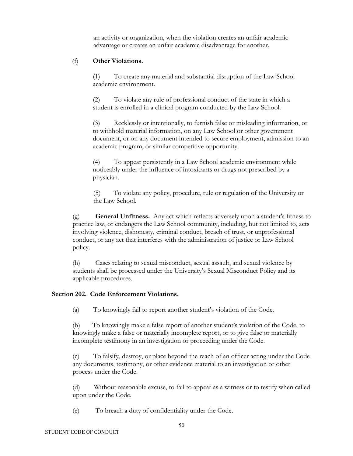an activity or organization, when the violation creates an unfair academic advantage or creates an unfair academic disadvantage for another.

### (f) **Other Violations.**

(1) To create any material and substantial disruption of the Law School academic environment.

(2) To violate any rule of professional conduct of the state in which a student is enrolled in a clinical program conducted by the Law School.

(3) Recklessly or intentionally, to furnish false or misleading information, or to withhold material information, on any Law School or other government document, or on any document intended to secure employment, admission to an academic program, or similar competitive opportunity.

(4) To appear persistently in a Law School academic environment while noticeably under the influence of intoxicants or drugs not prescribed by a physician.

(5) To violate any policy, procedure, rule or regulation of the University or the Law School.

(g) **General Unfitness.** Any act which reflects adversely upon a student's fitness to practice law, or endangers the Law School community, including, but not limited to, acts involving violence, dishonesty, criminal conduct, breach of trust, or unprofessional conduct, or any act that interferes with the administration of justice or Law School policy.

(h) Cases relating to sexual misconduct, sexual assault, and sexual violence by students shall be processed under the University's Sexual Misconduct Policy and its applicable procedures.

### **Section 202. Code Enforcement Violations.**

(a) To knowingly fail to report another student's violation of the Code.

(b) To knowingly make a false report of another student's violation of the Code, to knowingly make a false or materially incomplete report, or to give false or materially incomplete testimony in an investigation or proceeding under the Code.

(c) To falsify, destroy, or place beyond the reach of an officer acting under the Code any documents, testimony, or other evidence material to an investigation or other process under the Code.

(d) Without reasonable excuse, to fail to appear as a witness or to testify when called upon under the Code.

(e) To breach a duty of confidentiality under the Code.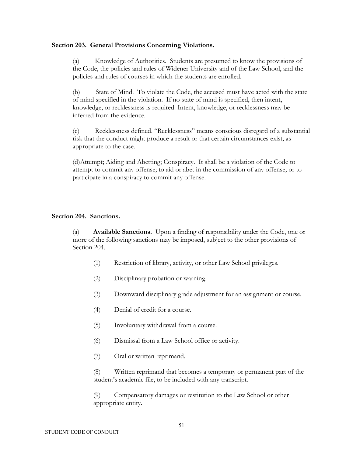### **Section 203. General Provisions Concerning Violations.**

(a) Knowledge of Authorities. Students are presumed to know the provisions of the Code, the policies and rules of Widener University and of the Law School, and the policies and rules of courses in which the students are enrolled.

(b) State of Mind. To violate the Code, the accused must have acted with the state of mind specified in the violation. If no state of mind is specified, then intent, knowledge, or recklessness is required. Intent, knowledge, or recklessness may be inferred from the evidence.

(c) Recklessness defined. "Recklessness" means conscious disregard of a substantial risk that the conduct might produce a result or that certain circumstances exist, as appropriate to the case.

(d)Attempt; Aiding and Abetting; Conspiracy. It shall be a violation of the Code to attempt to commit any offense; to aid or abet in the commission of any offense; or to participate in a conspiracy to commit any offense.

### **Section 204. Sanctions.**

(a) **Available Sanctions.** Upon a finding of responsibility under the Code, one or more of the following sanctions may be imposed, subject to the other provisions of Section 204.

- (1) Restriction of library, activity, or other Law School privileges.
- (2) Disciplinary probation or warning.
- (3) Downward disciplinary grade adjustment for an assignment or course.
- (4) Denial of credit for a course.
- (5) Involuntary withdrawal from a course.
- (6) Dismissal from a Law School office or activity.
- (7) Oral or written reprimand.

(8) Written reprimand that becomes a temporary or permanent part of the student's academic file, to be included with any transcript.

(9) Compensatory damages or restitution to the Law School or other appropriate entity.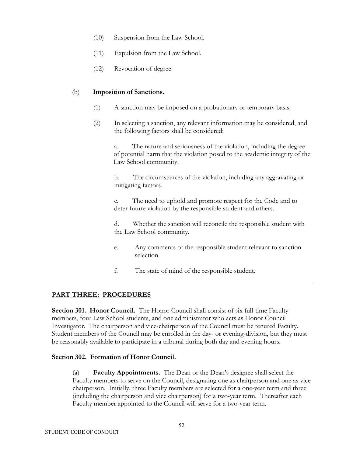- (10) Suspension from the Law School.
- (11) Expulsion from the Law School.
- (12) Revocation of degree.

### (b) **Imposition of Sanctions.**

- (1) A sanction may be imposed on a probationary or temporary basis.
- (2) In selecting a sanction, any relevant information may be considered, and the following factors shall be considered:

a. The nature and seriousness of the violation, including the degree of potential harm that the violation posed to the academic integrity of the Law School community.

b. The circumstances of the violation, including any aggravating or mitigating factors.

c. The need to uphold and promote respect for the Code and to deter future violation by the responsible student and others.

d. Whether the sanction will reconcile the responsible student with the Law School community.

- e. Any comments of the responsible student relevant to sanction selection.
- f. The state of mind of the responsible student.

## **PART THREE: PROCEDURES**

Section 301. Honor Council. The Honor Council shall consist of six full-time Faculty members, four Law School students, and one administrator who acts as Honor Council Investigator. The chairperson and vice-chairperson of the Council must be tenured Faculty. Student members of the Council may be enrolled in the day- or evening-division, but they must be reasonably available to participate in a tribunal during both day and evening hours.

### **Section 302. Formation of Honor Council.**

(a) **Faculty Appointments.** The Dean or the Dean's designee shall select the Faculty members to serve on the Council, designating one as chairperson and one as vice chairperson. Initially, three Faculty members are selected for a one-year term and three (including the chairperson and vice chairperson) for a two-year term. Thereafter each Faculty member appointed to the Council will serve for a two-year term.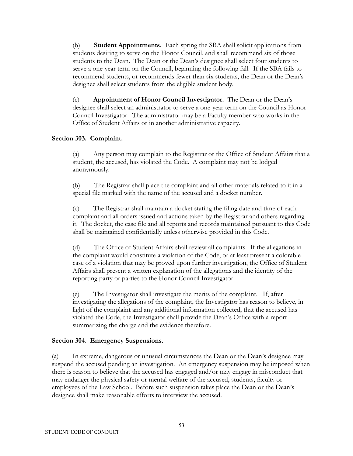(b) **Student Appointments.** Each spring the SBA shall solicit applications from students desiring to serve on the Honor Council, and shall recommend six of those students to the Dean. The Dean or the Dean's designee shall select four students to serve a one-year term on the Council, beginning the following fall. If the SBA fails to recommend students, or recommends fewer than six students, the Dean or the Dean's designee shall select students from the eligible student body.

(c) **Appointment of Honor Council Investigator.** The Dean or the Dean's designee shall select an administrator to serve a one-year term on the Council as Honor Council Investigator. The administrator may be a Faculty member who works in the Office of Student Affairs or in another administrative capacity.

### **Section 303. Complaint.**

(a) Any person may complain to the Registrar or the Office of Student Affairs that a student, the accused, has violated the Code. A complaint may not be lodged anonymously.

(b) The Registrar shall place the complaint and all other materials related to it in a special file marked with the name of the accused and a docket number.

(c) The Registrar shall maintain a docket stating the filing date and time of each complaint and all orders issued and actions taken by the Registrar and others regarding it. The docket, the case file and all reports and records maintained pursuant to this Code shall be maintained confidentially unless otherwise provided in this Code.

(d) The Office of Student Affairs shall review all complaints. If the allegations in the complaint would constitute a violation of the Code, or at least present a colorable case of a violation that may be proved upon further investigation, the Office of Student Affairs shall present a written explanation of the allegations and the identity of the reporting party or parties to the Honor Council Investigator.

(e) The Investigator shall investigate the merits of the complaint. If, after investigating the allegations of the complaint, the Investigator has reason to believe, in light of the complaint and any additional information collected, that the accused has violated the Code, the Investigator shall provide the Dean's Office with a report summarizing the charge and the evidence therefore.

## **Section 304. Emergency Suspensions.**

(a) In extreme, dangerous or unusual circumstances the Dean or the Dean's designee may suspend the accused pending an investigation. An emergency suspension may be imposed when there is reason to believe that the accused has engaged and/or may engage in misconduct that may endanger the physical safety or mental welfare of the accused, students, faculty or employees of the Law School. Before such suspension takes place the Dean or the Dean's designee shall make reasonable efforts to interview the accused.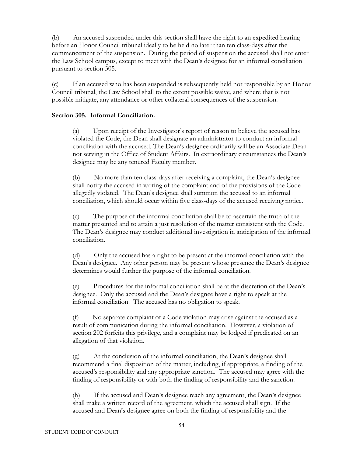(b) An accused suspended under this section shall have the right to an expedited hearing before an Honor Council tribunal ideally to be held no later than ten class-days after the commencement of the suspension. During the period of suspension the accused shall not enter the Law School campus, except to meet with the Dean's designee for an informal conciliation pursuant to section 305.

(c) If an accused who has been suspended is subsequently held not responsible by an Honor Council tribunal, the Law School shall to the extent possible waive, and where that is not possible mitigate, any attendance or other collateral consequences of the suspension.

## **Section 305. Informal Conciliation.**

(a) Upon receipt of the Investigator's report of reason to believe the accused has violated the Code, the Dean shall designate an administrator to conduct an informal conciliation with the accused. The Dean's designee ordinarily will be an Associate Dean not serving in the Office of Student Affairs. In extraordinary circumstances the Dean's designee may be any tenured Faculty member.

(b) No more than ten class-days after receiving a complaint, the Dean's designee shall notify the accused in writing of the complaint and of the provisions of the Code allegedly violated. The Dean's designee shall summon the accused to an informal conciliation, which should occur within five class-days of the accused receiving notice.

(c) The purpose of the informal conciliation shall be to ascertain the truth of the matter presented and to attain a just resolution of the matter consistent with the Code. The Dean's designee may conduct additional investigation in anticipation of the informal conciliation.

(d) Only the accused has a right to be present at the informal conciliation with the Dean's designee. Any other person may be present whose presence the Dean's designee determines would further the purpose of the informal conciliation.

(e) Procedures for the informal conciliation shall be at the discretion of the Dean's designee. Only the accused and the Dean's designee have a right to speak at the informal conciliation. The accused has no obligation to speak.

(f) No separate complaint of a Code violation may arise against the accused as a result of communication during the informal conciliation. However, a violation of section 202 forfeits this privilege, and a complaint may be lodged if predicated on an allegation of that violation.

(g) At the conclusion of the informal conciliation, the Dean's designee shall recommend a final disposition of the matter, including, if appropriate, a finding of the accused's responsibility and any appropriate sanction. The accused may agree with the finding of responsibility or with both the finding of responsibility and the sanction.

(h) If the accused and Dean's designee reach any agreement, the Dean's designee shall make a written record of the agreement, which the accused shall sign. If the accused and Dean's designee agree on both the finding of responsibility and the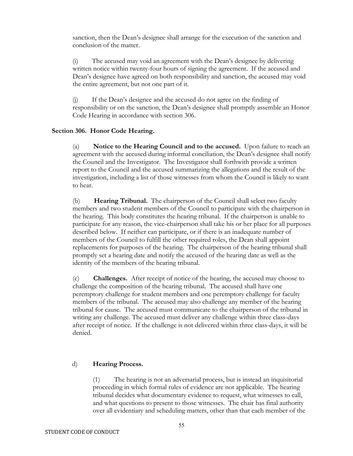sanction, then the Dean's designee shall arrange for the execution of the sanction and conclusion of the matter.

(i) The accused may void an agreement with the Dean's designee by delivering written notice within twenty-four hours of signing the agreement. If the accused and Dean's designee have agreed on both responsibility and sanction, the accused may void the entire agreement, but not one part of it.

(j) If the Dean's designee and the accused do not agree on the finding of responsibility or on the sanction, the Dean's designee shall promptly assemble an Honor Code Hearing in accordance with section 306.

### **Section 306. Honor Code Hearing.**

(a) **Notice to the Hearing Council and to the accused.** Upon failure to reach an agreement with the accused during informal conciliation, the Dean's designee shall notify the Council and the Investigator. The Investigator shall forthwith provide a written report to the Council and the accused summarizing the allegations and the result of the investigation, including a list of those witnesses from whom the Council is likely to want to hear.

(b) **Hearing Tribunal.** The chairperson of the Council shall select two faculty members and two student members of the Council to participate with the chairperson in the hearing. This body constitutes the hearing tribunal. If the chairperson is unable to participate for any reason, the vice-chairperson shall take his or her place for all purposes described below. If neither can participate, or if there is an inadequate number of members of the Council to fulfill the other required roles, the Dean shall appoint replacements for purposes of the hearing. The chairperson of the hearing tribunal shall promptly set a hearing date and notify the accused of the hearing date as well as the identity of the members of the hearing tribunal.

(c) **Challenges.** After receipt of notice of the hearing, the accused may choose to challenge the composition of the hearing tribunal. The accused shall have one peremptory challenge for student members and one peremptory challenge for faculty members of the tribunal. The accused may also challenge any member of the hearing tribunal for cause. The accused must communicate to the chairperson of the tribunal in writing any challenge. The accused must deliver any challenge within three class-days after receipt of notice. If the challenge is not delivered within three class-days, it will be denied.

### d) **Hearing Process.**

(1) The hearing is not an adversarial process, but is instead an inquisitorial proceeding in which formal rules of evidence are not applicable. The hearing tribunal decides what documentary evidence to request, what witnesses to call, and what questions to present to those witnesses. The chair has final authority over all evidentiary and scheduling matters, other than that each member of the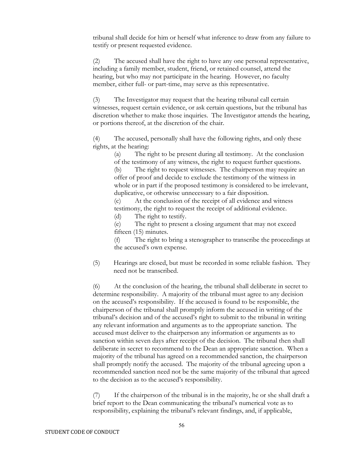tribunal shall decide for him or herself what inference to draw from any failure to testify or present requested evidence.

(2) The accused shall have the right to have any one personal representative, including a family member, student, friend, or retained counsel, attend the hearing, but who may not participate in the hearing. However, no faculty member, either full- or part-time, may serve as this representative.

(3) The Investigator may request that the hearing tribunal call certain witnesses, request certain evidence, or ask certain questions, but the tribunal has discretion whether to make those inquiries. The Investigator attends the hearing, or portions thereof, at the discretion of the chair.

(4) The accused, personally shall have the following rights, and only these rights, at the hearing:

> (a) The right to be present during all testimony. At the conclusion of the testimony of any witness, the right to request further questions. (b) The right to request witnesses. The chairperson may require an offer of proof and decide to exclude the testimony of the witness in whole or in part if the proposed testimony is considered to be irrelevant, duplicative, or otherwise unnecessary to a fair disposition.

(c) At the conclusion of the receipt of all evidence and witness testimony, the right to request the receipt of additional evidence. (d) The right to testify.

(e) The right to present a closing argument that may not exceed fifteen (15) minutes.

(f) The right to bring a stenographer to transcribe the proceedings at the accused's own expense.

(5) Hearings are closed, but must be recorded in some reliable fashion. They need not be transcribed.

(6) At the conclusion of the hearing, the tribunal shall deliberate in secret to determine responsibility. A majority of the tribunal must agree to any decision on the accused's responsibility. If the accused is found to be responsible, the chairperson of the tribunal shall promptly inform the accused in writing of the tribunal's decision and of the accused's right to submit to the tribunal in writing any relevant information and arguments as to the appropriate sanction. The accused must deliver to the chairperson any information or arguments as to sanction within seven days after receipt of the decision. The tribunal then shall deliberate in secret to recommend to the Dean an appropriate sanction. When a majority of the tribunal has agreed on a recommended sanction, the chairperson shall promptly notify the accused. The majority of the tribunal agreeing upon a recommended sanction need not be the same majority of the tribunal that agreed to the decision as to the accused's responsibility.

(7) If the chairperson of the tribunal is in the majority, he or she shall draft a brief report to the Dean communicating the tribunal's numerical vote as to responsibility, explaining the tribunal's relevant findings, and, if applicable,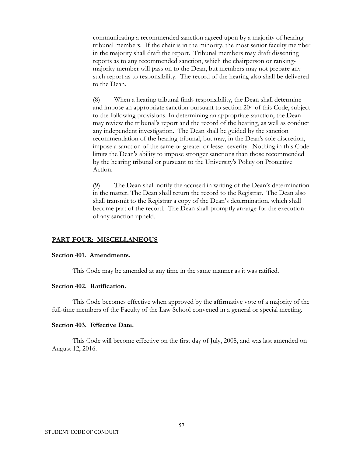communicating a recommended sanction agreed upon by a majority of hearing tribunal members. If the chair is in the minority, the most senior faculty member in the majority shall draft the report. Tribunal members may draft dissenting reports as to any recommended sanction, which the chairperson or rankingmajority member will pass on to the Dean, but members may not prepare any such report as to responsibility. The record of the hearing also shall be delivered to the Dean.

(8) When a hearing tribunal finds responsibility, the Dean shall determine and impose an appropriate sanction pursuant to section 204 of this Code, subject to the following provisions. In determining an appropriate sanction, the Dean may review the tribunal's report and the record of the hearing, as well as conduct any independent investigation. The Dean shall be guided by the sanction recommendation of the hearing tribunal, but may, in the Dean's sole discretion, impose a sanction of the same or greater or lesser severity. Nothing in this Code limits the Dean's ability to impose stronger sanctions than those recommended by the hearing tribunal or pursuant to the University's Policy on Protective Action.

(9) The Dean shall notify the accused in writing of the Dean's determination in the matter. The Dean shall return the record to the Registrar. The Dean also shall transmit to the Registrar a copy of the Dean's determination, which shall become part of the record. The Dean shall promptly arrange for the execution of any sanction upheld.

### **PART FOUR: MISCELLANEOUS**

#### **Section 401. Amendments.**

This Code may be amended at any time in the same manner as it was ratified.

### **Section 402. Ratification.**

This Code becomes effective when approved by the affirmative vote of a majority of the full-time members of the Faculty of the Law School convened in a general or special meeting.

#### **Section 403. Effective Date.**

This Code will become effective on the first day of July, 2008, and was last amended on August 12, 2016.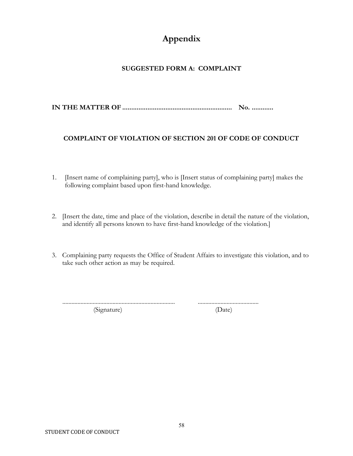## **Appendix**

## **SUGGESTED FORM A: COMPLAINT**

**IN THE MATTER OF ............................................................. No. ............** 

## **COMPLAINT OF VIOLATION OF SECTION 201 OF CODE OF CONDUCT**

- 1. [Insert name of complaining party], who is [Insert status of complaining party] makes the following complaint based upon first-hand knowledge.
- 2. [Insert the date, time and place of the violation, describe in detail the nature of the violation, and identify all persons known to have first-hand knowledge of the violation.]
- 3. Complaining party requests the Office of Student Affairs to investigate this violation, and to take such other action as may be required.

(Signature) (Date)

.......................................................................... ........................................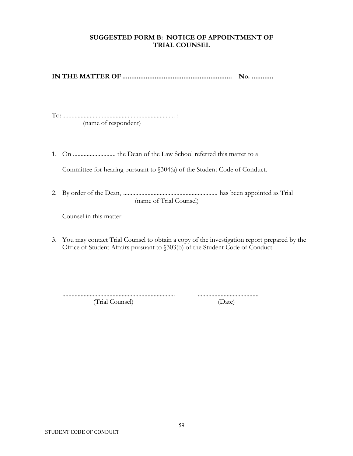## **SUGGESTED FORM B: NOTICE OF APPOINTMENT OF TRIAL COUNSEL**

**IN THE MATTER OF ............................................................. No. ............**

To: .......................................................................... : (name of respondent)

1. On ..........................., the Dean of the Law School referred this matter to a

Committee for hearing pursuant to §304(a) of the Student Code of Conduct.

2. By order of the Dean, .............................................................. has been appointed as Trial (name of Trial Counsel)

Counsel in this matter.

3. You may contact Trial Counsel to obtain a copy of the investigation report prepared by the Office of Student Affairs pursuant to §303(b) of the Student Code of Conduct.

(Trial Counsel) (Date)

.......................................................................... ........................................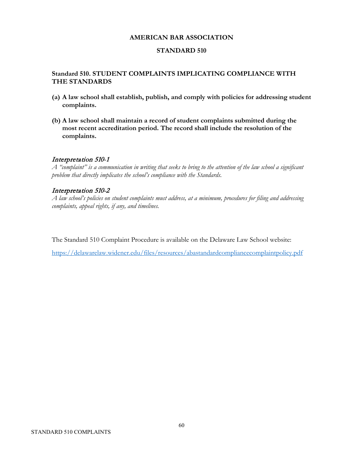### **AMERICAN BAR ASSOCIATION**

### **STANDARD 510**

## **Standard 510. STUDENT COMPLAINTS IMPLICATING COMPLIANCE WITH THE STANDARDS**

- **(a) A law school shall establish, publish, and comply with policies for addressing student complaints.**
- **(b) A law school shall maintain a record of student complaints submitted during the most recent accreditation period. The record shall include the resolution of the complaints.**

### Interpretation 510-1

*A "complaint" is a communication in writing that seeks to bring to the attention of the law school a significant problem that directly implicates the school's compliance with the Standards.*

## Interpretation 510-2

*A law school's policies on student complaints must address, at a minimum, procedures for filing and addressing complaints, appeal rights, if any, and timelines.*

The Standard 510 Complaint Procedure is available on the Delaware Law School website:

<https://delawarelaw.widener.edu/files/resources/abastandardcompliancecomplaintpolicy.pdf>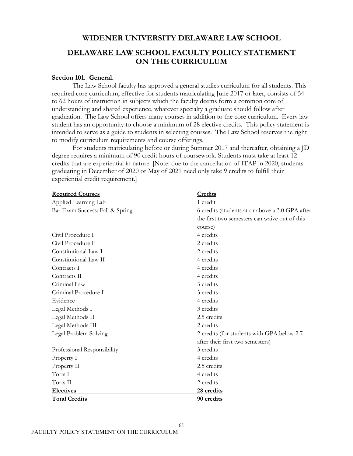## **WIDENER UNIVERSITY DELAWARE LAW SCHOOL**

## **DELAWARE LAW SCHOOL FACULTY POLICY STATEMENT ON THE CURRICULUM**

### **Section 101. General.**

The Law School faculty has approved a general studies curriculum for all students. This required core curriculum, effective for students matriculating June 2017 or later, consists of 54 to 62 hours of instruction in subjects which the faculty deems form a common core of understanding and shared experience, whatever specialty a graduate should follow after graduation. The Law School offers many courses in addition to the core curriculum. Every law student has an opportunity to choose a minimum of 28 elective credits. This policy statement is intended to serve as a guide to students in selecting courses. The Law School reserves the right to modify curriculum requirements and course offerings.

For students matriculating before or during Summer 2017 and thereafter, obtaining a JD degree requires a minimum of 90 credit hours of coursework. Students must take at least 12 credits that are experiential in nature. [Note: due to the cancellation of ITAP in 2020, students graduating in December of 2020 or May of 2021 need only take 9 credits to fulfill their experiential credit requirement.]

| <b>Required Courses</b>         | Credits                                         |
|---------------------------------|-------------------------------------------------|
| Applied Learning Lab            | 1 credit                                        |
| Bar Exam Success: Fall & Spring | 6 credits (students at or above a 3.0 GPA after |
|                                 | the first two semesters can waive out of this   |
|                                 | course)                                         |
| Civil Procedure I               | 4 credits                                       |
| Civil Procedure II              | 2 credits                                       |
| Constitutional Law I            | 2 credits                                       |
| Constitutional Law II           | 4 credits                                       |
| Contracts I                     | 4 credits                                       |
| Contracts II                    | 4 credits                                       |
| Criminal Law                    | 3 credits                                       |
| Criminal Procedure I            | 3 credits                                       |
| Evidence                        | 4 credits                                       |
| Legal Methods I                 | 3 credits                                       |
| Legal Methods II                | 2.5 credits                                     |
| Legal Methods III               | 2 credits                                       |
| Legal Problem Solving           | 2 credits (for students with GPA below 2.7)     |
|                                 | after their first two semesters)                |
| Professional Responsibility     | 3 credits                                       |
| Property I                      | 4 credits                                       |
| Property II                     | 2.5 credits                                     |
| Torts I                         | 4 credits                                       |
| Torts II                        | 2 credits                                       |
| <b>Electives</b>                | 28 credits                                      |
| <b>Total Credits</b>            | 90 credits                                      |

61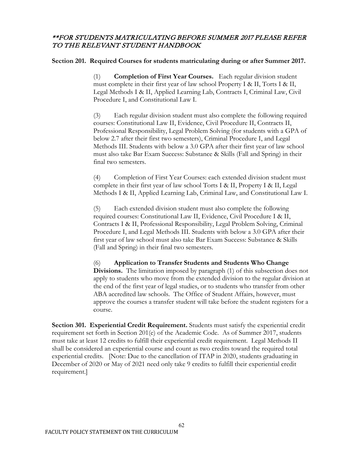## \*\*FOR STUDENTS MATRICULATING BEFORE SUMMER 2017 PLEASE REFER TO THE RELEVANT STUDENT HANDBOOK

### **Section 201. Required Courses for students matriculating during or after Summer 2017.**

(1) **Completion of First Year Courses.** Each regular division student must complete in their first year of law school Property I & II, Torts I & II, Legal Methods I & II, Applied Learning Lab, Contracts I, Criminal Law, Civil Procedure I, and Constitutional Law I.

(3) Each regular division student must also complete the following required courses: Constitutional Law II, Evidence, Civil Procedure II, Contracts II, Professional Responsibility, Legal Problem Solving (for students with a GPA of below 2.7 after their first two semesters), Criminal Procedure I, and Legal Methods III. Students with below a 3.0 GPA after their first year of law school must also take Bar Exam Success: Substance & Skills (Fall and Spring) in their final two semesters.

(4) Completion of First Year Courses: each extended division student must complete in their first year of law school Torts I & II, Property I & II, Legal Methods I & II, Applied Learning Lab, Criminal Law, and Constitutional Law I.

(5) Each extended division student must also complete the following required courses: Constitutional Law II, Evidence, Civil Procedure I & II, Contracts I & II, Professional Responsibility, Legal Problem Solving, Criminal Procedure I, and Legal Methods III. Students with below a 3.0 GPA after their first year of law school must also take Bar Exam Success: Substance & Skills (Fall and Spring) in their final two semesters.

(6) **Application to Transfer Students and Students Who Change Divisions.** The limitation imposed by paragraph (1) of this subsection does not apply to students who move from the extended division to the regular division at the end of the first year of legal studies, or to students who transfer from other ABA accredited law schools. The Office of Student Affairs, however, must approve the courses a transfer student will take before the student registers for a course.

**Section 301. Experiential Credit Requirement.** Students must satisfy the experiential credit requirement set forth in Section 201(e) of the Academic Code. As of Summer 2017, students must take at least 12 credits to fulfill their experiential credit requirement. Legal Methods II shall be considered an experiential course and count as two credits toward the required total experiential credits. [Note: Due to the cancellation of ITAP in 2020, students graduating in December of 2020 or May of 2021 need only take 9 credits to fulfill their experiential credit requirement.]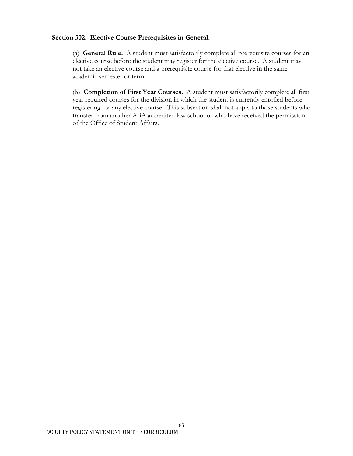### **Section 302. Elective Course Prerequisites in General.**

(a) **General Rule.** A student must satisfactorily complete all prerequisite courses for an elective course before the student may register for the elective course. A student may not take an elective course and a prerequisite course for that elective in the same academic semester or term.

(b) **Completion of First Year Courses.** A student must satisfactorily complete all first year required courses for the division in which the student is currently enrolled before registering for any elective course. This subsection shall not apply to those students who transfer from another ABA accredited law school or who have received the permission of the Office of Student Affairs.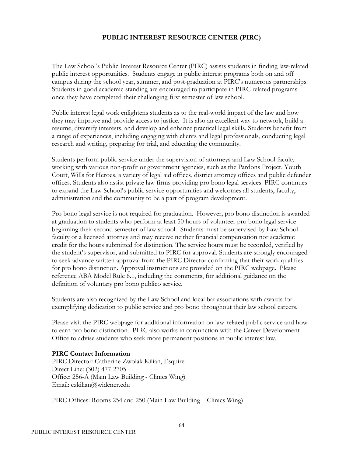## **PUBLIC INTEREST RESOURCE CENTER (PIRC)**

The Law School's Public Interest Resource Center (PIRC) assists students in finding law-related public interest opportunities. Students engage in public interest programs both on and off campus during the school year, summer, and post-graduation at PIRC's numerous partnerships. Students in good academic standing are encouraged to participate in PIRC related programs once they have completed their challenging first semester of law school.

Public interest legal work enlightens students as to the real-world impact of the law and how they may improve and provide access to justice. It is also an excellent way to network, build a resume, diversify interests, and develop and enhance practical legal skills. Students benefit from a range of experiences, including engaging with clients and legal professionals, conducting legal research and writing, preparing for trial, and educating the community.

Students perform public service under the supervision of attorneys and Law School faculty working with various non-profit or government agencies, such as the Pardons Project, Youth Court, Wills for Heroes, a variety of legal aid offices, district attorney offices and public defender offices. Students also assist private law firms providing pro bono legal services. PIRC continues to expand the Law School's public service opportunities and welcomes all students, faculty, administration and the community to be a part of program development.

Pro bono legal service is not required for graduation. However, pro bono distinction is awarded at graduation to students who perform at least 50 hours of volunteer pro bono legal service beginning their second semester of law school. Students must be supervised by Law School faculty or a licensed attorney and may receive neither financial compensation nor academic credit for the hours submitted for distinction. The service hours must be recorded, verified by the student's supervisor, and submitted to PIRC for approval. Students are strongly encouraged to seek advance written approval from the PIRC Director confirming that their work qualifies for pro bono distinction. Approval instructions are provided on the PIRC webpage. Please reference ABA Model Rule 6.1, including the comments, for additional guidance on the definition of voluntary pro bono publico service.

Students are also recognized by the Law School and local bar associations with awards for exemplifying dedication to public service and pro bono throughout their law school careers.

Please visit the PIRC webpage for additional information on law-related public service and how to earn pro bono distinction. PIRC also works in conjunction with the Career Development Office to advise students who seek more permanent positions in public interest law.

### **PIRC Contact Information**

PIRC Director: Catherine Zwolak Kilian, Esquire Direct Line: (302) 477-2705 Office: 256-A (Main Law Building - Clinics Wing) Email: czkilian@widener.edu

PIRC Offices: Rooms 254 and 250 (Main Law Building – Clinics Wing)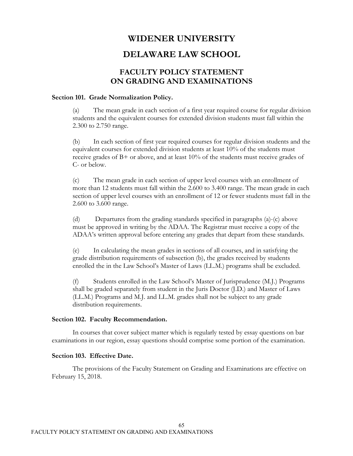## **WIDENER UNIVERSITY**

## **DELAWARE LAW SCHOOL**

## **FACULTY POLICY STATEMENT ON GRADING AND EXAMINATIONS**

#### **Section 101. Grade Normalization Policy.**

(a) The mean grade in each section of a first year required course for regular division students and the equivalent courses for extended division students must fall within the 2.300 to 2.750 range.

(b) In each section of first year required courses for regular division students and the equivalent courses for extended division students at least 10% of the students must receive grades of B+ or above, and at least 10% of the students must receive grades of C- or below.

(c) The mean grade in each section of upper level courses with an enrollment of more than 12 students must fall within the 2.600 to 3.400 range. The mean grade in each section of upper level courses with an enrollment of 12 or fewer students must fall in the 2.600 to 3.600 range.

(d) Departures from the grading standards specified in paragraphs (a)-(c) above must be approved in writing by the ADAA. The Registrar must receive a copy of the ADAA's written approval before entering any grades that depart from these standards.

(e) In calculating the mean grades in sections of all courses, and in satisfying the grade distribution requirements of subsection (b), the grades received by students enrolled the in the Law School's Master of Laws (LL.M.) programs shall be excluded.

(f) Students enrolled in the Law School's Master of Jurisprudence (M.J.) Programs shall be graded separately from student in the Juris Doctor (J.D.) and Master of Laws (LL.M.) Programs and M.J. and LL.M. grades shall not be subject to any grade distribution requirements.

#### **Section 102. Faculty Recommendation.**

In courses that cover subject matter which is regularly tested by essay questions on bar examinations in our region, essay questions should comprise some portion of the examination.

## **Section 103. Effective Date.**

The provisions of the Faculty Statement on Grading and Examinations are effective on February 15, 2018.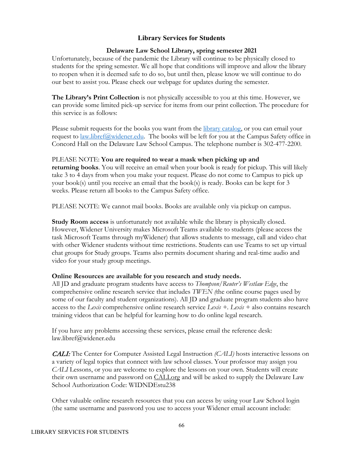## **Library Services for Students**

## **Delaware Law School Library, spring semester 2021**

Unfortunately, because of the pandemic the Library will continue to be physically closed to students for the spring semester. We all hope that conditions will improve and allow the library to reopen when it is deemed safe to do so, but until then, please know we will continue to do our best to assist you. Please check our webpage for updates during the semester.

**The Library's Print Collection** is not physically accessible to you at this time. However, we can provide some limited pick-up service for items from our print collection. The procedure for this service is as follows:

Please submit requests for the books you want from the [library catalog,](https://libcat.widener.edu/) or you can email your request to <u>law.libref@widener.edu</u>. The books will be left for you at the Campus Safety office in Concord Hall on the Delaware Law School Campus. The telephone number is 302-477-2200.

### PLEASE NOTE: **You are required to wear a mask when picking up and**

**returning books**. You will receive an email when your book is ready for pickup. This will likely take 3 to 4 days from when you make your request. Please do not come to Campus to pick up your book(s) until you receive an email that the book(s) is ready. Books can be kept for 3 weeks. Please return all books to the Campus Safety office.

PLEASE NOTE: We cannot mail books. Books are available only via pickup on campus.

**Study Room access** is unfortunately not available while the library is physically closed. However, Widener University makes Microsoft Teams available to students (please access the task Microsoft Teams through myWidener) that allows students to message, call and video chat with other Widener students without time restrictions. Students can use Teams to set up virtual chat groups for Study groups. Teams also permits document sharing and real-time audio and video for your study group meetings.

### **Online Resources are available for you research and study needs.**

All JD and graduate program students have access to *Thompson/Reuter's Westlaw Edge*, the comprehensive online research service that includes *TWEN (*the online course pages used by some of our faculty and student organizations). All JD and graduate program students also have access to the *Lexis* comprehensive online research service *Lexis +. Lexis +* also contains research training videos that can be helpful for learning how to do online legal research.

If you have any problems accessing these services, please email the reference desk: [law.libref@widener.edu](mailto:law.libref@widener.edu)

CALI: The Center for Computer Assisted Legal Instruction *(CALI)* hosts interactive lessons on a variety of legal topics that connect with law school classes. Your professor may assign you *CALI* Lessons, or you are welcome to explore the lessons on your own. Students will create their own username and password on [CALI.org](http://cali.org/) and will be asked to supply the Delaware Law School Authorization Code: WIDNDEstu238

Other valuable online research resources that you can access by using your Law School login (the same username and password you use to access your Widener email account include: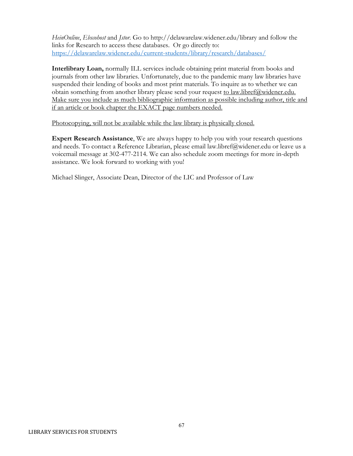*HeinOnline*, *Ebscohost* and *Jstor*. Go to http://delawarelaw.widener.edu/library and follow the links for Research to access these databases. Or go directly to: <https://delawarelaw.widener.edu/current-students/library/research/databases/>

**Interlibrary Loan,** normally ILL services include obtaining print material from books and journals from other law libraries. Unfortunately, due to the pandemic many law libraries have suspended their lending of books and most print materials. To inquire as to whether we can obtain something from another library please send your request to [law.libref@widener.edu.](mailto:law.libref@widener.edu) Make sure you include as much bibliographic information as possible including author, title and if an article or book chapter the EXACT page numbers needed.

Photocopying, will not be available while the law library is physically closed.

**Expert Research Assistance**, We are always happy to help you with your research questions and needs. To contact a Reference Librarian, please email [law.libref@widener.edu](mailto:law.libref@widener.edu) or leave us a voicemail message at 302-477-2114. We can also schedule zoom meetings for more in-depth assistance. We look forward to working with you!

Michael Slinger, Associate Dean, Director of the LIC and Professor of Law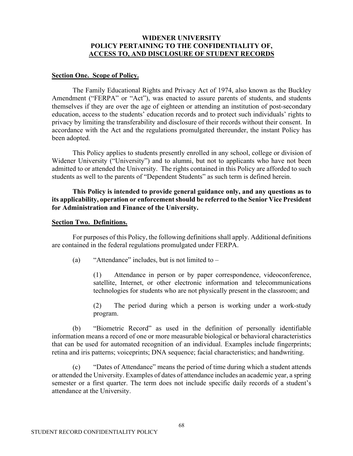#### **WIDENER UNIVERSITY POLICY PERTAINING TO THE CONFIDENTIALITY OF, ACCESS TO, AND DISCLOSURE OF STUDENT RECORDS**

#### **Section One. Scope of Policy.**

The Family Educational Rights and Privacy Act of 1974, also known as the Buckley Amendment ("FERPA" or "Act"), was enacted to assure parents of students, and students themselves if they are over the age of eighteen or attending an institution of post-secondary education, access to the students' education records and to protect such individuals' rights to privacy by limiting the transferability and disclosure of their records without their consent. In accordance with the Act and the regulations promulgated thereunder, the instant Policy has been adopted.

This Policy applies to students presently enrolled in any school, college or division of Widener University ("University") and to alumni, but not to applicants who have not been admitted to or attended the University. The rights contained in this Policy are afforded to such students as well to the parents of "Dependent Students" as such term is defined herein.

**This Policy is intended to provide general guidance only, and any questions as to its applicability, operation or enforcement should be referred to the Senior Vice President for Administration and Finance of the University.**

#### **Section Two. Definitions.**

For purposes of this Policy, the following definitions shall apply. Additional definitions are contained in the federal regulations promulgated under FERPA.

(a) "Attendance" includes, but is not limited to  $-$ 

(1) Attendance in person or by paper correspondence, videoconference, satellite, Internet, or other electronic information and telecommunications technologies for students who are not physically present in the classroom; and

(2) The period during which a person is working under a work-study program.

(b) "Biometric Record" as used in the definition of personally identifiable information means a record of one or more measurable biological or behavioral characteristics that can be used for automated recognition of an individual. Examples include fingerprints; retina and iris patterns; voiceprints; DNA sequence; facial characteristics; and handwriting.

(c) "Dates of Attendance" means the period of time during which a student attends or attended the University. Examples of dates of attendance includes an academic year, a spring semester or a first quarter. The term does not include specific daily records of a student's attendance at the University.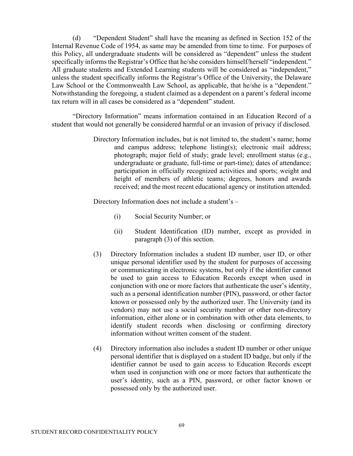(d) "Dependent Student" shall have the meaning as defined in Section 152 of the Internal Revenue Code of 1954, as same may be amended from time to time. For purposes of this Policy, all undergraduate students will be considered as "dependent" unless the student specifically informs the Registrar's Office that he/she considers himself/herself "independent." All graduate students and Extended Learning students will be considered as "independent," unless the student specifically informs the Registrar's Office of the University, the Delaware Law School or the Commonwealth Law School, as applicable, that he/she is a "dependent." Notwithstanding the foregoing, a student claimed as a dependent on a parent's federal income tax return will in all cases be considered as a "dependent" student.

"Directory Information" means information contained in an Education Record of a student that would not generally be considered harmful or an invasion of privacy if disclosed.

> Directory Information includes, but is not limited to, the student's name; home and campus address; telephone listing(s); electronic mail address; photograph; major field of study; grade level; enrollment status (e.g., undergraduate or graduate, full-time or part-time); dates of attendance; participation in officially recognized activities and sports; weight and height of members of athletic teams; degrees, honors and awards received; and the most recent educational agency or institution attended.

Directory Information does not include a student's –

- (i) Social Security Number; or
- (ii) Student Identification (ID) number, except as provided in paragraph (3) of this section.
- (3) Directory Information includes a student ID number, user ID, or other unique personal identifier used by the student for purposes of accessing or communicating in electronic systems, but only if the identifier cannot be used to gain access to Education Records except when used in conjunction with one or more factors that authenticate the user's identity, such as a personal identification number (PIN), password, or other factor known or possessed only by the authorized user. The University (and its vendors) may not use a social security number or other non-directory information, either alone or in combination with other data elements, to identify student records when disclosing or confirming directory information without written consent of the student.
- (4) Directory information also includes a student ID number or other unique personal identifier that is displayed on a student ID badge, but only if the identifier cannot be used to gain access to Education Records except when used in conjunction with one or more factors that authenticate the user's identity, such as a PIN, password, or other factor known or possessed only by the authorized user.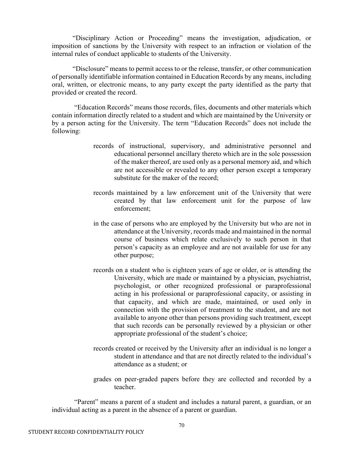"Disciplinary Action or Proceeding" means the investigation, adjudication, or imposition of sanctions by the University with respect to an infraction or violation of the internal rules of conduct applicable to students of the University.

"Disclosure" means to permit access to or the release, transfer, or other communication of personally identifiable information contained in Education Records by any means, including oral, written, or electronic means, to any party except the party identified as the party that provided or created the record.

"Education Records" means those records, files, documents and other materials which contain information directly related to a student and which are maintained by the University or by a person acting for the University. The term "Education Records" does not include the following:

- records of instructional, supervisory, and administrative personnel and educational personnel ancillary thereto which are in the sole possession of the maker thereof, are used only as a personal memory aid, and which are not accessible or revealed to any other person except a temporary substitute for the maker of the record;
- records maintained by a law enforcement unit of the University that were created by that law enforcement unit for the purpose of law enforcement;
- in the case of persons who are employed by the University but who are not in attendance at the University, records made and maintained in the normal course of business which relate exclusively to such person in that person's capacity as an employee and are not available for use for any other purpose;
- records on a student who is eighteen years of age or older, or is attending the University, which are made or maintained by a physician, psychiatrist, psychologist, or other recognized professional or paraprofessional acting in his professional or paraprofessional capacity, or assisting in that capacity, and which are made, maintained, or used only in connection with the provision of treatment to the student, and are not available to anyone other than persons providing such treatment, except that such records can be personally reviewed by a physician or other appropriate professional of the student's choice;
- records created or received by the University after an individual is no longer a student in attendance and that are not directly related to the individual's attendance as a student; or
- grades on peer-graded papers before they are collected and recorded by a teacher.

"Parent" means a parent of a student and includes a natural parent, a guardian, or an individual acting as a parent in the absence of a parent or guardian.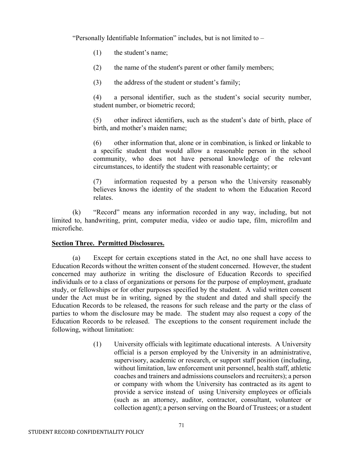"Personally Identifiable Information" includes, but is not limited to –

- (1) the student's name;
- (2) the name of the student's parent or other family members;
- (3) the address of the student or student's family;

(4) a personal identifier, such as the student's social security number, student number, or biometric record;

(5) other indirect identifiers, such as the student's date of birth, place of birth, and mother's maiden name;

(6) other information that, alone or in combination, is linked or linkable to a specific student that would allow a reasonable person in the school community, who does not have personal knowledge of the relevant circumstances, to identify the student with reasonable certainty; or

(7) information requested by a person who the University reasonably believes knows the identity of the student to whom the Education Record relates.

(k) "Record" means any information recorded in any way, including, but not limited to, handwriting, print, computer media, video or audio tape, film, microfilm and microfiche.

## **Section Three. Permitted Disclosures.**

(a) Except for certain exceptions stated in the Act, no one shall have access to Education Records without the written consent of the student concerned. However, the student concerned may authorize in writing the disclosure of Education Records to specified individuals or to a class of organizations or persons for the purpose of employment, graduate study, or fellowships or for other purposes specified by the student. A valid written consent under the Act must be in writing, signed by the student and dated and shall specify the Education Records to be released, the reasons for such release and the party or the class of parties to whom the disclosure may be made. The student may also request a copy of the Education Records to be released. The exceptions to the consent requirement include the following, without limitation:

> (1) University officials with legitimate educational interests. A University official is a person employed by the University in an administrative, supervisory, academic or research, or support staff position (including, without limitation, law enforcement unit personnel, health staff, athletic coaches and trainers and admissions counselors and recruiters); a person or company with whom the University has contracted as its agent to provide a service instead of using University employees or officials (such as an attorney, auditor, contractor, consultant, volunteer or collection agent); a person serving on the Board of Trustees; or a student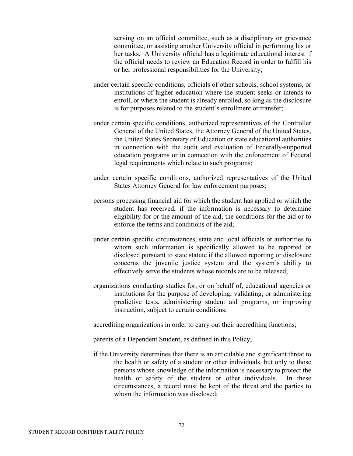serving on an official committee, such as a disciplinary or grievance committee, or assisting another University official in performing his or her tasks. A University official has a legitimate educational interest if the official needs to review an Education Record in order to fulfill his or her professional responsibilities for the University;

- under certain specific conditions, officials of other schools, school systems, or institutions of higher education where the student seeks or intends to enroll, or where the student is already enrolled, so long as the disclosure is for purposes related to the student's enrollment or transfer;
- under certain specific conditions, authorized representatives of the Controller General of the United States, the Attorney General of the United States, the United States Secretary of Education or state educational authorities in connection with the audit and evaluation of Federally-supported education programs or in connection with the enforcement of Federal legal requirements which relate to such programs;
- under certain specific conditions, authorized representatives of the United States Attorney General for law enforcement purposes;
- persons processing financial aid for which the student has applied or which the student has received, if the information is necessary to determine eligibility for or the amount of the aid, the conditions for the aid or to enforce the terms and conditions of the aid;
- under certain specific circumstances, state and local officials or authorities to whom such information is specifically allowed to be reported or disclosed pursuant to state statute if the allowed reporting or disclosure concerns the juvenile justice system and the system's ability to effectively serve the students whose records are to be released;
- organizations conducting studies for, or on behalf of, educational agencies or institutions for the purpose of developing, validating, or administering predictive tests, administering student aid programs, or improving instruction, subject to certain conditions;

accrediting organizations in order to carry out their accrediting functions;

parents of a Dependent Student, as defined in this Policy;

if the University determines that there is an articulable and significant threat to the health or safety of a student or other individuals, but only to those persons whose knowledge of the information is necessary to protect the health or safety of the student or other individuals. In these circumstances, a record must be kept of the threat and the parties to whom the information was disclosed;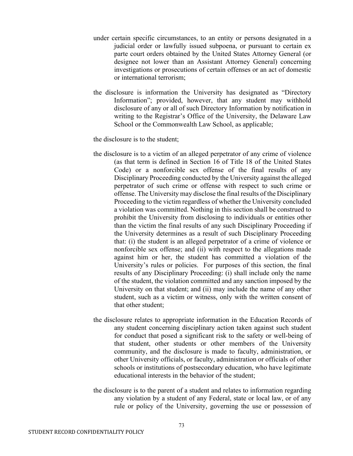- under certain specific circumstances, to an entity or persons designated in a judicial order or lawfully issued subpoena, or pursuant to certain ex parte court orders obtained by the United States Attorney General (or designee not lower than an Assistant Attorney General) concerning investigations or prosecutions of certain offenses or an act of domestic or international terrorism;
- the disclosure is information the University has designated as "Directory Information"; provided, however, that any student may withhold disclosure of any or all of such Directory Information by notification in writing to the Registrar's Office of the University, the Delaware Law School or the Commonwealth Law School, as applicable;

the disclosure is to the student;

- the disclosure is to a victim of an alleged perpetrator of any crime of violence (as that term is defined in Section 16 of Title 18 of the United States Code) or a nonforcible sex offense of the final results of any Disciplinary Proceeding conducted by the University against the alleged perpetrator of such crime or offense with respect to such crime or offense. The University may disclose the final results of the Disciplinary Proceeding to the victim regardless of whether the University concluded a violation was committed. Nothing in this section shall be construed to prohibit the University from disclosing to individuals or entities other than the victim the final results of any such Disciplinary Proceeding if the University determines as a result of such Disciplinary Proceeding that: (i) the student is an alleged perpetrator of a crime of violence or nonforcible sex offense; and (ii) with respect to the allegations made against him or her, the student has committed a violation of the University's rules or policies. For purposes of this section, the final results of any Disciplinary Proceeding: (i) shall include only the name of the student, the violation committed and any sanction imposed by the University on that student; and (ii) may include the name of any other student, such as a victim or witness, only with the written consent of that other student;
- the disclosure relates to appropriate information in the Education Records of any student concerning disciplinary action taken against such student for conduct that posed a significant risk to the safety or well-being of that student, other students or other members of the University community, and the disclosure is made to faculty, administration, or other University officials, or faculty, administration or officials of other schools or institutions of postsecondary education, who have legitimate educational interests in the behavior of the student;
- the disclosure is to the parent of a student and relates to information regarding any violation by a student of any Federal, state or local law, or of any rule or policy of the University, governing the use or possession of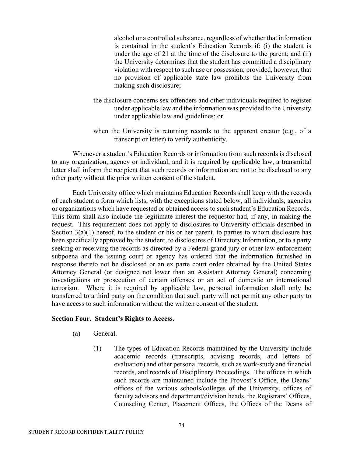alcohol or a controlled substance, regardless of whether that information is contained in the student's Education Records if: (i) the student is under the age of 21 at the time of the disclosure to the parent; and (ii) the University determines that the student has committed a disciplinary violation with respect to such use or possession; provided, however, that no provision of applicable state law prohibits the University from making such disclosure;

- the disclosure concerns sex offenders and other individuals required to register under applicable law and the information was provided to the University under applicable law and guidelines; or
- when the University is returning records to the apparent creator (e.g., of a transcript or letter) to verify authenticity.

Whenever a student's Education Records or information from such records is disclosed to any organization, agency or individual, and it is required by applicable law, a transmittal letter shall inform the recipient that such records or information are not to be disclosed to any other party without the prior written consent of the student.

Each University office which maintains Education Records shall keep with the records of each student a form which lists, with the exceptions stated below, all individuals, agencies or organizations which have requested or obtained access to such student's Education Records. This form shall also include the legitimate interest the requestor had, if any, in making the request. This requirement does not apply to disclosures to University officials described in Section  $3(a)(1)$  hereof, to the student or his or her parent, to parties to whom disclosure has been specifically approved by the student, to disclosures of Directory Information, or to a party seeking or receiving the records as directed by a Federal grand jury or other law enforcement subpoena and the issuing court or agency has ordered that the information furnished in response thereto not be disclosed or an ex parte court order obtained by the United States Attorney General (or designee not lower than an Assistant Attorney General) concerning investigations or prosecution of certain offenses or an act of domestic or international terrorism. Where it is required by applicable law, personal information shall only be transferred to a third party on the condition that such party will not permit any other party to have access to such information without the written consent of the student.

### **Section Four. Student's Rights to Access.**

- (a) General.
	- (1) The types of Education Records maintained by the University include academic records (transcripts, advising records, and letters of evaluation) and other personal records, such as work-study and financial records, and records of Disciplinary Proceedings. The offices in which such records are maintained include the Provost's Office, the Deans' offices of the various schools/colleges of the University, offices of faculty advisors and department/division heads, the Registrars' Offices, Counseling Center, Placement Offices, the Offices of the Deans of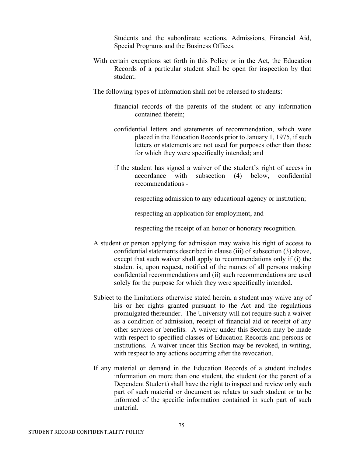Students and the subordinate sections, Admissions, Financial Aid, Special Programs and the Business Offices.

- With certain exceptions set forth in this Policy or in the Act, the Education Records of a particular student shall be open for inspection by that student.
- The following types of information shall not be released to students:
	- financial records of the parents of the student or any information contained therein;
	- confidential letters and statements of recommendation, which were placed in the Education Records prior to January 1, 1975, if such letters or statements are not used for purposes other than those for which they were specifically intended; and
	- if the student has signed a waiver of the student's right of access in accordance with subsection (4) below, confidential recommendations -

respecting admission to any educational agency or institution;

respecting an application for employment, and

respecting the receipt of an honor or honorary recognition.

- A student or person applying for admission may waive his right of access to confidential statements described in clause (iii) of subsection (3) above, except that such waiver shall apply to recommendations only if (i) the student is, upon request, notified of the names of all persons making confidential recommendations and (ii) such recommendations are used solely for the purpose for which they were specifically intended.
- Subject to the limitations otherwise stated herein, a student may waive any of his or her rights granted pursuant to the Act and the regulations promulgated thereunder. The University will not require such a waiver as a condition of admission, receipt of financial aid or receipt of any other services or benefits. A waiver under this Section may be made with respect to specified classes of Education Records and persons or institutions. A waiver under this Section may be revoked, in writing, with respect to any actions occurring after the revocation.
- If any material or demand in the Education Records of a student includes information on more than one student, the student (or the parent of a Dependent Student) shall have the right to inspect and review only such part of such material or document as relates to such student or to be informed of the specific information contained in such part of such material.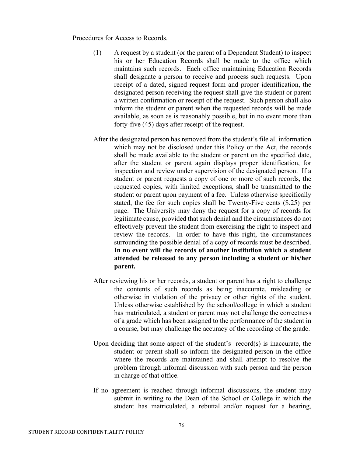#### Procedures for Access to Records.

- (1) A request by a student (or the parent of a Dependent Student) to inspect his or her Education Records shall be made to the office which maintains such records. Each office maintaining Education Records shall designate a person to receive and process such requests. Upon receipt of a dated, signed request form and proper identification, the designated person receiving the request shall give the student or parent a written confirmation or receipt of the request. Such person shall also inform the student or parent when the requested records will be made available, as soon as is reasonably possible, but in no event more than forty-five (45) days after receipt of the request.
- After the designated person has removed from the student's file all information which may not be disclosed under this Policy or the Act, the records shall be made available to the student or parent on the specified date, after the student or parent again displays proper identification, for inspection and review under supervision of the designated person. If a student or parent requests a copy of one or more of such records, the requested copies, with limited exceptions, shall be transmitted to the student or parent upon payment of a fee. Unless otherwise specifically stated, the fee for such copies shall be Twenty-Five cents (\$.25) per page. The University may deny the request for a copy of records for legitimate cause, provided that such denial and the circumstances do not effectively prevent the student from exercising the right to inspect and review the records. In order to have this right, the circumstances surrounding the possible denial of a copy of records must be described. **In no event will the records of another institution which a student attended be released to any person including a student or his/her parent.**
- After reviewing his or her records, a student or parent has a right to challenge the contents of such records as being inaccurate, misleading or otherwise in violation of the privacy or other rights of the student. Unless otherwise established by the school/college in which a student has matriculated, a student or parent may not challenge the correctness of a grade which has been assigned to the performance of the student in a course, but may challenge the accuracy of the recording of the grade.
- Upon deciding that some aspect of the student's record(s) is inaccurate, the student or parent shall so inform the designated person in the office where the records are maintained and shall attempt to resolve the problem through informal discussion with such person and the person in charge of that office.
- If no agreement is reached through informal discussions, the student may submit in writing to the Dean of the School or College in which the student has matriculated, a rebuttal and/or request for a hearing,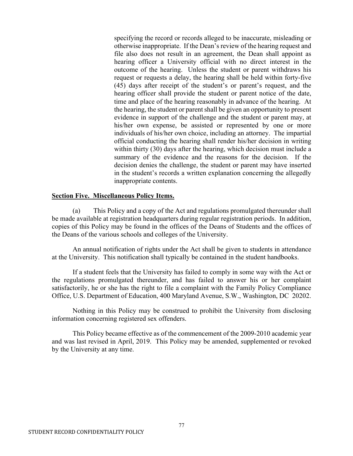specifying the record or records alleged to be inaccurate, misleading or otherwise inappropriate. If the Dean's review of the hearing request and file also does not result in an agreement, the Dean shall appoint as hearing officer a University official with no direct interest in the outcome of the hearing. Unless the student or parent withdraws his request or requests a delay, the hearing shall be held within forty-five (45) days after receipt of the student's or parent's request, and the hearing officer shall provide the student or parent notice of the date, time and place of the hearing reasonably in advance of the hearing. At the hearing, the student or parent shall be given an opportunity to present evidence in support of the challenge and the student or parent may, at his/her own expense, be assisted or represented by one or more individuals of his/her own choice, including an attorney. The impartial official conducting the hearing shall render his/her decision in writing within thirty (30) days after the hearing, which decision must include a summary of the evidence and the reasons for the decision. If the decision denies the challenge, the student or parent may have inserted in the student's records a written explanation concerning the allegedly inappropriate contents.

#### **Section Five. Miscellaneous Policy Items.**

(a) This Policy and a copy of the Act and regulations promulgated thereunder shall be made available at registration headquarters during regular registration periods. In addition, copies of this Policy may be found in the offices of the Deans of Students and the offices of the Deans of the various schools and colleges of the University.

An annual notification of rights under the Act shall be given to students in attendance at the University. This notification shall typically be contained in the student handbooks.

If a student feels that the University has failed to comply in some way with the Act or the regulations promulgated thereunder, and has failed to answer his or her complaint satisfactorily, he or she has the right to file a complaint with the Family Policy Compliance Office, U.S. Department of Education, 400 Maryland Avenue, S.W., Washington, DC 20202.

Nothing in this Policy may be construed to prohibit the University from disclosing information concerning registered sex offenders.

This Policy became effective as of the commencement of the 2009-2010 academic year and was last revised in April, 2019. This Policy may be amended, supplemented or revoked by the University at any time.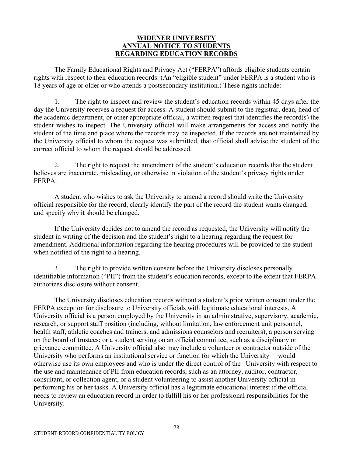## **WIDENER UNIVERSITY ANNUAL NOTICE TO STUDENTS REGARDING EDUCATION RECORDS**

The Family Educational Rights and Privacy Act ("FERPA") affords eligible students certain rights with respect to their education records. (An "eligible student" under FERPA is a student who is 18 years of age or older or who attends a postsecondary institution.) These rights include:

1. The right to inspect and review the student's education records within 45 days after the day the University receives a request for access. A student should submit to the registrar, dean, head of the academic department, or other appropriate official, a written request that identifies the record(s) the student wishes to inspect. The University official will make arrangements for access and notify the student of the time and place where the records may be inspected. If the records are not maintained by the University official to whom the request was submitted, that official shall advise the student of the correct official to whom the request should be addressed.

2. The right to request the amendment of the student's education records that the student believes are inaccurate, misleading, or otherwise in violation of the student's privacy rights under FERPA.

A student who wishes to ask the University to amend a record should write the University official responsible for the record, clearly identify the part of the record the student wants changed, and specify why it should be changed.

If the University decides not to amend the record as requested, the University will notify the student in writing of the decision and the student's right to a hearing regarding the request for amendment. Additional information regarding the hearing procedures will be provided to the student when notified of the right to a hearing.

3. The right to provide written consent before the University discloses personally identifiable information ("PII") from the student's education records, except to the extent that FERPA authorizes disclosure without consent.

The University discloses education records without a student's prior written consent under the FERPA exception for disclosure to University officials with legitimate educational interests. A University official is a person employed by the University in an administrative, supervisory, academic, research, or support staff position (including, without limitation, law enforcement unit personnel, health staff, athletic coaches and trainers, and admissions counselors and recruiters); a person serving on the board of trustees; or a student serving on an official committee, such as a disciplinary or grievance committee. A University official also may include a volunteer or contractor outside of the University who performs an institutional service or function for which the University would otherwise use its own employees and who is under the direct control of the University with respect to the use and maintenance of PII from education records, such as an attorney, auditor, contractor, consultant, or collection agent, or a student volunteering to assist another University official in performing his or her tasks. A University official has a legitimate educational interest if the official needs to review an education record in order to fulfill his or her professional responsibilities for the University.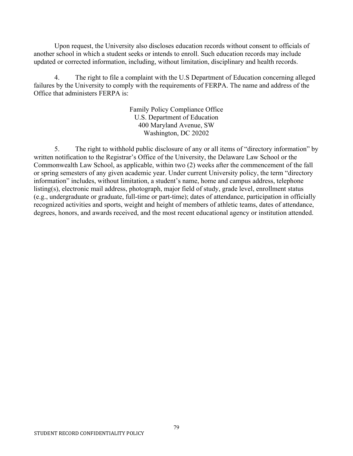Upon request, the University also discloses education records without consent to officials of another school in which a student seeks or intends to enroll. Such education records may include updated or corrected information, including, without limitation, disciplinary and health records.

4. The right to file a complaint with the U.S Department of Education concerning alleged failures by the University to comply with the requirements of FERPA. The name and address of the Office that administers FERPA is:

> Family Policy Compliance Office U.S. Department of Education 400 Maryland Avenue, SW Washington, DC 20202

5. The right to withhold public disclosure of any or all items of "directory information" by written notification to the Registrar's Office of the University, the Delaware Law School or the Commonwealth Law School, as applicable, within two (2) weeks after the commencement of the fall or spring semesters of any given academic year. Under current University policy, the term "directory information" includes, without limitation, a student's name, home and campus address, telephone listing(s), electronic mail address, photograph, major field of study, grade level, enrollment status (e.g., undergraduate or graduate, full-time or part-time); dates of attendance, participation in officially recognized activities and sports, weight and height of members of athletic teams, dates of attendance, degrees, honors, and awards received, and the most recent educational agency or institution attended.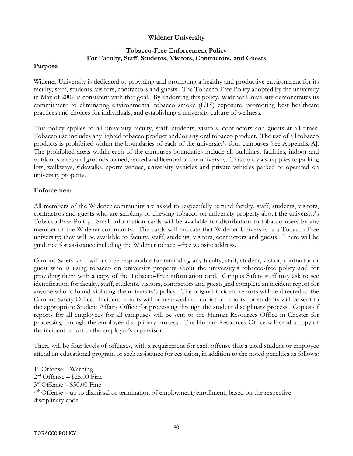#### **Widener University**

## **Tobacco-Free Enforcement Policy For Faculty, Staff, Students, Visitors, Contractors, and Guests**

#### **Purpose**

Widener University is dedicated to providing and promoting a healthy and productive environment for its faculty, staff, students, visitors, contractors and guests. The Tobacco-Free Policy adopted by the university in May of 2009 is consistent with that goal. By endorsing this policy, Widener University demonstrates its commitment to eliminating environmental tobacco smoke (ETS) exposure, promoting best healthcare practices and choices for individuals, and establishing a university culture of wellness.

This policy applies to all university faculty, staff, students, visitors, contractors and guests at all times. Tobacco use includes any lighted tobacco product and/or any oral tobacco product. The use of all tobacco products is prohibited within the boundaries of each of the university's four campuses [see Appendix A]. The prohibited areas within each of the campuses boundaries include all buildings, facilities, indoor and outdoor spaces and grounds owned, rented and licensed by the university. This policy also applies to parking lots, walkways, sidewalks, sports venues, university vehicles and private vehicles parked or operated on university property.

### **Enforcement**

All members of the Widener community are asked to respectfully remind faculty, staff, students, visitors, contractors and guests who are smoking or chewing tobacco on university property about the university's Tobacco-Free Policy. Small information cards will be available for distribution to tobacco users by any member of the Widener community. The cards will indicate that Widener University is a Tobacco-Free university; they will be available to faculty, staff, students, visitors, contractors and guests. There will be guidance for assistance including the Widener tobacco-free website address.

Campus Safety staff will also be responsible for reminding any faculty, staff, student, visitor, contractor or guest who is using tobacco on university property about the university's tobacco-free policy and for providing them with a copy of the Tobacco-Free information card. Campus Safety staff may ask to see identification for faculty, staff, students, visitors, contractors and guests and complete an incident report for anyone who is found violating the university's policy. The original incident reports will be directed to the Campus Safety Office. Incident reports will be reviewed and copies of reports for students will be sent to the appropriate Student Affairs Office for processing through the student disciplinary process. Copies of reports for all employees for all campuses will be sent to the Human Resources Office in Chester for processing through the employee disciplinary process. The Human Resources Office will send a copy of the incident report to the employee's supervisor.

There will be four levels of offenses, with a requirement for each offense that a cited student or employee attend an educational program or seek assistance for cessation, in addition to the noted penalties as follows:

 $1<sup>st</sup>$  Offense – Warning  $2<sup>nd</sup>$  Offense – \$25.00 Fine  $3<sup>rd</sup>$  Offense – \$50.00 Fine  $4<sup>th</sup>$  Offense – up to dismissal or termination of employment/enrollment, based on the respective disciplinary code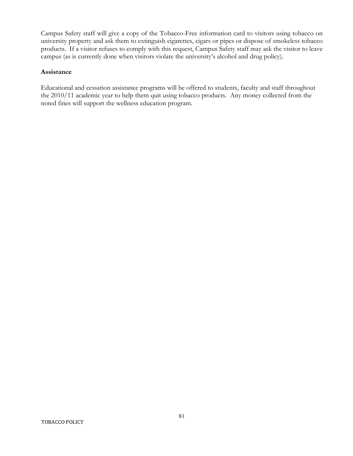Campus Safety staff will give a copy of the Tobacco-Free information card to visitors using tobacco on university property and ask them to extinguish cigarettes, cigars or pipes or dispose of smokeless tobacco products. If a visitor refuses to comply with this request, Campus Safety staff may ask the visitor to leave campus (as is currently done when visitors violate the university's alcohol and drug policy).

#### **Assistance**

Educational and cessation assistance programs will be offered to students, faculty and staff throughout the 2010/11 academic year to help them quit using tobacco products. Any money collected from the noted fines will support the wellness education program.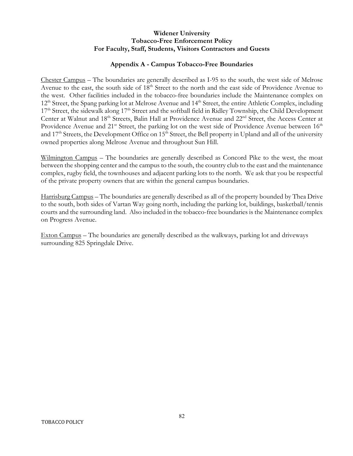### **Widener University Tobacco-Free Enforcement Policy For Faculty, Staff, Students, Visitors Contractors and Guests**

## **Appendix A - Campus Tobacco-Free Boundaries**

Chester Campus – The boundaries are generally described as I-95 to the south, the west side of Melrose Avenue to the east, the south side of 18<sup>th</sup> Street to the north and the east side of Providence Avenue to the west. Other facilities included in the tobacco-free boundaries include the Maintenance complex on 12<sup>th</sup> Street, the Spang parking lot at Melrose Avenue and 14<sup>th</sup> Street, the entire Athletic Complex, including 17<sup>th</sup> Street, the sidewalk along 17<sup>th</sup> Street and the softball field in Ridley Township, the Child Development Center at Walnut and 18<sup>th</sup> Streets, Balin Hall at Providence Avenue and 22<sup>nd</sup> Street, the Access Center at Providence Avenue and 21<sup>st</sup> Street, the parking lot on the west side of Providence Avenue between 16<sup>th</sup> and 17<sup>th</sup> Streets, the Development Office on 15<sup>th</sup> Street, the Bell property in Upland and all of the university owned properties along Melrose Avenue and throughout Sun Hill.

Wilmington Campus – The boundaries are generally described as Concord Pike to the west, the moat between the shopping center and the campus to the south, the country club to the east and the maintenance complex, rugby field, the townhouses and adjacent parking lots to the north. We ask that you be respectful of the private property owners that are within the general campus boundaries.

Harrisburg Campus – The boundaries are generally described as all of the property bounded by Thea Drive to the south, both sides of Vartan Way going north, including the parking lot, buildings, basketball/tennis courts and the surrounding land. Also included in the tobacco-free boundaries is the Maintenance complex on Progress Avenue.

Exton Campus – The boundaries are generally described as the walkways, parking lot and driveways surrounding 825 Springdale Drive.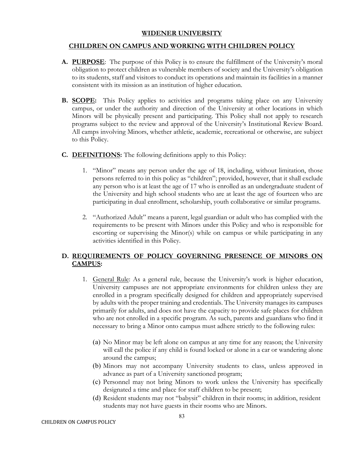### **WIDENER UNIVERSITY**

## **CHILDREN ON CAMPUS AND WORKING WITH CHILDREN POLICY**

- **A. PURPOSE**: The purpose of this Policy is to ensure the fulfillment of the University's moral obligation to protect children as vulnerable members of society and the University's obligation to its students, staff and visitors to conduct its operations and maintain its facilities in a manner consistent with its mission as an institution of higher education.
- **B. SCOPE:** This Policy applies to activities and programs taking place on any University campus, or under the authority and direction of the University at other locations in which Minors will be physically present and participating. This Policy shall not apply to research programs subject to the review and approval of the University's Institutional Review Board. All camps involving Minors, whether athletic, academic, recreational or otherwise, are subject to this Policy.
- **C. DEFINITIONS:** The following definitions apply to this Policy:
	- 1. "Minor" means any person under the age of 18, including, without limitation, those persons referred to in this policy as "children"; provided, however, that it shall exclude any person who is at least the age of 17 who is enrolled as an undergraduate student of the University and high school students who are at least the age of fourteen who are participating in dual enrollment, scholarship, youth collaborative or similar programs.
	- 2. "Authorized Adult" means a parent, legal guardian or adult who has complied with the requirements to be present with Minors under this Policy and who is responsible for escorting or supervising the Minor(s) while on campus or while participating in any activities identified in this Policy.

## **D. REQUIREMENTS OF POLICY GOVERNING PRESENCE OF MINORS ON CAMPUS:**

- 1. General Rule: As a general rule, because the University's work is higher education, University campuses are not appropriate environments for children unless they are enrolled in a program specifically designed for children and appropriately supervised by adults with the proper training and credentials. The University manages its campuses primarily for adults, and does not have the capacity to provide safe places for children who are not enrolled in a specific program. As such, parents and guardians who find it necessary to bring a Minor onto campus must adhere strictly to the following rules:
	- (a) No Minor may be left alone on campus at any time for any reason; the University will call the police if any child is found locked or alone in a car or wandering alone around the campus;
	- (b) Minors may not accompany University students to class, unless approved in advance as part of a University sanctioned program;
	- (c) Personnel may not bring Minors to work unless the University has specifically designated a time and place for staff children to be present;
	- (d) Resident students may not "babysit" children in their rooms; in addition, resident students may not have guests in their rooms who are Minors.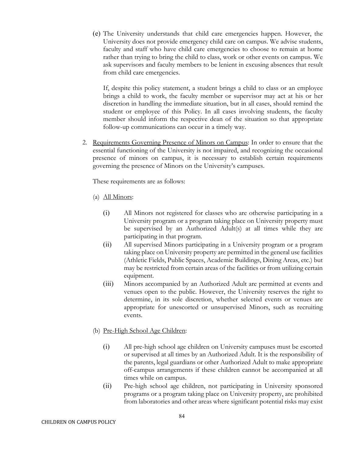(e) The University understands that child care emergencies happen. However, the University does not provide emergency child care on campus. We advise students, faculty and staff who have child care emergencies to choose to remain at home rather than trying to bring the child to class, work or other events on campus. We ask supervisors and faculty members to be lenient in excusing absences that result from child care emergencies.

If, despite this policy statement, a student brings a child to class or an employee brings a child to work, the faculty member or supervisor may act at his or her discretion in handling the immediate situation, but in all cases, should remind the student or employee of this Policy. In all cases involving students, the faculty member should inform the respective dean of the situation so that appropriate follow-up communications can occur in a timely way.

2. Requirements Governing Presence of Minors on Campus: In order to ensure that the essential functioning of the University is not impaired, and recognizing the occasional presence of minors on campus, it is necessary to establish certain requirements governing the presence of Minors on the University's campuses.

These requirements are as follows:

- (a) All Minors:
	- (i) All Minors not registered for classes who are otherwise participating in a University program or a program taking place on University property must be supervised by an Authorized Adult(s) at all times while they are participating in that program.
	- (ii) All supervised Minors participating in a University program or a program taking place on University property are permitted in the general use facilities (Athletic Fields, Public Spaces, Academic Buildings, Dining Areas, etc.) but may be restricted from certain areas of the facilities or from utilizing certain equipment.
	- (iii) Minors accompanied by an Authorized Adult are permitted at events and venues open to the public. However, the University reserves the right to determine, in its sole discretion, whether selected events or venues are appropriate for unescorted or unsupervised Minors, such as recruiting events.
- (b) Pre-High School Age Children:
	- (i) All pre-high school age children on University campuses must be escorted or supervised at all times by an Authorized Adult. It is the responsibility of the parents, legal guardians or other Authorized Adult to make appropriate off-campus arrangements if these children cannot be accompanied at all times while on campus.
	- (ii) Pre-high school age children, not participating in University sponsored programs or a program taking place on University property, are prohibited from laboratories and other areas where significant potential risks may exist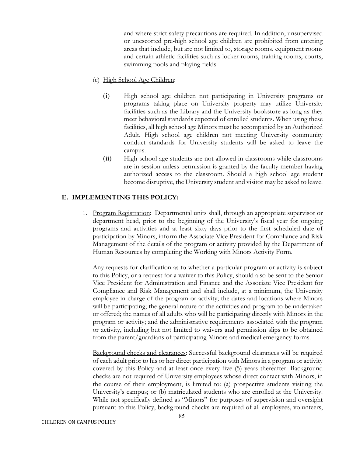and where strict safety precautions are required. In addition, unsupervised or unescorted pre-high school age children are prohibited from entering areas that include, but are not limited to, storage rooms, equipment rooms and certain athletic facilities such as locker rooms, training rooms, courts, swimming pools and playing fields.

- (c) High School Age Children:
	- (i) High school age children not participating in University programs or programs taking place on University property may utilize University facilities such as the Library and the University bookstore as long as they meet behavioral standards expected of enrolled students. When using these facilities, all high school age Minors must be accompanied by an Authorized Adult. High school age children not meeting University community conduct standards for University students will be asked to leave the campus.
	- (ii) High school age students are not allowed in classrooms while classrooms are in session unless permission is granted by the faculty member having authorized access to the classroom. Should a high school age student become disruptive, the University student and visitor may be asked to leave.

#### **E. IMPLEMENTING THIS POLICY:**

1. Program Registration: Departmental units shall, through an appropriate supervisor or department head, prior to the beginning of the University's fiscal year for ongoing programs and activities and at least sixty days prior to the first scheduled date of participation by Minors, inform the Associate Vice President for Compliance and Risk Management of the details of the program or activity provided by the Department of Human Resources by completing the Working with Minors Activity Form.

Any requests for clarification as to whether a particular program or activity is subject to this Policy, or a request for a waiver to this Policy, should also be sent to the Senior Vice President for Administration and Finance and the Associate Vice President for Compliance and Risk Management and shall include, at a minimum, the University employee in charge of the program or activity; the dates and locations where Minors will be participating; the general nature of the activities and program to be undertaken or offered; the names of all adults who will be participating directly with Minors in the program or activity; and the administrative requirements associated with the program or activity, including but not limited to waivers and permission slips to be obtained from the parent/guardians of participating Minors and medical emergency forms.

Background checks and clearances: Successful background clearances will be required of each adult prior to his or her direct participation with Minors in a program or activity covered by this Policy and at least once every five (5) years thereafter. Background checks are not required of University employees whose direct contact with Minors, in the course of their employment, is limited to: (a) prospective students visiting the University's campus; or (b) matriculated students who are enrolled at the University. While not specifically defined as "Minors" for purposes of supervision and oversight pursuant to this Policy, background checks are required of all employees, volunteers,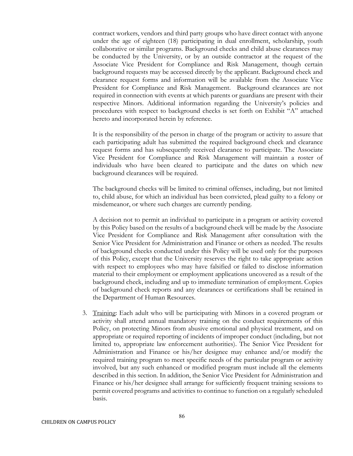contract workers, vendors and third party groups who have direct contact with anyone under the age of eighteen (18) participating in dual enrollment, scholarship, youth collaborative or similar programs. Background checks and child abuse clearances may be conducted by the University, or by an outside contractor at the request of the Associate Vice President for Compliance and Risk Management, though certain background requests may be accessed directly by the applicant. Background check and clearance request forms and information will be available from the Associate Vice President for Compliance and Risk Management. Background clearances are not required in connection with events at which parents or guardians are present with their respective Minors. Additional information regarding the University's policies and procedures with respect to background checks is set forth on Exhibit "A" attached hereto and incorporated herein by reference.

It is the responsibility of the person in charge of the program or activity to assure that each participating adult has submitted the required background check and clearance request forms and has subsequently received clearance to participate. The Associate Vice President for Compliance and Risk Management will maintain a roster of individuals who have been cleared to participate and the dates on which new background clearances will be required.

The background checks will be limited to criminal offenses, including, but not limited to, child abuse, for which an individual has been convicted, plead guilty to a felony or misdemeanor, or where such charges are currently pending.

A decision not to permit an individual to participate in a program or activity covered by this Policy based on the results of a background check will be made by the Associate Vice President for Compliance and Risk Management after consultation with the Senior Vice President for Administration and Finance or others as needed. The results of background checks conducted under this Policy will be used only for the purposes of this Policy, except that the University reserves the right to take appropriate action with respect to employees who may have falsified or failed to disclose information material to their employment or employment applications uncovered as a result of the background check, including and up to immediate termination of employment. Copies of background check reports and any clearances or certifications shall be retained in the Department of Human Resources.

3. Training: Each adult who will be participating with Minors in a covered program or activity shall attend annual mandatory training on the conduct requirements of this Policy, on protecting Minors from abusive emotional and physical treatment, and on appropriate or required reporting of incidents of improper conduct (including, but not limited to, appropriate law enforcement authorities). The Senior Vice President for Administration and Finance or his/her designee may enhance and/or modify the required training program to meet specific needs of the particular program or activity involved, but any such enhanced or modified program must include all the elements described in this section. In addition, the Senior Vice President for Administration and Finance or his/her designee shall arrange for sufficiently frequent training sessions to permit covered programs and activities to continue to function on a regularly scheduled basis.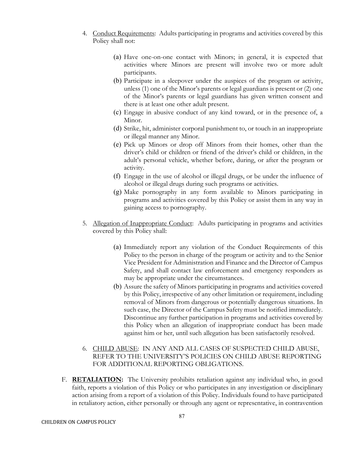- 4. Conduct Requirements: Adults participating in programs and activities covered by this Policy shall not:
	- (a) Have one-on-one contact with Minors; in general, it is expected that activities where Minors are present will involve two or more adult participants.
	- (b) Participate in a sleepover under the auspices of the program or activity, unless (1) one of the Minor's parents or legal guardians is present or (2) one of the Minor's parents or legal guardians has given written consent and there is at least one other adult present.
	- (c) Engage in abusive conduct of any kind toward, or in the presence of, a Minor.
	- (d) Strike, hit, administer corporal punishment to, or touch in an inappropriate or illegal manner any Minor.
	- (e) Pick up Minors or drop off Minors from their homes, other than the driver's child or children or friend of the driver's child or children, in the adult's personal vehicle, whether before, during, or after the program or activity.
	- (f) Engage in the use of alcohol or illegal drugs, or be under the influence of alcohol or illegal drugs during such programs or activities.
	- (g) Make pornography in any form available to Minors participating in programs and activities covered by this Policy or assist them in any way in gaining access to pornography.
- 5. Allegation of Inappropriate Conduct: Adults participating in programs and activities covered by this Policy shall:
	- (a) Immediately report any violation of the Conduct Requirements of this Policy to the person in charge of the program or activity and to the Senior Vice President for Administration and Finance and the Director of Campus Safety, and shall contact law enforcement and emergency responders as may be appropriate under the circumstances.
	- (b) Assure the safety of Minors participating in programs and activities covered by this Policy, irrespective of any other limitation or requirement, including removal of Minors from dangerous or potentially dangerous situations. In such case, the Director of the Campus Safety must be notified immediately. Discontinue any further participation in programs and activities covered by this Policy when an allegation of inappropriate conduct has been made against him or her, until such allegation has been satisfactorily resolved.

## 6. CHILD ABUSE: IN ANY AND ALL CASES OF SUSPECTED CHILD ABUSE, REFER TO THE UNIVERSITY'S POLICIES ON CHILD ABUSE REPORTING FOR ADDITIONAL REPORTING OBLIGATIONS.

F. **RETALIATION:** The University prohibits retaliation against any individual who, in good faith, reports a violation of this Policy or who participates in any investigation or disciplinary action arising from a report of a violation of this Policy. Individuals found to have participated in retaliatory action, either personally or through any agent or representative, in contravention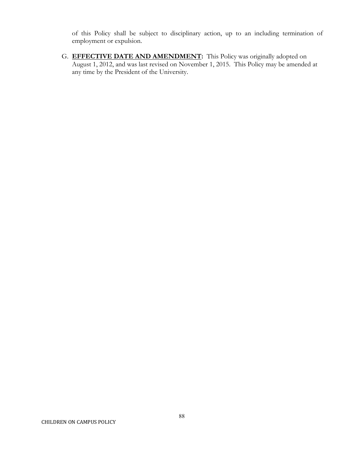of this Policy shall be subject to disciplinary action, up to an including termination of employment or expulsion.

G. **EFFECTIVE DATE AND AMENDMENT:** This Policy was originally adopted on August 1, 2012, and was last revised on November 1, 2015. This Policy may be amended at any time by the President of the University.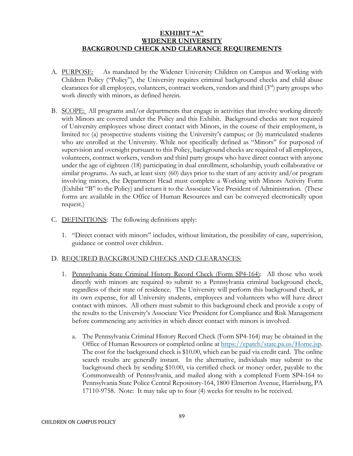## **EXHIBIT "A" WIDENER UNIVERSITY BACKGROUND CHECK AND CLEARANCE REQUIREMENTS**

- A. PURPOSE: As mandated by the Widener University Children on Campus and Working with Children Policy ("Policy"), the University requires criminal background checks and child abuse clearances for all employees, volunteers, contract workers, vendors and third (3rd) party groups who work directly with minors, as defined herein.
- B. SCOPE: All programs and/or departments that engage in activities that involve working directly with Minors are covered under the Policy and this Exhibit. Background checks are not required of University employees whose direct contact with Minors, in the course of their employment, is limited to: (a) prospective students visiting the University's campus; or (b) matriculated students who are enrolled at the University. While not specifically defined as "Minors" for purposed of supervision and oversight pursuant to this Policy, background checks are required of all employees, volunteers, contract workers, vendors and third party groups who have direct contact with anyone under the age of eighteen (18) participating in dual enrollment, scholarship, youth collaborative or similar programs. As such, at least sixty (60) days prior to the start of any activity and/or program involving minors, the Department Head must complete a Working with Minors Activity Form (Exhibit "B" to the Policy) and return it to the Associate Vice President of Administration. (These forms are available in the Office of Human Resources and can be conveyed electronically upon request.)
- C. DEFINITIONS: The following definitions apply:
	- 1. "Direct contact with minors" includes, without limitation, the possibility of care, supervision, guidance or control over children.

#### D. REQUIRED BACKGROUND CHECKS AND CLEARANCES:

- 1. Pennsylvania State Criminal History Record Check (Form SP4-164): All those who work directly with minors are required to submit to a Pennsylvania criminal background check, regardless of their state of residence. The University will perform this background check, at its own expense, for all University students, employees and volunteers who will have direct contact with minors. All others must submit to this background check and provide a copy of the results to the University's Associate Vice President for Compliance and Risk Management before commencing any activities in which direct contact with minors is involved.
	- a. The Pennsylvania Criminal History Record Check (Form SP4-164) may be obtained in the Office of Human Resources or completed online at [https://epatch/state.pa.us/Home.jsp.](https://epatch/state.pa.us/Home.jsp)  The cost for the background check is \$10.00, which can be paid via credit card. The online search results are generally instant. In the alternative, individuals may submit to the background check by sending \$10.00, via certified check or money order, payable to the Commonwealth of Pennsylvania, and mailed along with a completed Form SP4-164 to Pennsylvania State Police Central Repository-164, 1800 Elmerton Avenue, Harrisburg, PA 17110-9758. Note: It may take up to four (4) weeks for results to be received.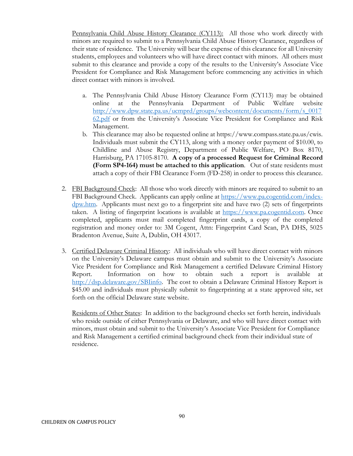Pennsylvania Child Abuse History Clearance (CY113): All those who work directly with minors are required to submit to a Pennsylvania Child Abuse History Clearance, regardless of their state of residence. The University will bear the expense of this clearance for all University students, employees and volunteers who will have direct contact with minors. All others must submit to this clearance and provide a copy of the results to the University's Associate Vice President for Compliance and Risk Management before commencing any activities in which direct contact with minors is involved.

- a. The Pennsylvania Child Abuse History Clearance Form (CY113) may be obtained online at the Pennsylvania Department of Public Welfare website [http://www.dpw.state.pa.us/ucmprd/groups/webcontent/documents/form/s\\_0017](http://www.dpw.state.pa.us/ucmprd/groups/webcontent/documents/form/s_001762.pdf) [62.pdf](http://www.dpw.state.pa.us/ucmprd/groups/webcontent/documents/form/s_001762.pdf) or from the University's Associate Vice President for Compliance and Risk Management.
- b. This clearance may also be requested online at https://www.compass.state.pa.us/cwis. Individuals must submit the CY113, along with a money order payment of \$10.00, to Childline and Abuse Registry, Department of Public Welfare, PO Box 8170, Harrisburg, PA 17105-8170. **A copy of a processed Request for Criminal Record (Form SP4-164) must be attached to this application**. Out of state residents must attach a copy of their FBI Clearance Form (FD-258) in order to process this clearance.
- 2. FBI Background Check: All those who work directly with minors are required to submit to an FBI Background Check. Applicants can apply online at [https://www.pa.cogentid.com/index](https://www.pa.cogentid.com/index-dpw.htm)[dpw.htm.](https://www.pa.cogentid.com/index-dpw.htm) Applicants must next go to a fingerprint site and have two (2) sets of fingerprints taken. A listing of fingerprint locations is available at [https://www.pa.cogentid.com.](https://www.pa.cogentid.com/) Once completed, applicants must mail completed fingerprint cards, a copy of the completed registration and money order to: 3M Cogent, Attn: Fingerprint Card Scan, PA DHS, 5025 Bradenton Avenue, Suite A, Dublin, OH 43017.
- 3. Certified Delaware Criminal History: All individuals who will have direct contact with minors on the University's Delaware campus must obtain and submit to the University's Associate Vice President for Compliance and Risk Management a certified Delaware Criminal History Report. Information on how to obtain such a report is available at [http://dsp.delaware.gov/SBIinfo.](http://dsp.delaware.gov/SBIinfo) The cost to obtain a Delaware Criminal History Report is \$45.00 and individuals must physically submit to fingerprinting at a state approved site, set forth on the official Delaware state website.

Residents of Other States: In addition to the background checks set forth herein, individuals who reside outside of either Pennsylvania or Delaware, and who will have direct contact with minors, must obtain and submit to the University's Associate Vice President for Compliance and Risk Management a certified criminal background check from their individual state of residence.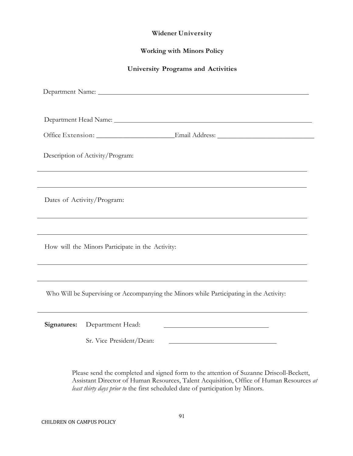## **Widener University**

## **Working with Minors Policy**

#### **University Programs and Activities**

| Department Head Name: Manner School and The Manner School and The Manner School and The Manner School and The Manner School and The Manner School and The Manner School and The Manner School and The Manner School and The Ma |  |
|--------------------------------------------------------------------------------------------------------------------------------------------------------------------------------------------------------------------------------|--|
| Office Extension: _________________________Email Address: _______________________                                                                                                                                              |  |
| Description of Activity/Program:                                                                                                                                                                                               |  |
|                                                                                                                                                                                                                                |  |
| ,我们也不会有什么。""我们的人,我们也不会有什么?""我们的人,我们也不会有什么?""我们的人,我们也不会有什么?""我们的人,我们也不会有什么?""我们的人<br>Dates of Activity/Program:                                                                                                                 |  |
|                                                                                                                                                                                                                                |  |
| How will the Minors Participate in the Activity:                                                                                                                                                                               |  |
| ,我们也不会有什么。""我们的人,我们也不会有什么?""我们的人,我们也不会有什么?""我们的人,我们也不会有什么?""我们的人,我们也不会有什么?""我们的人                                                                                                                                               |  |
| Who Will be Supervising or Accompanying the Minors while Participating in the Activity:                                                                                                                                        |  |
| Signatures:<br>Department Head:                                                                                                                                                                                                |  |
| Sr. Vice President/Dean:<br><u> 1989 - Johann Stein, mars an de Britannich (b. 1989)</u>                                                                                                                                       |  |

Please send the completed and signed form to the attention of Suzanne Driscoll-Beckett, Assistant Director of Human Resources, Talent Acquisition, Office of Human Resources *at least thirty days prior to* the first scheduled date of participation by Minors.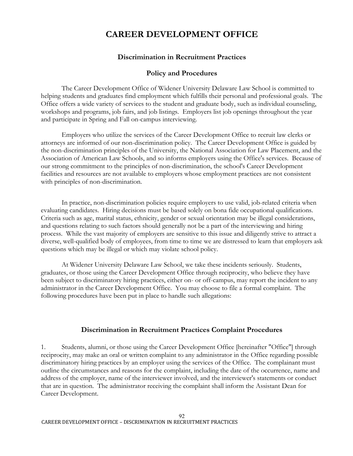## **CAREER DEVELOPMENT OFFICE**

## **Discrimination in Recruitment Practices**

## **Policy and Procedures**

The Career Development Office of Widener University Delaware Law School is committed to helping students and graduates find employment which fulfills their personal and professional goals. The Office offers a wide variety of services to the student and graduate body, such as individual counseling, workshops and programs, job fairs, and job listings. Employers list job openings throughout the year and participate in Spring and Fall on-campus interviewing.

Employers who utilize the services of the Career Development Office to recruit law clerks or attorneys are informed of our non-discrimination policy. The Career Development Office is guided by the non-discrimination principles of the University, the National Association for Law Placement, and the Association of American Law Schools, and so informs employers using the Office's services. Because of our strong commitment to the principles of non-discrimination, the school's Career Development facilities and resources are not available to employers whose employment practices are not consistent with principles of non-discrimination.

In practice, non-discrimination policies require employers to use valid, job-related criteria when evaluating candidates. Hiring decisions must be based solely on bona fide occupational qualifications. Criteria such as age, marital status, ethnicity, gender or sexual orientation may be illegal considerations, and questions relating to such factors should generally not be a part of the interviewing and hiring process. While the vast majority of employers are sensitive to this issue and diligently strive to attract a diverse, well-qualified body of employees, from time to time we are distressed to learn that employers ask questions which may be illegal or which may violate school policy.

At Widener University Delaware Law School, we take these incidents seriously. Students, graduates, or those using the Career Development Office through reciprocity, who believe they have been subject to discriminatory hiring practices, either on- or off-campus, may report the incident to any administrator in the Career Development Office. You may choose to file a formal complaint. The following procedures have been put in place to handle such allegations:

## **Discrimination in Recruitment Practices Complaint Procedures**

1. Students, alumni, or those using the Career Development Office [hereinafter "Office"] through reciprocity, may make an oral or written complaint to any administrator in the Office regarding possible discriminatory hiring practices by an employer using the services of the Office. The complainant must outline the circumstances and reasons for the complaint, including the date of the occurrence, name and address of the employer, name of the interviewer involved, and the interviewer's statements or conduct that are in question. The administrator receiving the complaint shall inform the Assistant Dean for Career Development.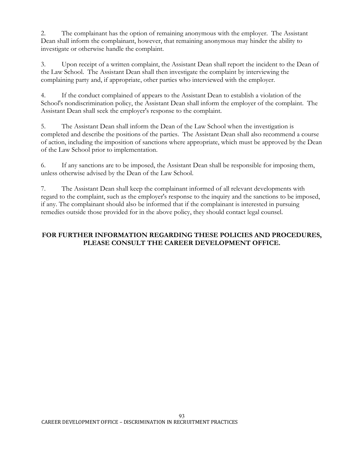2. The complainant has the option of remaining anonymous with the employer. The Assistant Dean shall inform the complainant, however, that remaining anonymous may hinder the ability to investigate or otherwise handle the complaint.

3. Upon receipt of a written complaint, the Assistant Dean shall report the incident to the Dean of the Law School. The Assistant Dean shall then investigate the complaint by interviewing the complaining party and, if appropriate, other parties who interviewed with the employer.

4. If the conduct complained of appears to the Assistant Dean to establish a violation of the School's nondiscrimination policy, the Assistant Dean shall inform the employer of the complaint. The Assistant Dean shall seek the employer's response to the complaint.

5. The Assistant Dean shall inform the Dean of the Law School when the investigation is completed and describe the positions of the parties. The Assistant Dean shall also recommend a course of action, including the imposition of sanctions where appropriate, which must be approved by the Dean of the Law School prior to implementation.

6. If any sanctions are to be imposed, the Assistant Dean shall be responsible for imposing them, unless otherwise advised by the Dean of the Law School.

7. The Assistant Dean shall keep the complainant informed of all relevant developments with regard to the complaint, such as the employer's response to the inquiry and the sanctions to be imposed, if any. The complainant should also be informed that if the complainant is interested in pursuing remedies outside those provided for in the above policy, they should contact legal counsel.

## **FOR FURTHER INFORMATION REGARDING THESE POLICIES AND PROCEDURES, PLEASE CONSULT THE CAREER DEVELOPMENT OFFICE.**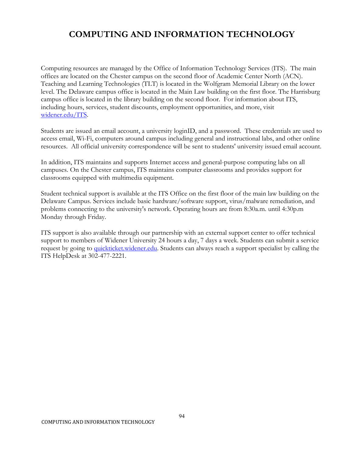# **COMPUTING AND INFORMATION TECHNOLOGY**

Computing resources are managed by the Office of Information Technology Services (ITS). The main offices are located on the Chester campus on the second floor of Academic Center North (ACN). Teaching and Learning Technologies (TLT) is located in the Wolfgram Memorial Library on the lower level. The Delaware campus office is located in the Main Law building on the first floor. The Harrisburg campus office is located in the library building on the second floor. For information about ITS, including hours, services, student discounts, employment opportunities, and more, visit [widener.edu/ITS.](http://www.widener.edu/ITS)

Students are issued an email account, a university loginID, and a password. These credentials are used to access email, Wi-Fi, computers around campus including general and instructional labs, and other online resources. All official university correspondence will be sent to students' university issued email account.

In addition, ITS maintains and supports Internet access and general-purpose computing labs on all campuses. On the Chester campus, ITS maintains computer classrooms and provides support for classrooms equipped with multimedia equipment.

Student technical support is available at the ITS Office on the first floor of the main law building on the Delaware Campus. Services include basic hardware/software support, virus/malware remediation, and problems connecting to the university's network. Operating hours are from 8:30a.m. until 4:30p.m Monday through Friday.

ITS support is also available through our partnership with an external support center to offer technical support to members of Widener University 24 hours a day, 7 days a week. Students can submit a service request by going to quickticket.widener.edu. Students can always reach a support specialist by calling the ITS HelpDesk at 302-477-2221.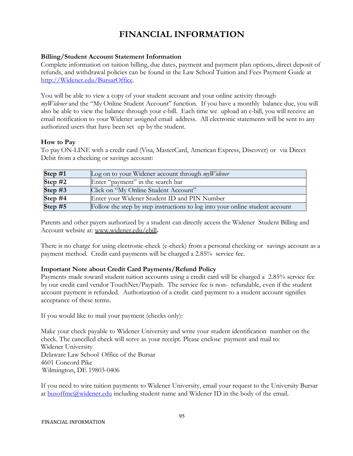# **FINANCIAL INFORMATION**

## **Billing/Student Account Statement Information**

Complete information on tuition billing, due dates, payment and payment plan options, direct deposit of refunds, and withdrawal policies can be found in the Law School Tuition and Fees Payment Guide at [http://Widener.edu/BursarOffice.](http://widener.edu/BursarOffice)

You will be able to view a copy of your student account and your online activity through *myWidener* and the "My Online Student Account" function. If you have a monthly balance due, you will also be able to view the balance through your e-bill. Each time we upload an e-bill, you will receive an email notification to your Widener assigned email address. All electronic statements will be sent to any authorized users that have been set up by the student.

## **How to Pay**

To pay ON-LINE with a credit card (Visa, MasterCard, American Express, Discover) or via Direct Debit from a checking or savings account:

| Step #1   | Log on to your Widener account through $myW$ idener                          |
|-----------|------------------------------------------------------------------------------|
| Step $#2$ | Enter "payment" in the search bar                                            |
| Step $#3$ | Click on "My Online Student Account"                                         |
| Step $#4$ | Enter your Widener Student ID and PIN Number                                 |
| Step $#5$ | Follow the step by step instructions to log into your online student account |

Parents and other payers authorized by a student can directly access the Widener Student Billing and Account website at: [www.widener.edu/ebill](http://www.widener.edu/ebill)**.**

There is no charge for using electronic-check (e-check) from a personal checking or savings account as a payment method. Credit card payments will be charged a 2.85% service fee.

## **Important Note about Credit Card Payments/Refund Policy**

Payments made toward student tuition accounts using a credit card will be charged a 2.85% service fee by our credit card vendor TouchNet/Paypath. The service fee is non- refundable, even if the student account payment is refunded. Authorization of a credit card payment to a student account signifies acceptance of these terms.

If you would like to mail your payment (checks only):

Make your check payable to Widener University and write your student identification number on the check. The cancelled check will serve as your receipt. Please enclose payment and mail to: Widener University Delaware Law School Office of the Bursar 4601 Concord Pike Wilmington, DE 19803-0406

If you need to wire tuition payments to Widener University, email your request to the University Bursar at [busoffmc@widener.edu](mailto:busoffmc@widener.edu) including student name and Widener ID in the body of the email.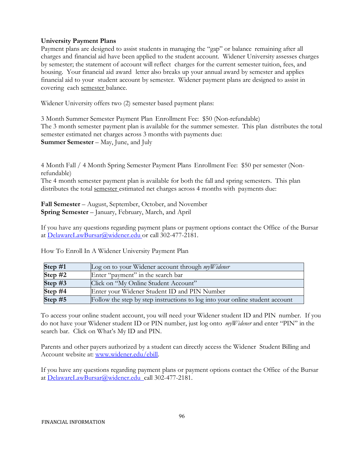## **University Payment Plans**

Payment plans are designed to assist students in managing the "gap" or balance remaining after all charges and financial aid have been applied to the student account. Widener University assesses charges by semester; the statement of account will reflect charges for the current semester tuition, fees, and housing. Your financial aid award letter also breaks up your annual award by semester and applies financial aid to your student account by semester. Widener payment plans are designed to assist in covering each semester balance.

Widener University offers two (2) semester based payment plans:

3 Month Summer Semester Payment Plan Enrollment Fee: \$50 (Non-refundable) The 3 month semester payment plan is available for the summer semester. This plan distributes the total semester estimated net charges across 3 months with payments due: **Summer Semester** – May, June, and July

4 Month Fall / 4 Month Spring Semester Payment Plans Enrollment Fee: \$50 per semester (Nonrefundable)

The 4 month semester payment plan is available for both the fall and spring semesters. This plan distributes the total semester estimated net charges across 4 months with payments due:

**Fall Semester** – August, September, October, and November **Spring Semester** – January, February, March, and April

If you have any questions regarding payment plans or payment options contact the Office of the Bursar at [DelawareLawBursar@widener.edu](mailto:DelawareLawBursar@widener.edu) or call 302-477-2181.

| Step $#1$ | Log on to your Widener account through $myW$ idener                          |
|-----------|------------------------------------------------------------------------------|
| Step $#2$ | Enter "payment" in the search bar                                            |
| Step $#3$ | Click on "My Online Student Account"                                         |
| Step $#4$ | Enter your Widener Student ID and PIN Number                                 |
| Step $#5$ | Follow the step by step instructions to log into your online student account |

How To Enroll In A Widener University Payment Plan

To access your online student account, you will need your Widener student ID and PIN number. If you do not have your Widener student ID or PIN number, just log onto *myWidener* and enter "PIN" in the search bar. Click on What's My ID and PIN.

Parents and other payers authorized by a student can directly access the Widener Student Billing and Account website at: [www.widener.edu/ebill.](http://www.widener.edu/ebill)

If you have any questions regarding payment plans or payment options contact the Office of the Bursar at [DelawareLawBursar@widener.edu c](mailto:DelawareLawBursar@widener.edu)all 302-477-2181.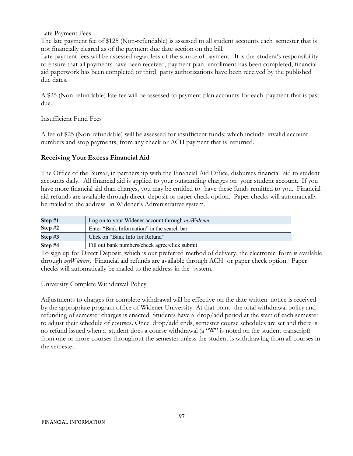Late Payment Fees

The late payment fee of \$125 (Non-refundable) is assessed to all student accounts each semester that is not financially cleared as of the payment due date section on the bill.

Late payment fees will be assessed regardless of the source of payment. It is the student's responsibility to ensure that all payments have been received, payment plan enrollment has been completed, financial aid paperwork has been completed or third party authorizations have been received by the published due dates.

A \$25 (Non-refundable) late fee will be assessed to payment plan accounts for each payment that is past due.

Insufficient Fund Fees

A fee of \$25 (Non-refundable) will be assessed for insufficient funds; which include invalid account numbers and stop payments, from any check or ACH payment that is returned.

### **Receiving Your Excess Financial Aid**

The Office of the Bursar, in partnership with the Financial Aid Office, disburses financial aid to student accounts daily. All financial aid is applied to your outstanding charges on your student account. If you have more financial aid than charges, you may be entitled to have these funds remitted to you. Financial aid refunds are available through direct deposit or paper check option. Paper checks will automatically be mailed to the address in Widener's Administrative system.

| Step #1   | Log on to your Widener account through $myWidener$ |
|-----------|----------------------------------------------------|
| Step $#2$ | Enter "Bank Information" in the search bar         |
| Step #3   | Click on "Bank Info for Refund"                    |
| Step #4   | Fill out bank numbers/check agree/click submit     |

To sign up for Direct Deposit, which is our preferred method of delivery, the electronic form is available through *myWidener*. Financial aid refunds are available through ACH or paper check option. Paper checks will automatically be mailed to the address in the system.

University Complete Withdrawal Policy

Adjustments to charges for complete withdrawal will be effective on the date written notice is received by the appropriate program office of Widener University. At that point the total withdrawal policy and refunding of semester charges is enacted. Students have a drop/add period at the start of each semester to adjust their schedule of courses. Once drop/add ends, semester course schedules are set and there is no refund issued when a student does a course withdrawal (a "W" is noted on the student transcript) from one or more courses throughout the semester unless the student is withdrawing from all courses in the semester.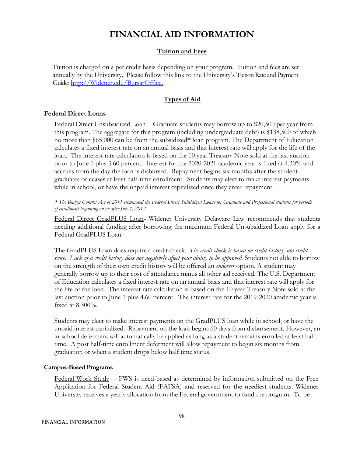# **FINANCIAL AID INFORMATION**

#### **Tuition and Fees**

Tuition is charged on a per credit basis depending on your program. Tuition and fees are set annually by the University. Please follow this link to the University's Tuition Rate and Payment Guide: [http://Widener.edu/BursarOffice.](http://widener.edu/BursarOffice.) 

## **Types of Aid**

#### **Federal Direct Loans**

Federal Direct Unsubsidized Loan - Graduate students may borrow up to \$20,500 per year from this program. The aggregate for this program (including undergraduate debt) is \$138,500 of which no more than \$65,000 can be from the subsidized**\*** loan program. The Department of Education calculates a fixed interest rate on an annual basis and that interest rate will apply for the life of the loan. The interest rate calculation is based on the 10 year Treasury Note sold at the last auction prior to June 1 plus 3.60 percent. Interest for the 2020-2021 academic year is fixed at 4.30% and accrues from the day the loan is disbursed. Repayment begins six months after the student graduates or ceases at least half-time enrollment. Students may elect to make interest payments while in school, or have the unpaid interest capitalized once they enter repayment.

\* *The Budget Control Act of 2011 eliminated the Federal Direct Subsidized Loans for Graduate and Professional students for periods of enrollment beginning on or after July 1, 2012.* 

Federal Direct GradPLUS Loan**-** Widener University Delaware Law recommends that students needing additional funding after borrowing the maximum Federal Unsubsidized Loan apply for a Federal GradPLUS Loan.

The GradPLUS Loan does require a credit check. *The credit check is based on credit history, not credit score. Lack of a credit history does not negatively affect your ability to be approved.* Students not able to borrow on the strength of their own credit history will be offered an *endorser* option. A student may generally borrow up to their cost of attendance minus all other aid received. The U.S. Department of Education calculates a fixed interest rate on an annual basis and that interest rate will apply for the life of the loan. The interest rate calculation is based on the 10 year Treasury Note sold at the last auction prior to June 1 plus 4.60 percent. The interest rate for the 2019-2020 academic year is fixed at 8.300%.

Students may elect to make interest payments on the GradPLUS loan while in school, or have the unpaid interest capitalized. Repayment on the loan begins 60 days from disbursement. However, an in-school deferment will automatically be applied as long as a student remains enrolled at least halftime. A post half-time enrollment deferment will allow repayment to begin six months from graduation or when a student drops below half time status.

#### **Campus-Based Programs**

Federal Work Study - FWS is need-based as determined by information submitted on the Free Application for Federal Student Aid (FAFSA) and reserved for the neediest students. Widener University receives a yearly allocation from the Federal government to fund the program. To be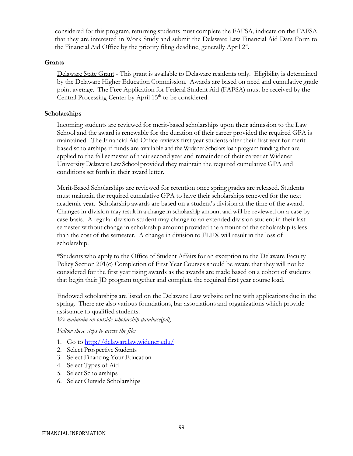considered for this program, returning students must complete the FAFSA, indicate on the FAFSA that they are interested in Work Study and submit the Delaware Law Financial Aid Data Form to the Financial Aid Office by the priority filing deadline, generally April 2st.

#### **Grants**

Delaware State Grant - This grant is available to Delaware residents only. Eligibility is determined by the Delaware Higher Education Commission. Awards are based on need and cumulative grade point average. The Free Application for Federal Student Aid (FAFSA) must be received by the Central Processing Center by April  $15<sup>th</sup>$  to be considered.

#### **Scholarships**

Incoming students are reviewed for merit-based scholarships upon their admission to the Law School and the award is renewable for the duration of their career provided the required GPA is maintained. The Financial Aid Office reviews first year students after their first year for merit based scholarships if funds are available and the Widener Scholars loan program funding that are applied to the fall semester of their second year and remainder of their career at Widener University Delaware Law School provided they maintain the required cumulative GPA and conditions set forth in their award letter.

Merit-Based Scholarships are reviewed for retention once spring grades are released. Students must maintain the required cumulative GPA to have their scholarships renewed for the next academic year. Scholarship awards are based on a student's division at the time of the award. Changes in division may result in a change in scholarship amount and will be reviewed on a case by case basis. A regular division student may change to an extended division student in their last semester without change in scholarship amount provided the amount of the scholarship is less than the cost of the semester. A change in division to FLEX will result in the loss of scholarship.

\*Students who apply to the Office of Student Affairs for an exception to the Delaware Faculty Policy Section 201(c) Completion of First Year Courses should be aware that they will not be considered for the first year rising awards as the awards are made based on a cohort of students that begin their JD program together and complete the required first year course load.

Endowed scholarships are listed on the Delaware Law website online with applications due in the spring. There are also various foundations, bar associations and organizations which provide assistance to qualified students. *We maintain an outside scholarship database(pdf).*

*Follow these steps to access the file:*

- 1. Go to <http://delawarelaw.widener.edu/>
- 2. Select Prospective Students
- 3. Select Financing Your Education
- 4. Select Types of Aid
- 5. Select Scholarships
- 6. Select Outside Scholarships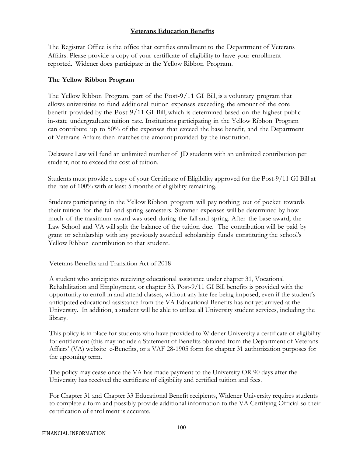## **Veterans Education Benefits**

The Registrar Office is the office that certifies enrollment to the Department of Veterans Affairs. Please provide a copy of your certificate of eligibility to have your enrollment reported. Widener does participate in the Yellow Ribbon Program.

#### **The Yellow Ribbon Program**

The Yellow Ribbon Program, part of the Post-9/11 GI Bill, is a voluntary program that allows universities to fund additional tuition expenses exceeding the amount of the core benefit provided by the Post-9/11 GI Bill, which is determined based on the highest public in-state undergraduate tuition rate. Institutions participating in the Yellow Ribbon Program can contribute up to 50% of the expenses that exceed the base benefit, and the Department of Veterans Affairs then matches the amount provided by the institution.

Delaware Law will fund an unlimited number of JD students with an unlimited contribution per student, not to exceed the cost of tuition.

Students must provide a copy of your Certificate of Eligibility approved for the Post-9/11 GI Bill at the rate of 100% with at least 5 months of eligibility remaining.

Students participating in the Yellow Ribbon program will pay nothing out of pocket towards their tuition for the fall and spring semesters. Summer expenses will be determined by how much of the maximum award was used during the fall and spring. After the base award, the Law School and VA will split the balance of the tuition due. The contribution will be paid by grant or scholarship with any previously awarded scholarship funds constituting the school's Yellow Ribbon contribution to that student.

### Veterans Benefits and Transition Act of 2018

A student who anticipates receiving educational assistance under chapter 31, Vocational Rehabilitation and Employment, or chapter 33, Post-9/11 GI Bill benefits is provided with the opportunity to enroll in and attend classes, without any late fee being imposed, even if the student's anticipated educational assistance from the VA Educational Benefits has not yet arrived at the University. In addition, a student will be able to utilize all University student services, including the library.

This policy is in place for students who have provided to Widener University a certificate of eligibility for entitlement (this may include a Statement of Benefits obtained from the Department of Veterans Affairs' (VA) website e-Benefits, or a VAF 28-1905 form for chapter 31 authorization purposes for the upcoming term.

The policy may cease once the VA has made payment to the University OR 90 days after the University has received the certificate of eligibility and certified tuition and fees.

For Chapter 31 and Chapter 33 Educational Benefit recipients, Widener University requires students to complete a form and possibly provide additional information to the VA Certifying Official so their certification of enrollment is accurate.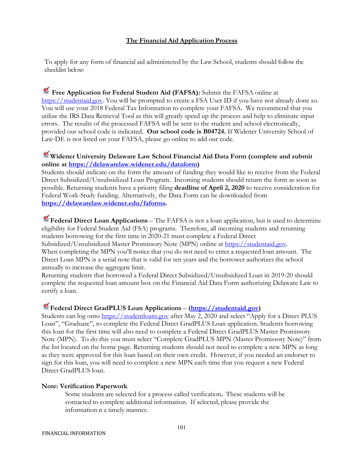## **The Financial Aid Application Process**

To apply for any form of financial aid administered by the Law School, students should follow the checklist below:

**Free Application for Federal Student Aid (FAFSA):** Submit the FAFSA online at [https://studentaid.gov.](https://studentaid.gov/) You will be prompted to create a FSA User ID if you have not already done so. You will use your 2018 Federal Tax Information to complete your FAFSA. We recommend that you utilize the IRS Data Retrieval Tool as this will greatly speed up the process and help to eliminate input errors. The results of the processed FAFSA will be sent to the student and school electronically, provided our school code is indicated. **Our school code is B04724.** If Widener University School of Law-DE is not listed on your FAFSA, please go online to add our code.

# **Widener University Delaware Law School Financial Aid Data Form (complete and submit online at [https://delawarelaw.widener.edu/dataform\)](https://delawarelaw.widener.edu/dataform)**

Students should indicate on the form the amount of funding they would like to receive from the Federal Direct Subsidized/Unsubsidized Loan Program. Incoming students should return the form as soon as possible. Returning students have a priority filing **deadline of April 2, 2020** to receive consideration for Federal Work-Study funding. Alternatively, the Data Form can be downloaded from **[https://delawarelaw.widener.edu/faforms.](https://delawarelaw.widener.edu/faforms)**

**Federal Direct Loan Applications** – The FAFSA is not a loan application, but is used to determine eligibility for Federal Student Aid (FSA) programs. Therefore, all incoming students and returning students borrowing for the first time in 2020-21 must complete a Federal Direct Subsidized/Unsubsidized Master Promissory Note (MPN) online at [https://studentaid.gov.](https://studentaid.gov/) When completing the MPN you'll notice that you do not need to enter a requested loan amount. The Direct Loan MPN is a serial note that is valid for ten years and the borrower authorizes the school annually to increase the aggregate limit.

Returning students that borrowed a Federal Direct Subsidized/Unsubsidized Loan in 2019-20 should complete the requested loan amount box on the Financial Aid Data Form authorizing Delaware Law to certify a loan.

# **Federal Direct GradPLUS Loan Applications** – **[\(https://studentaid.gov\)](https://studentaid.gov/)**

Students can log onto [https://studentloans.gov](https://studentloans.gov/) after May 2, 2020 and select "Apply for a Direct PLUS Loan", "Graduate", to complete the Federal Direct GradPLUS Loan application. Students borrowing this loan for the first time will also need to complete a Federal Direct GradPLUS Master Promissory Note (MPN). To do this you must select "Complete GradPLUS MPN (Master Promissory Note)" from the list located on the home page. Returning students should not need to complete a new MPN as long as they were approved for this loan based on their own credit. However, if you needed an endorser to sign for this loan, you will need to complete a new MPN each time that you request a new Federal Direct GradPLUS loan.

### **Note: Verification Paperwork**

Some students are selected for a process called verification**.** These students will be contacted to complete additional information. If selected, please provide the information n a timely manner.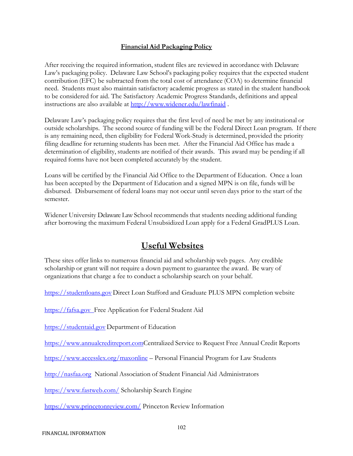## **Financial Aid Packaging Policy**

After receiving the required information, student files are reviewed in accordance with Delaware Law's packaging policy. Delaware Law School's packaging policy requires that the expected student contribution (EFC) be subtracted from the total cost of attendance (COA) to determine financial need. Students must also maintain satisfactory academic progress as stated in the student handbook to be considered for aid. The Satisfactory Academic Progress Standards, definitions and appeal instructions are also available at<http://www.widener.edu/lawfinaid> .

Delaware Law's packaging policy requires that the first level of need be met by any institutional or outside scholarships. The second source of funding will be the Federal Direct Loan program. If there is any remaining need, then eligibility for Federal Work-Study is determined, provided the priority filing deadline for returning students has been met. After the Financial Aid Office has made a determination of eligibility, students are notified of their awards. This award may be pending if all required forms have not been completed accurately by the student.

Loans will be certified by the Financial Aid Office to the Department of Education. Once a loan has been accepted by the Department of Education and a signed MPN is on file, funds will be disbursed. Disbursement of federal loans may not occur until seven days prior to the start of the semester.

Widener University Delaware Law School recommends that students needing additional funding after borrowing the maximum Federal Unsubsidized Loan apply for a Federal GradPLUS Loan.

# **Useful Websites**

These sites offer links to numerous financial aid and scholarship web pages. Any credible scholarship or grant will not require a down payment to guarantee the award. Be wary of organizations that charge a fee to conduct a scholarship search on your behalf.

https://studentloans.gov Direct Loan Stafford and Graduate PLUS MPN completion website

https://fafsa.gov Free Application for Federal Student Aid

https:/[/studentaid.gov](http://www.studentaid.ed.gov/) Department of Education

https://www.annualcreditreport.comCentralized Service to Request Free Annual Credit Reports

<https://www.accesslex.org/maxonline> – Personal Financial Program for Law Students

http:/[/nasfaa.org N](http://www.nasfaa.org/)ational Association of Student Financial Aid Administrators

https://www.fastweb.com/ Scholarship Search Engine

https://www.princetonreview.com/ Princeton Review Information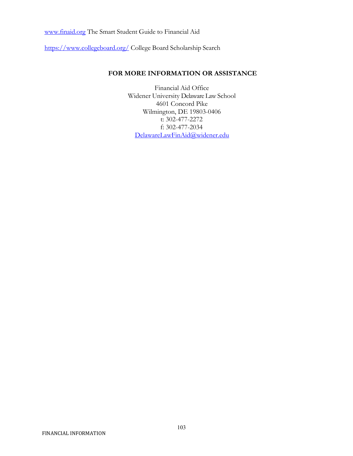[www.finaid.org](http://www.finaid.org/) The Smart Student Guide to Financial Aid

https://www.collegeboard.org/ College Board Scholarship Search

## **FOR MORE INFORMATION OR ASSISTANCE**

Financial Aid Office Widener University Delaware Law School 4601 Concord Pike Wilmington, DE 19803-0406 t: 302-477-2272 f: 302-477-2034 [DelawareLawFinAid@widener.edu](mailto:DelawareLawFinAid@widener.edu)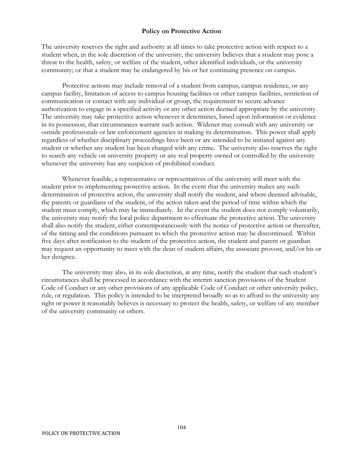#### **Policy on Protective Action**

The university reserves the right and authority at all times to take protective action with respect to a student when, in the sole discretion of the university, the university believes that a student may pose a threat to the health, safety, or welfare of the student, other identified individuals, or the university community; or that a student may be endangered by his or her continuing presence on campus.

Protective actions may include removal of a student from campus, campus residence, or any campus facility, limitation of access to campus housing facilities or other campus facilities, restriction of communication or contact with any individual or group, the requirement to secure advance authorization to engage in a specified activity or any other action deemed appropriate by the university. The university may take protective action whenever it determines, based upon information or evidence in its possession, that circumstances warrant such action. Widener may consult with any university or outside professionals or law enforcement agencies in making its determination. This power shall apply regardless of whether disciplinary proceedings have been or are intended to be initiated against any student or whether any student has been charged with any crime. The university also reserves the right to search any vehicle on university property or any real property owned or controlled by the university whenever the university has any suspicion of prohibited conduct.

Whenever feasible, a representative or representatives of the university will meet with the student prior to implementing protective action. In the event that the university makes any such determination of protective action, the university shall notify the student, and where deemed advisable, the parents or guardians of the student, of the action taken and the period of time within which the student must comply, which may be immediately. In the event the student does not comply voluntarily, the university may notify the local police department to effectuate the protective action. The university shall also notify the student, either contemporaneously with the notice of protective action or thereafter, of the timing and the conditions pursuant to which the protective action may be discontinued. Within five days after notification to the student of the protective action, the student and parent or guardian may request an opportunity to meet with the dean of student affairs, the associate provost, and/or his or her designee.

The university may also, in its sole discretion, at any time, notify the student that such student's circumstances shall be processed in accordance with the interim sanction provisions of the Student Code of Conduct or any other provisions of any applicable Code of Conduct or other university policy, rule, or regulation. This policy is intended to be interpreted broadly so as to afford to the university any right or power it reasonably believes is necessary to protect the health, safety, or welfare of any member of the university community or others.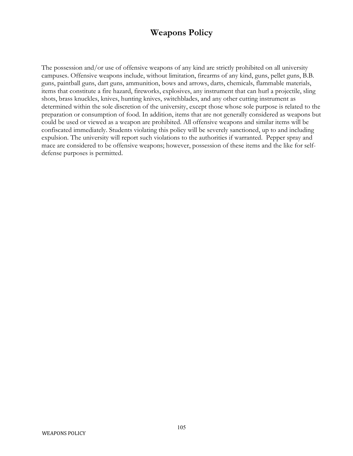# **Weapons Policy**

The possession and/or use of offensive weapons of any kind are strictly prohibited on all university campuses. Offensive weapons include, without limitation, firearms of any kind, guns, pellet guns, B.B. guns, paintball guns, dart guns, ammunition, bows and arrows, darts, chemicals, flammable materials, items that constitute a fire hazard, fireworks, explosives, any instrument that can hurl a projectile, sling shots, brass knuckles, knives, hunting knives, switchblades, and any other cutting instrument as determined within the sole discretion of the university, except those whose sole purpose is related to the preparation or consumption of food. In addition, items that are not generally considered as weapons but could be used or viewed as a weapon are prohibited. All offensive weapons and similar items will be confiscated immediately. Students violating this policy will be severely sanctioned, up to and including expulsion. The university will report such violations to the authorities if warranted. Pepper spray and mace are considered to be offensive weapons; however, possession of these items and the like for selfdefense purposes is permitted.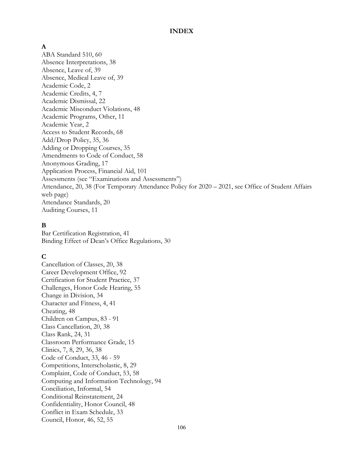#### **INDEX**

## **A**

ABA Standard 510, 60 Absence Interpretations, 38 Absence, Leave of, 39 Absence, Medical Leave of, 39 Academic Code, 2 Academic Credits, 4, 7 Academic Dismissal, 22 Academic Misconduct Violations, 48 Academic Programs, Other, 11 Academic Year, 2 Access to Student Records, 68 Add/Drop Policy, 35, 36 Adding or Dropping Courses, 35 Amendments to Code of Conduct, 58 Anonymous Grading, 17 Application Process, Financial Aid, 101 Assessments (see "Examinations and Assessments") Attendance, 20, 38 (For Temporary Attendance Policy for 2020 – 2021, see Office of Student Affairs web page) Attendance Standards, 20 Auditing Courses, 11

# **B**

Bar Certification Registration, 41 Binding Effect of Dean's Office Regulations, 30

# **C**

Cancellation of Classes, 20, 38 Career Development Office, 92 Certification for Student Practice, 37 Challenges, Honor Code Hearing, 55 Change in Division, 34 Character and Fitness, 4, 41 Cheating, 48 Children on Campus, 83 - 91 Class Cancellation, 20, 38 Class Rank, 24, 31 Classroom Performance Grade, 15 Clinics, 7, 8, 29, 36, 38 Code of Conduct, 33, 46 - 59 Competitions, Interscholastic, 8, 29 Complaint, Code of Conduct, 53, 58 Computing and Information Technology, 94 Conciliation, Informal, 54 Conditional Reinstatement, 24 Confidentiality, Honor Council, 48 Conflict in Exam Schedule, 33 Council, Honor, 46, 52, 55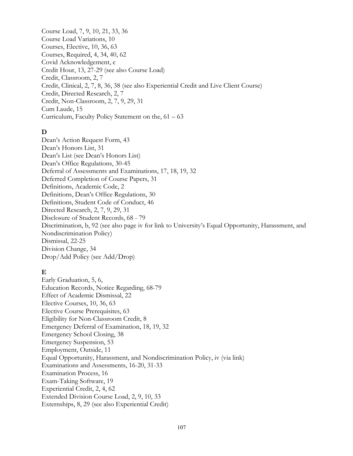Course Load, 7, 9, 10, 21, 33, 36 Course Load Variations, 10 Courses, Elective, 10, 36, 63 Courses, Required, 4, 34, 40, 62 Covid Acknowledgement, c Credit Hour, 13, 27-29 (see also Course Load) Credit, Classroom, 2, 7 Credit, Clinical, 2, 7, 8, 36, 38 (see also Experiential Credit and Live Client Course) Credit, Directed Research, 2, 7 Credit, Non-Classroom, 2, 7, 9, 29, 31 Cum Laude, 15 Curriculum, Faculty Policy Statement on the, 61 – 63

# **D**

Dean's Action Request Form, 43 Dean's Honors List, 31 Dean's List (see Dean's Honors List) Dean's Office Regulations, 30-45 Deferral of Assessments and Examinations, 17, 18, 19, 32 Deferred Completion of Course Papers, 31 Definitions, Academic Code, 2 Definitions, Dean's Office Regulations, 30 Definitions, Student Code of Conduct, 46 Directed Research, 2, 7, 9, 29, 31 Disclosure of Student Records, 68 - 79 Discrimination, b, 92 (see also page iv for link to University's Equal Opportunity, Harassment, and Nondiscrimination Policy) Dismissal, 22-25 Division Change, 34 Drop/Add Policy (see Add/Drop)

## **E**

Early Graduation, 5, 6, Education Records, Notice Regarding, 68-79 Effect of Academic Dismissal, 22 Elective Courses, 10, 36, 63 Elective Course Prerequisites, 63 Eligibility for Non-Classroom Credit, 8 Emergency Deferral of Examination, 18, 19, 32 Emergency School Closing, 38 Emergency Suspension, 53 Employment, Outside, 11 Equal Opportunity, Harassment, and Nondiscrimination Policy, iv (via link) Examinations and Assessments, 16-20, 31-33 Examination Process, 16 Exam-Taking Software, 19 Experiential Credit, 2, 4, 62 Extended Division Course Load, 2, 9, 10, 33 Externships, 8, 29 (see also Experiential Credit)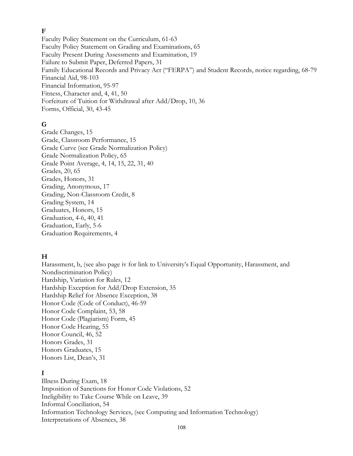#### **F**

Faculty Policy Statement on the Curriculum, 61-63 Faculty Policy Statement on Grading and Examinations, 65 Faculty Present During Assessments and Examination, 19 Failure to Submit Paper, Deferred Papers, 31 Family Educational Records and Privacy Act ("FERPA") and Student Records, notice regarding, 68-79 Financial Aid, 98-103 Financial Information, 95-97 Fitness, Character and, 4, 41, 50 Forfeiture of Tuition for Withdrawal after Add/Drop, 10, 36 Forms, Official, 30, 43-45

### **G**

Grade Changes, 15 Grade, Classroom Performance, 15 Grade Curve (see Grade Normalization Policy) Grade Normalization Policy, 65 Grade Point Average, 4, 14, 15, 22, 31, 40 Grades, 20, 65 Grades, Honors, 31 Grading, Anonymous, 17 Grading, Non-Classroom Credit, 8 Grading System, 14 Graduates, Honors, 15 Graduation, 4-6, 40, 41 Graduation, Early, 5-6 Graduation Requirements, 4

## **H**

Harassment, b, (see also page iv for link to University's Equal Opportunity, Harassment, and Nondiscrimination Policy) Hardship, Variation for Rules, 12 Hardship Exception for Add/Drop Extension, 35 Hardship Relief for Absence Exception, 38 Honor Code (Code of Conduct), 46-59 Honor Code Complaint, 53, 58 Honor Code (Plagiarism) Form, 45 Honor Code Hearing, 55 Honor Council, 46, 52 Honors Grades, 31 Honors Graduates, 15 Honors List, Dean's, 31

### **I**

Illness During Exam, 18 Imposition of Sanctions for Honor Code Violations, 52 Ineligibility to Take Course While on Leave, 39 Informal Conciliation, 54 Information Technology Services, (see Computing and Information Technology) Interpretations of Absences, 38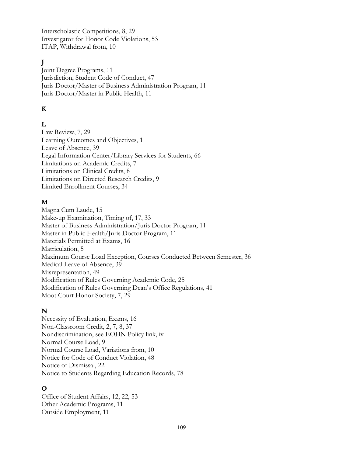Interscholastic Competitions, 8, 29 Investigator for Honor Code Violations, 53 ITAP, Withdrawal from, 10

# **J**

Joint Degree Programs, 11 Jurisdiction, Student Code of Conduct, 47 Juris Doctor/Master of Business Administration Program, 11 Juris Doctor/Master in Public Health, 11

# **K**

# **L**

Law Review, 7, 29 Learning Outcomes and Objectives, 1 Leave of Absence, 39 Legal Information Center/Library Services for Students, 66 Limitations on Academic Credits, 7 Limitations on Clinical Credits, 8 Limitations on Directed Research Credits, 9 Limited Enrollment Courses, 34

## **M**

Magna Cum Laude, 15 Make-up Examination, Timing of, 17, 33 Master of Business Administration/Juris Doctor Program, 11 Master in Public Health/Juris Doctor Program, 11 Materials Permitted at Exams, 16 Matriculation, 5 Maximum Course Load Exception, Courses Conducted Between Semester, 36 Medical Leave of Absence, 39 Misrepresentation, 49 Modification of Rules Governing Academic Code, 25 Modification of Rules Governing Dean's Office Regulations, 41 Moot Court Honor Society, 7, 29

## **N**

Necessity of Evaluation, Exams, 16 Non-Classroom Credit, 2, 7, 8, 37 Nondiscrimination, see EOHN Policy link, iv Normal Course Load, 9 Normal Course Load, Variations from, 10 Notice for Code of Conduct Violation, 48 Notice of Dismissal, 22 Notice to Students Regarding Education Records, 78

# **O**

Office of Student Affairs, 12, 22, 53 Other Academic Programs, 11 Outside Employment, 11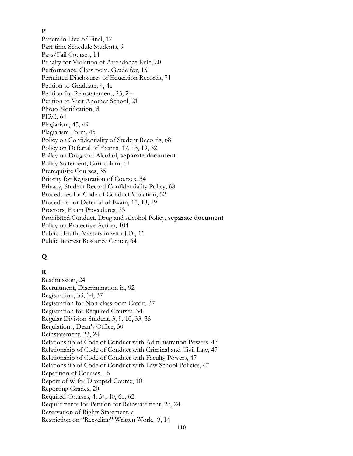## **P**

Papers in Lieu of Final, 17 Part-time Schedule Students, 9 Pass/Fail Courses, 14 Penalty for Violation of Attendance Rule, 20 Performance, Classroom, Grade for, 15 Permitted Disclosures of Education Records, 71 Petition to Graduate, 4, 41 Petition for Reinstatement, 23, 24 Petition to Visit Another School, 21 Photo Notification, d PIRC, 64 Plagiarism, 45, 49 Plagiarism Form, 45 Policy on Confidentiality of Student Records, 68 Policy on Deferral of Exams, 17, 18, 19, 32 Policy on Drug and Alcohol, **separate document** Policy Statement, Curriculum, 61 Prerequisite Courses, 35 Priority for Registration of Courses, 34 Privacy, Student Record Confidentiality Policy, 68 Procedures for Code of Conduct Violation, 52 Procedure for Deferral of Exam, 17, 18, 19 Proctors, Exam Procedures, 33 Prohibited Conduct, Drug and Alcohol Policy, **separate document** Policy on Protective Action, 104 Public Health, Masters in with J.D., 11 Public Interest Resource Center, 64

# **Q**

# **R**

Readmission, 24 Recruitment, Discrimination in, 92 Registration, 33, 34, 37 Registration for Non-classroom Credit, 37 Registration for Required Courses, 34 Regular Division Student, 3, 9, 10, 33, 35 Regulations, Dean's Office, 30 Reinstatement, 23, 24 Relationship of Code of Conduct with Administration Powers, 47 Relationship of Code of Conduct with Criminal and Civil Law, 47 Relationship of Code of Conduct with Faculty Powers, 47 Relationship of Code of Conduct with Law School Policies, 47 Repetition of Courses, 16 Report of W for Dropped Course, 10 Reporting Grades, 20 Required Courses, 4, 34, 40, 61, 62 Requirements for Petition for Reinstatement, 23, 24 Reservation of Rights Statement, a Restriction on "Recycling" Written Work, 9, 14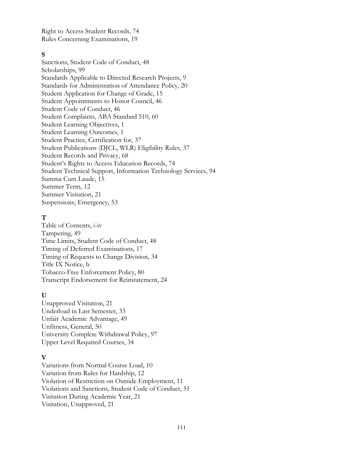Right to Access Student Records, 74 Rules Concerning Examinations, 19

#### **S**

Sanctions, Student Code of Conduct, 48 Scholarships, 99 Standards Applicable to Directed Research Projects, 9 Standards for Administration of Attendance Policy, 20 Student Application for Change of Grade, 15 Student Appointments to Honor Council, 46 Student Code of Conduct, 46 Student Complaints, ABA Standard 510, 60 Student Learning Objectives, 1 Student Learning Outcomes, 1 Student Practice, Certification for, 37 Student Publications (DJCL, WLR) Eligibility Rules, 37 Student Records and Privacy, 68 Student's Rights to Access Education Records, 74 Student Technical Support, Information Technology Services, 94 Summa Cum Laude, 15 Summer Term, 12 Summer Visitation, 21 Suspensions, Emergency, 53

#### **T**

Table of Contents, i-iv Tampering, 49 Time Limits, Student Code of Conduct, 48 Timing of Deferred Examinations, 17 Timing of Requests to Change Division, 34 Title IX Notice, b Tobacco-Free Enforcement Policy, 80 Transcript Endorsement for Reinstatement, 24

### **U**

Unapproved Visitation, 21 Underload in Last Semester, 33 Unfair Academic Advantage, 49 Unfitness, General, 50 University Complete Withdrawal Policy, 97 Upper Level Required Courses, 34

### **V**

Variations from Normal Course Load, 10 Variation from Rules for Hardship, 12 Violation of Restriction on Outside Employment, 11 Violations and Sanctions, Student Code of Conduct, 51 Visitation During Academic Year, 21 Visitation, Unapproved, 21